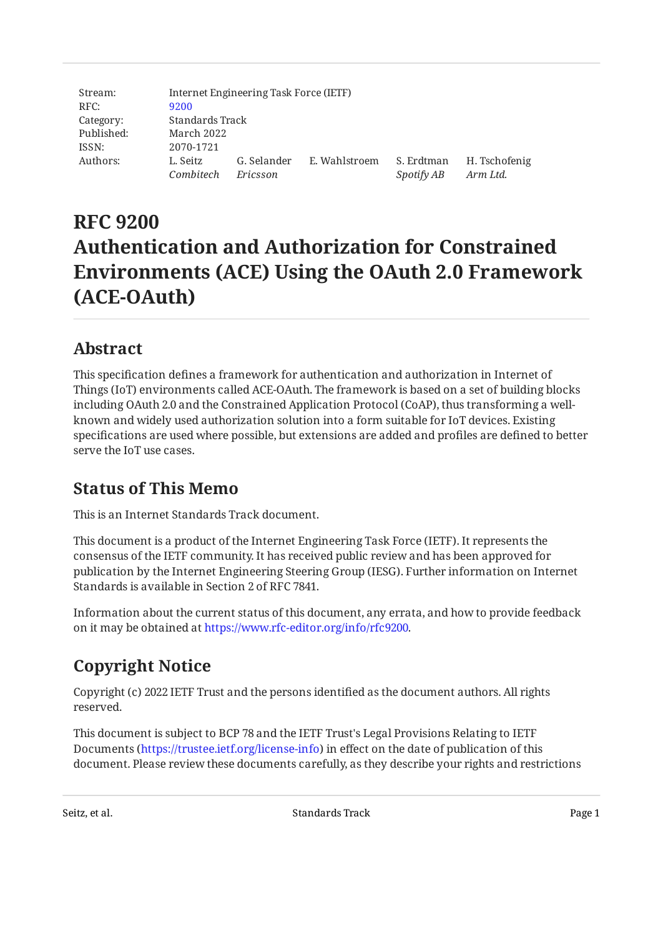| Stream:    |                       | Internet Engineering Task Force (IETF) |               |                          |                           |
|------------|-----------------------|----------------------------------------|---------------|--------------------------|---------------------------|
| RFC:       | 9200                  |                                        |               |                          |                           |
| Category:  | Standards Track       |                                        |               |                          |                           |
| Published: | March 2022            |                                        |               |                          |                           |
| ISSN:      | 2070-1721             |                                        |               |                          |                           |
| Authors:   | L. Seitz<br>Combitech | G. Selander<br>Ericsson                | E. Wahlstroem | S. Erdtman<br>Spotify AB | H. Tschofenig<br>Arm Ltd. |

# **RFC 9200 Authentication and Authorization for Constrained Environments (ACE) Using the OAuth 2.0 Framework (ACE-OAuth)**

## <span id="page-0-0"></span>**[Abstract](#page-0-0)**

This specification defines a framework for authentication and authorization in Internet of Things (IoT) environments called ACE‑OAuth. The framework is based on a set of building blocks including OAuth 2.0 and the Constrained Application Protocol (CoAP), thus transforming a wellknown and widely used authorization solution into a form suitable for IoT devices. Existing specifications are used where possible, but extensions are added and profiles are defined to better serve the IoT use cases.

## <span id="page-0-1"></span>**[Status of This Memo](#page-0-1)**

This is an Internet Standards Track document.

This document is a product of the Internet Engineering Task Force (IETF). It represents the consensus of the IETF community. It has received public review and has been approved for publication by the Internet Engineering Steering Group (IESG). Further information on Internet Standards is available in Section 2 of RFC 7841.

Information about the current status of this document, any errata, and how to provide feedback on it may be obtained at [https://www.rfc-editor.org/info/rfc9200.](https://www.rfc-editor.org/info/rfc9200)

# <span id="page-0-2"></span>**[Copyright Notice](#page-0-2)**

Copyright (c) 2022 IETF Trust and the persons identified as the document authors. All rights reserved.

This document is subject to BCP 78 and the IETF Trust's Legal Provisions Relating to IETF Documents (<https://trustee.ietf.org/license-info>) in effect on the date of publication of this document. Please review these documents carefully, as they describe your rights and restrictions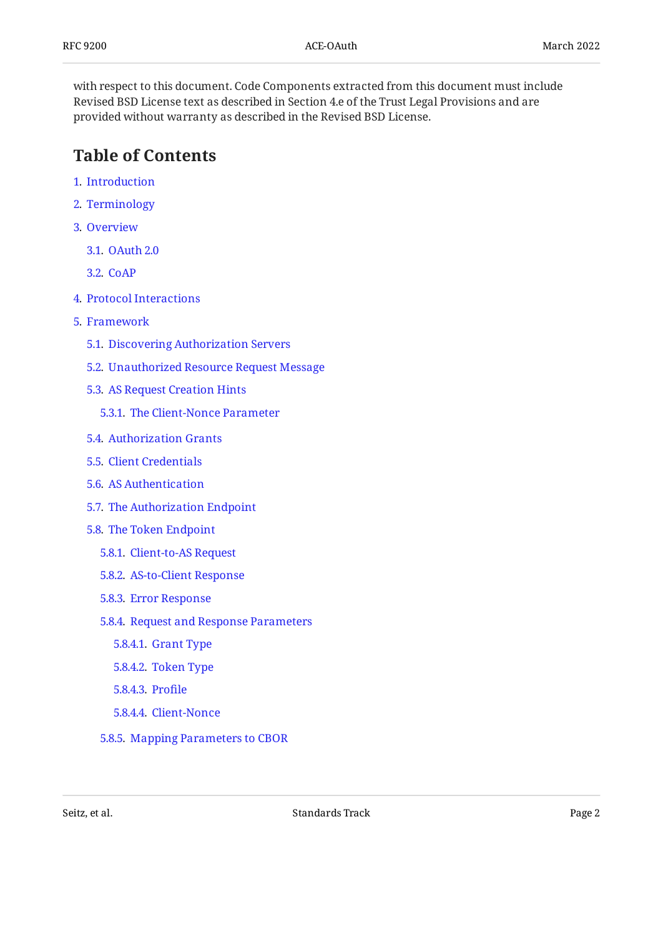with respect to this document. Code Components extracted from this document must include Revised BSD License text as described in Section 4.e of the Trust Legal Provisions and are provided without warranty as described in the Revised BSD License.

## <span id="page-1-0"></span>**[Table of Contents](#page-1-0)**

- [1](#page-4-0). [Introduction](#page-4-0)
- [2](#page-4-1). [Terminology](#page-4-1)
- [3](#page-5-0). [Overview](#page-5-0)
	- [3.1.](#page-6-0) [OAuth 2.0](#page-6-0)
	- [3.2.](#page-8-0) [CoAP](#page-8-0)
- [4](#page-9-0). [Protocol Interactions](#page-9-0)
- [5](#page-12-0). [Framework](#page-12-0)
	- [5.1.](#page-14-0) [Discovering Authorization Servers](#page-14-0)
	- [5.2.](#page-14-1) [Unauthorized Resource Request Message](#page-14-1)
	- [5.3.](#page-15-0) [AS Request Creation Hints](#page-15-0)
		- [5.3.1](#page-16-0). [The Client-Nonce Parameter](#page-16-0)
	- [5.4.](#page-17-0) [Authorization Grants](#page-17-0)
	- [5.5.](#page-17-1) [Client Credentials](#page-17-1)
	- [5.6.](#page-18-0) [AS Authentication](#page-18-0)
	- [5.7.](#page-18-1) [The Authorization Endpoint](#page-18-1)
	- [5.8.](#page-18-2) [The Token Endpoint](#page-18-2)
		- [5.8.1](#page-19-0). [Client-to-AS Request](#page-19-0)
		- [5.8.2](#page-21-0). [AS-to-Client Response](#page-21-0)
		- [5.8.3](#page-23-0). [Error Response](#page-23-0)
		- [5.8.4](#page-24-0). [Request and Response Parameters](#page-24-0)
			- [5.8.4.1.](#page-24-1) [Grant Type](#page-24-1)
			- [5.8.4.2.](#page-24-2) [Token Type](#page-24-2)
			- [5.8.4.3.](#page-25-0) [Pro](#page-25-0)file
			- [5.8.4.4.](#page-25-1) [Client-Nonce](#page-25-1)
		- [5.8.5](#page-25-2). [Mapping Parameters to CBOR](#page-25-2)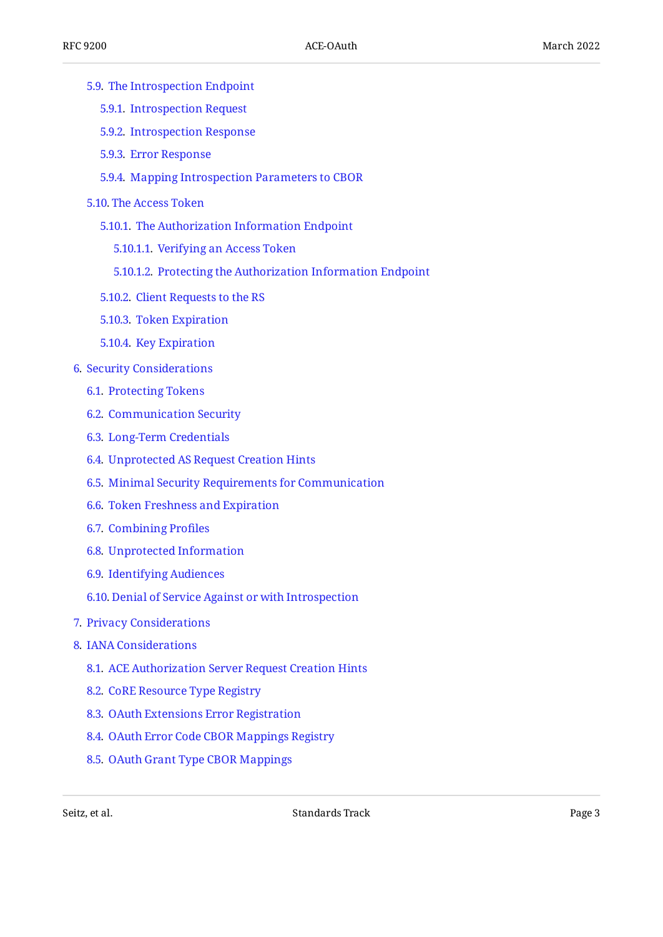- [5.9.](#page-27-0) [The Introspection Endpoint](#page-27-0)
	- [5.9.1](#page-27-1). [Introspection Request](#page-27-1)
	- [5.9.2](#page-28-0). [Introspection Response](#page-28-0)
	- [5.9.3](#page-29-0). [Error Response](#page-29-0)
	- [5.9.4](#page-30-0). [Mapping Introspection Parameters to CBOR](#page-30-0)
- [5.10.](#page-31-0) [The Access Token](#page-31-0)
	- [5.10.1.](#page-31-1) [The Authorization Information Endpoint](#page-31-1)
		- [5.10.1.1.](#page-32-0) [Verifying an Access Token](#page-32-0)
		- [5.10.1.2.](#page-34-0) [Protecting the Authorization Information Endpoint](#page-34-0)
	- [5.10.2.](#page-34-1) [Client Requests to the RS](#page-34-1)
	- [5.10.3.](#page-35-0) [Token Expiration](#page-35-0)
	- [5.10.4.](#page-36-0) [Key Expiration](#page-36-0)
- [6](#page-36-1). [Security Considerations](#page-36-1)
	- [6.1.](#page-36-2) [Protecting Tokens](#page-36-2)
	- [6.2.](#page-37-0) [Communication Security](#page-37-0)
	- [6.3.](#page-38-0) [Long-Term Credentials](#page-38-0)
	- [6.4.](#page-38-1) [Unprotected AS Request Creation Hints](#page-38-1)
	- [6.5.](#page-38-2) [Minimal Security Requirements for Communication](#page-38-2)
	- [6.6.](#page-39-0) [Token Freshness and Expiration](#page-39-0)
	- [6.7.](#page-40-0) [Combining Pro](#page-40-0)files
	- [6.8.](#page-40-1) [Unprotected Information](#page-40-1)
	- [6.9.](#page-41-0) [Identifying Audiences](#page-41-0)
	- [6.10.](#page-41-1) [Denial of Service Against or with Introspection](#page-41-1)
- [7](#page-42-0). [Privacy Considerations](#page-42-0)
- [8](#page-43-0). [IANA Considerations](#page-43-0)
	- [8.1.](#page-43-1) [ACE Authorization Server Request Creation Hints](#page-43-1)
	- [8.2.](#page-43-2) [CoRE Resource Type Registry](#page-43-2)
	- [8.3.](#page-43-3) [OAuth Extensions Error Registration](#page-43-3)
	- [8.4.](#page-44-0) [OAuth Error Code CBOR Mappings Registry](#page-44-0)
	- [8.5.](#page-44-1) [OAuth Grant Type CBOR Mappings](#page-44-1)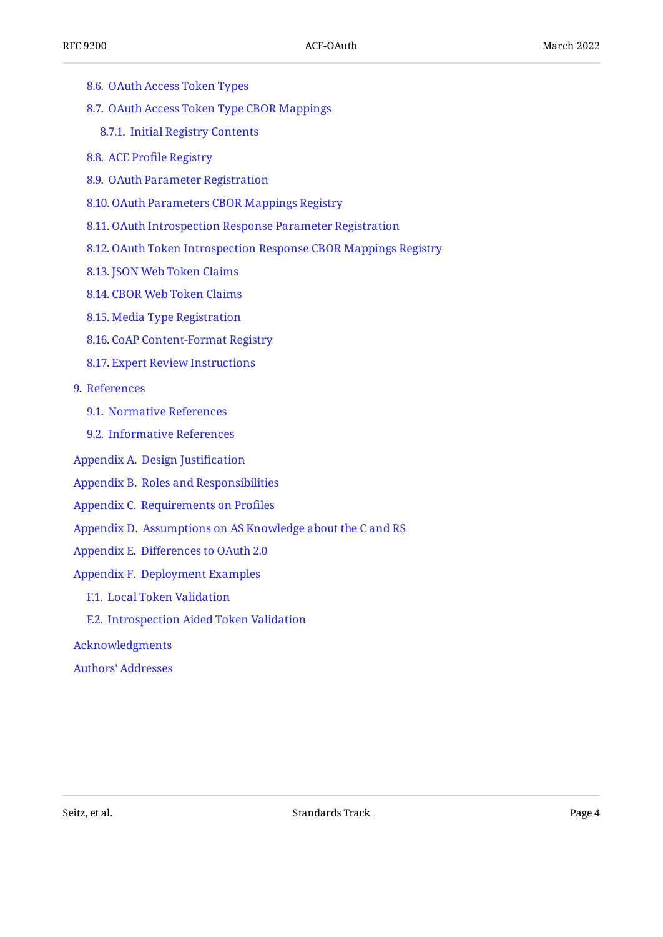- [8.6.](#page-45-0) [OAuth Access Token Types](#page-45-0)
- [8.7.](#page-45-1) [OAuth Access Token Type CBOR Mappings](#page-45-1)
	- [8.7.1](#page-45-2). [Initial Registry Contents](#page-45-2)
- [8.8.](#page-46-0) ACE Profi[le Registry](#page-46-0)
- [8.9.](#page-46-1) [OAuth Parameter Registration](#page-46-1)
- [8.10.](#page-46-2) [OAuth Parameters CBOR Mappings Registry](#page-46-2)
- [8.11.](#page-47-0) [OAuth Introspection Response Parameter Registration](#page-47-0)
- [8.12.](#page-47-1) [OAuth Token Introspection Response CBOR Mappings Registry](#page-47-1)
- [8.13.](#page-48-0) [JSON Web Token Claims](#page-48-0)
- [8.14.](#page-48-1) [CBOR Web Token Claims](#page-48-1)
- [8.15.](#page-49-0) [Media Type Registration](#page-49-0)
- [8.16.](#page-50-0) [CoAP Content-Format Registry](#page-50-0)
- [8.17.](#page-50-1) [Expert Review Instructions](#page-50-1)
- [9](#page-51-0). [References](#page-51-0)
	- [9.1.](#page-51-1) [Normative References](#page-51-1)
	- [9.2.](#page-53-0) [Informative References](#page-53-0)
- [Appendix A.](#page-55-0) [Design Justi](#page-55-0)fication
- [Appendix B.](#page-58-0) [Roles and Responsibilities](#page-58-0)
- [Appendix C.](#page-60-0) [Requirements on Pro](#page-60-0)files
- [Appendix D.](#page-61-0) [Assumptions on AS Knowledge about the C and RS](#page-61-0)
- [Appendix E.](#page-61-1) Diff[erences to OAuth 2.0](#page-61-1)
- [Appendix F.](#page-62-0) [Deployment Examples](#page-62-0)
	- [F.1.](#page-62-1) [Local Token Validation](#page-62-1)
	- [F.2.](#page-66-0) [Introspection Aided Token Validation](#page-66-0)
- [Acknowledgments](#page-69-0)
- [Authors' Addresses](#page-70-0)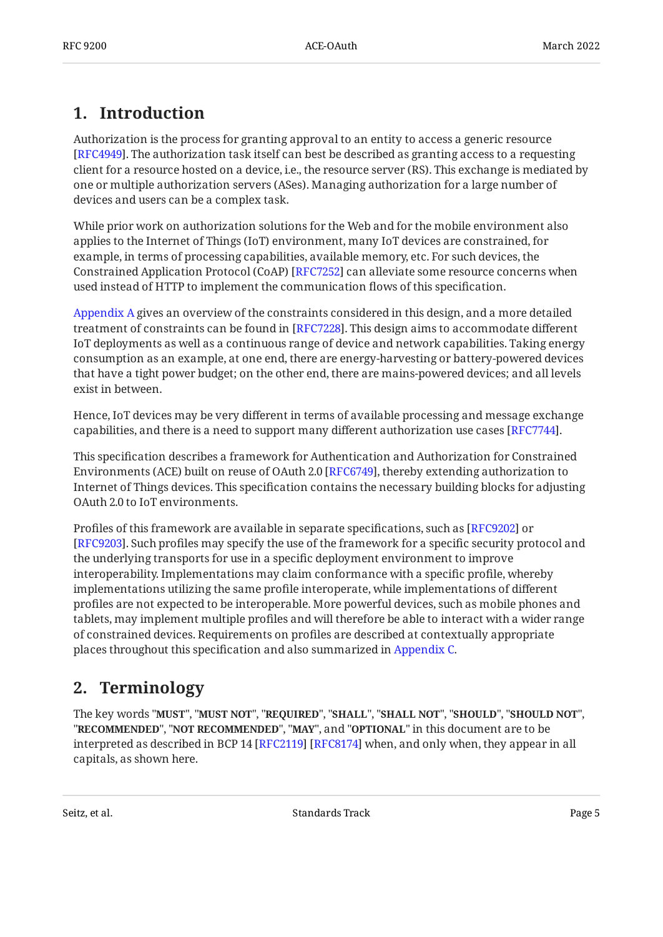## <span id="page-4-0"></span>**[1. Introduction](#page-4-0)**

Authorization is the process for granting approval to an entity to access a generic resource [[RFC4949\]](#page-53-1). The authorization task itself can best be described as granting access to a requesting client for a resource hosted on a device, i.e., the resource server (RS). This exchange is mediated by one or multiple authorization servers (ASes). Managing authorization for a large number of devices and users can be a complex task.

While prior work on authorization solutions for the Web and for the mobile environment also applies to the Internet of Things (IoT) environment, many IoT devices are constrained, for example, in terms of processing capabilities, available memory, etc. For such devices, the Constrained Application Protocol (CoAP) [RFC7252] can alleviate some resource concerns when used instead of HTTP to implement the communication flows of this specification.

[Appendix A](#page-55-0) gives an overview of the constraints considered in this design, and a more detailed treatment of constraints can be found in [RFC7228]. This design aims to accommodate different IoT deployments as well as a continuous range of device and network capabilities. Taking energy consumption as an example, at one end, there are energy-harvesting or battery-powered devices that have a tight power budget; on the other end, there are mains-powered devices; and all levels exist in between.

Hence, IoT devices may be very different in terms of available processing and message exchange capabilities, and there is a need to support many different authorization use cases  $[{\rm RFC7744}].$ 

This specification describes a framework for Authentication and Authorization for Constrained Environments (ACE) built on reuse of OAuth 2.0 [\[RFC6749](#page-52-1)], thereby extending authorization to Internet of Things devices. This specification contains the necessary building blocks for adjusting OAuth 2.0 to IoT environments.

Profiles of this framework are available in separate specifications, such as [RFC9202] or [[RFC9203\]](#page-55-2). Such profiles may specify the use of the framework for a specific security protocol and the underlying transports for use in a specific deployment environment to improve interoperability. Implementations may claim conformance with a specific profile, whereby implementations utilizing the same profile interoperate, while implementations of different profiles are not expected to be interoperable. More powerful devices, such as mobile phones and tablets, may implement multiple profiles and will therefore be able to interact with a wider range of constrained devices. Requirements on profiles are described at contextually appropriate places throughout this specification and also summarized in [Appendix C.](#page-60-0)

## <span id="page-4-1"></span>**[2. Terminology](#page-4-1)**

The key words "MUST", "MUST NOT", "REQUIRED", "SHALL", "SHALL NOT", "SHOULD", "SHOULD NOT", "**RECOMMENDED", "NOT RECOMMENDED", "MAY",** and "OPTIONAL" in this document are to be interpreted as described in BCP 14 [RFC2119] [RFC8174] when, and only when, they appear in all capitals, as shown here.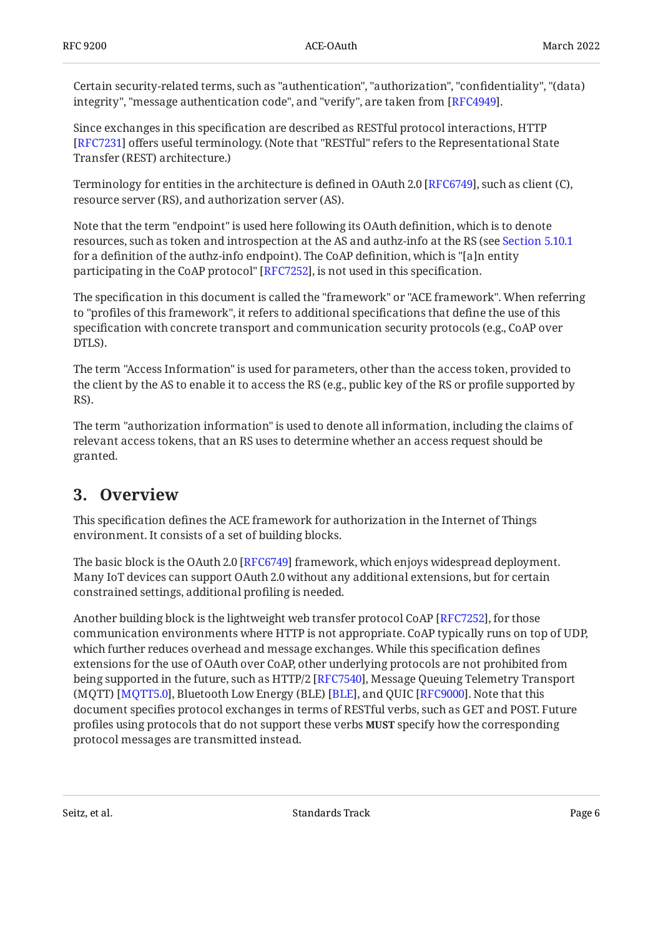Certain security-related terms, such as "authentication", "authorization", "confidentiality", "(data) integrity", "message authentication code", and "verify", are taken from [RFC4949].

Since exchanges in this specification are described as RESTful protocol interactions, HTTP [[RFC7231\]](#page-54-2) offers useful terminology. (Note that "RESTful" refers to the Representational State Transfer (REST) architecture.)

Terminology for entities in the architecture is defined in OAuth 2.0 [RFC6749], such as client (C), resource server (RS), and authorization server (AS).

Note that the term "endpoint" is used here following its OAuth definition, which is to denote resources, such as token and introspection at the AS and authz-info at the RS (see [Section 5.10.1](#page-31-1) for a definition of the authz-info endpoint). The CoAP definition, which is "[a]n entity participating in the CoAP protocol" [RFC7252], is not used in this specification.

The specification in this document is called the "framework" or "ACE framework". When referring to "profiles of this framework", it refers to additional specifications that define the use of this specification with concrete transport and communication security protocols (e.g., CoAP over DTLS).

The term "Access Information" is used for parameters, other than the access token, provided to the client by the AS to enable it to access the RS (e.g., public key of the RS or profile supported by RS).

The term "authorization information" is used to denote all information, including the claims of relevant access tokens, that an RS uses to determine whether an access request should be granted.

## <span id="page-5-0"></span>**[3. Overview](#page-5-0)**

This specification defines the ACE framework for authorization in the Internet of Things environment. It consists of a set of building blocks.

The basic block is the OAuth 2.0 [[RFC6749\]](#page-52-1) framework, which enjoys widespread deployment. Many IoT devices can support OAuth 2.0 without any additional extensions, but for certain constrained settings, additional profiling is needed.

Another building block is the lightweight web transfer protocol CoAP [RFC7252], for those communication environments where HTTP is not appropriate. CoAP typically runs on top of UDP, which further reduces overhead and message exchanges. While this specification defines extensions for the use of OAuth over CoAP, other underlying protocols are not prohibited from being supported in the future, such as HTTP/2 [RFC7540], Message Queuing Telemetry Transport (MQTT) [MQTT5.0], Bluetooth Low Energy (BLE) [BLE], and QUIC [RFC9000]. Note that this document specifies protocol exchanges in terms of RESTful verbs, such as GET and POST. Future profiles using protocols that do not support these verbs **MUST** specify how the corresponding protocol messages are transmitted instead.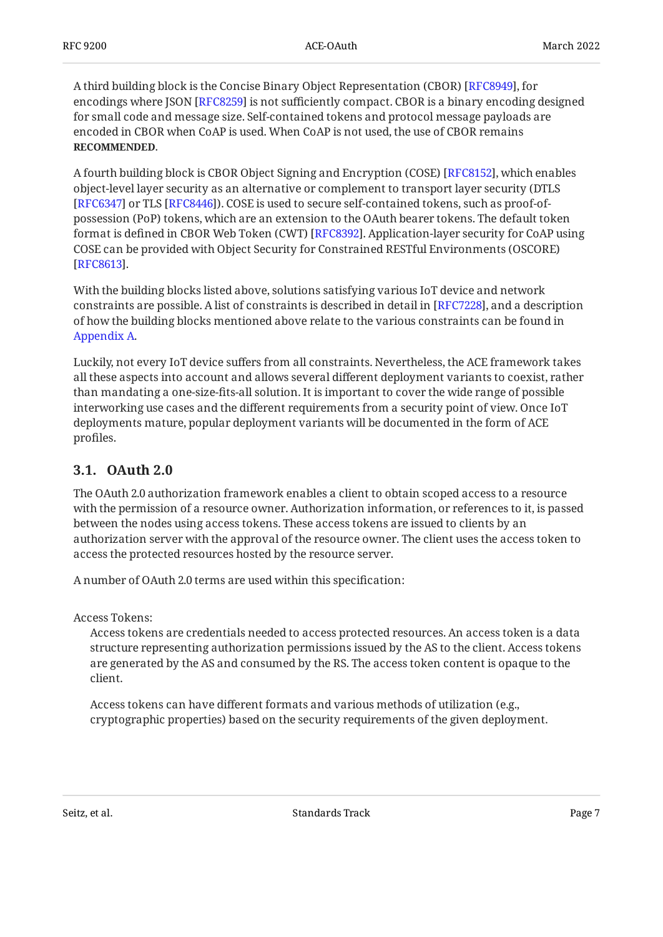A third building block is the Concise Binary Object Representation (CBOR) [RFC8949], for encodings where JSON [RFC8259] is not sufficiently compact. CBOR is a binary encoding designed for small code and message size. Self-contained tokens and protocol message payloads are encoded in CBOR when CoAP is used. When CoAP is not used, the use of CBOR remains . **RECOMMENDED**

A fourth building block is CBOR Object Signing and Encryption (COSE) [RFC8152], which enables object-level layer security as an alternative or complement to transport layer security (DTLS [[RFC6347\]](#page-52-4) or TLS [RFC8446]). COSE is used to secure self-contained tokens, such as proof-ofpossession (PoP) tokens, which are an extension to the OAuth bearer tokens. The default token format is defined in CBOR Web Token (CWT) [RFC8392]. Application-layer security for CoAP using COSE can be provided with Object Security for Constrained RESTful Environments (OSCORE) . [[RFC8613\]](#page-55-5)

With the building blocks listed above, solutions satisfying various IoT device and network constraints are possible. A list of constraints is described in detail in [RFC7228], and a description  $\,$ of how the building blocks mentioned above relate to the various constraints can be found in [Appendix A.](#page-55-0)

Luckily, not every IoT device suffers from all constraints. Nevertheless, the ACE framework takes all these aspects into account and allows several different deployment variants to coexist, rather than mandating a one-size-fits-all solution. It is important to cover the wide range of possible interworking use cases and the different requirements from a security point of view. Once IoT deployments mature, popular deployment variants will be documented in the form of ACE profiles.

### <span id="page-6-0"></span>**[3.1. OAuth 2.0](#page-6-0)**

The OAuth 2.0 authorization framework enables a client to obtain scoped access to a resource with the permission of a resource owner. Authorization information, or references to it, is passed between the nodes using access tokens. These access tokens are issued to clients by an authorization server with the approval of the resource owner. The client uses the access token to access the protected resources hosted by the resource server.

A number of OAuth 2.0 terms are used within this specification:

Access Tokens:

Access tokens are credentials needed to access protected resources. An access token is a data structure representing authorization permissions issued by the AS to the client. Access tokens are generated by the AS and consumed by the RS. The access token content is opaque to the client.

Access tokens can have different formats and various methods of utilization (e.g., cryptographic properties) based on the security requirements of the given deployment.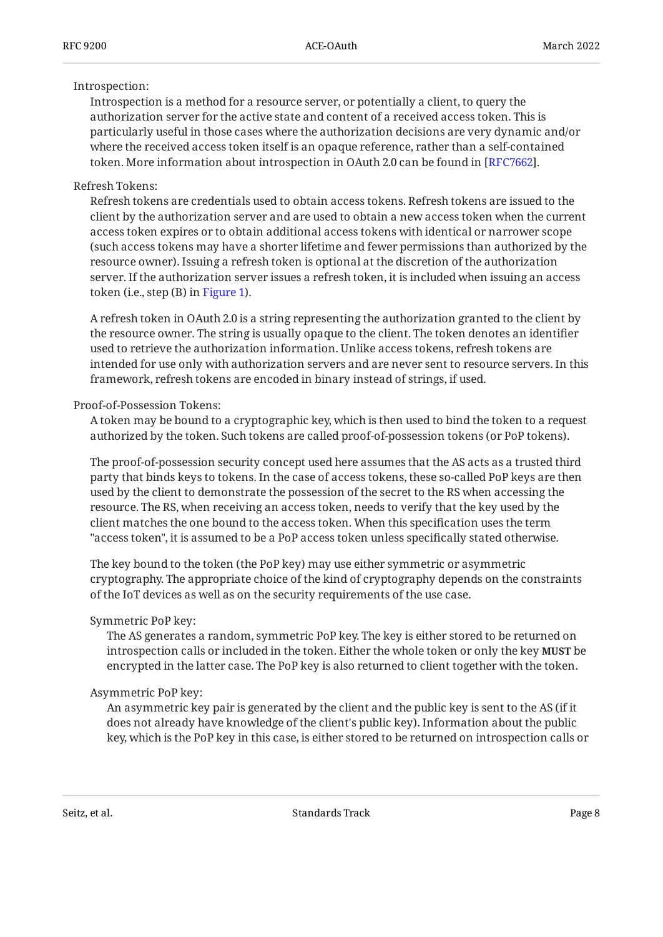#### Introspection:

Introspection is a method for a resource server, or potentially a client, to query the authorization server for the active state and content of a received access token. This is particularly useful in those cases where the authorization decisions are very dynamic and/or where the received access token itself is an opaque reference, rather than a self-contained token. More information about introspection in OAuth 2.0 can be found in [[RFC7662\]](#page-52-6).

### Refresh Tokens:

Refresh tokens are credentials used to obtain access tokens. Refresh tokens are issued to the client by the authorization server and are used to obtain a new access token when the current access token expires or to obtain additional access tokens with identical or narrower scope (such access tokens may have a shorter lifetime and fewer permissions than authorized by the resource owner). Issuing a refresh token is optional at the discretion of the authorization server. If the authorization server issues a refresh token, it is included when issuing an access token (i.e., step (B) in [Figure 1\)](#page-10-0).

A refresh token in OAuth 2.0 is a string representing the authorization granted to the client by the resource owner. The string is usually opaque to the client. The token denotes an identifier used to retrieve the authorization information. Unlike access tokens, refresh tokens are intended for use only with authorization servers and are never sent to resource servers. In this framework, refresh tokens are encoded in binary instead of strings, if used.

### Proof-of-Possession Tokens:

A token may be bound to a cryptographic key, which is then used to bind the token to a request authorized by the token. Such tokens are called proof-of-possession tokens (or PoP tokens).

The proof-of-possession security concept used here assumes that the AS acts as a trusted third party that binds keys to tokens. In the case of access tokens, these so-called PoP keys are then used by the client to demonstrate the possession of the secret to the RS when accessing the resource. The RS, when receiving an access token, needs to verify that the key used by the client matches the one bound to the access token. When this specification uses the term "access token", it is assumed to be a PoP access token unless specifically stated otherwise.

The key bound to the token (the PoP key) may use either symmetric or asymmetric cryptography. The appropriate choice of the kind of cryptography depends on the constraints of the IoT devices as well as on the security requirements of the use case.

#### Symmetric PoP key:

The AS generates a random, symmetric PoP key. The key is either stored to be returned on introspection calls or included in the token. Either the whole token or only the key **MUST** be encrypted in the latter case. The PoP key is also returned to client together with the token.

### Asymmetric PoP key:

An asymmetric key pair is generated by the client and the public key is sent to the AS (if it does not already have knowledge of the client's public key). Information about the public key, which is the PoP key in this case, is either stored to be returned on introspection calls or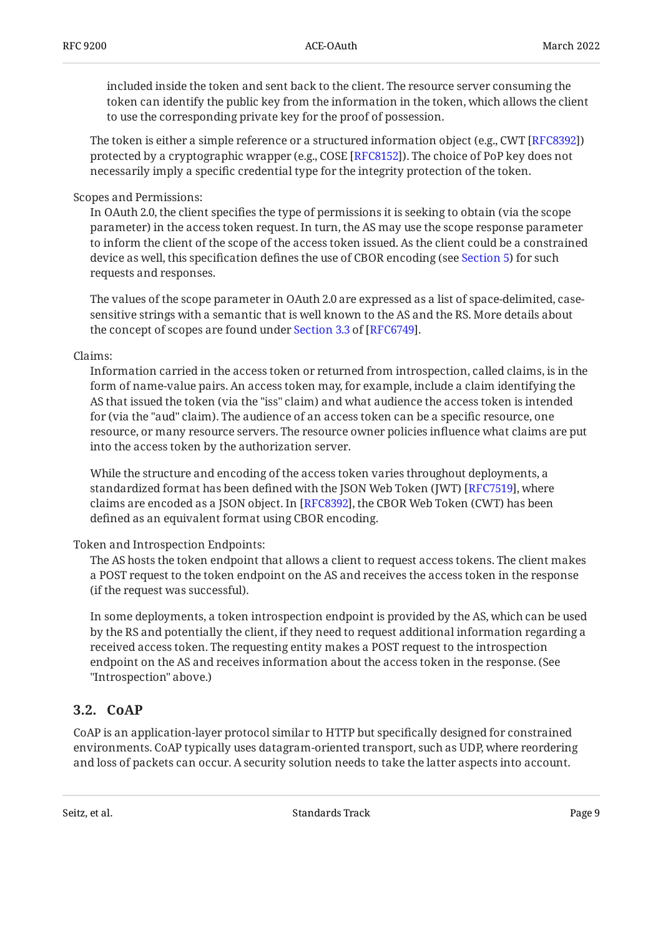included inside the token and sent back to the client. The resource server consuming the token can identify the public key from the information in the token, which allows the client to use the corresponding private key for the proof of possession.

The token is either a simple reference or a structured information object (e.g., CWT [[RFC8392\]](#page-52-5)) protected by a cryptographic wrapper (e.g., COSE [RFC8152]). The choice of PoP key does not necessarily imply a specific credential type for the integrity protection of the token.

### Scopes and Permissions:

In OAuth 2.0, the client specifies the type of permissions it is seeking to obtain (via the scope parameter) in the access token request. In turn, the AS may use the scope response parameter to inform the client of the scope of the access token issued. As the client could be a constrained device as well, this specification defines the use of CBOR encoding (see [Section 5\)](#page-12-0) for such requests and responses.

The values of the scope parameter in OAuth 2.0 are expressed as a list of space-delimited, casesensitive strings with a semantic that is well known to the AS and the RS. More details about theconcept of scopes are found under Section 3.3 of [RFC6749].

#### Claims:

Information carried in the access token or returned from introspection, called claims, is in the form of name-value pairs. An access token may, for example, include a claim identifying the AS that issued the token (via the "iss" claim) and what audience the access token is intended for (via the "aud" claim). The audience of an access token can be a specific resource, one resource, or many resource servers. The resource owner policies influence what claims are put into the access token by the authorization server.

While the structure and encoding of the access token varies throughout deployments, a standardized format has been defined with the JSON Web Token (JWT) [RFC7519], where claims are encoded as a JSON object. In [RFC8392], the CBOR Web Token (CWT) has been defined as an equivalent format using CBOR encoding.

### Token and Introspection Endpoints:

The AS hosts the token endpoint that allows a client to request access tokens. The client makes a POST request to the token endpoint on the AS and receives the access token in the response (if the request was successful).

In some deployments, a token introspection endpoint is provided by the AS, which can be used by the RS and potentially the client, if they need to request additional information regarding a received access token. The requesting entity makes a POST request to the introspection endpoint on the AS and receives information about the access token in the response. (See "Introspection" above.)

### <span id="page-8-0"></span>**[3.2. CoAP](#page-8-0)**

CoAP is an application-layer protocol similar to HTTP but specifically designed for constrained environments. CoAP typically uses datagram-oriented transport, such as UDP, where reordering and loss of packets can occur. A security solution needs to take the latter aspects into account.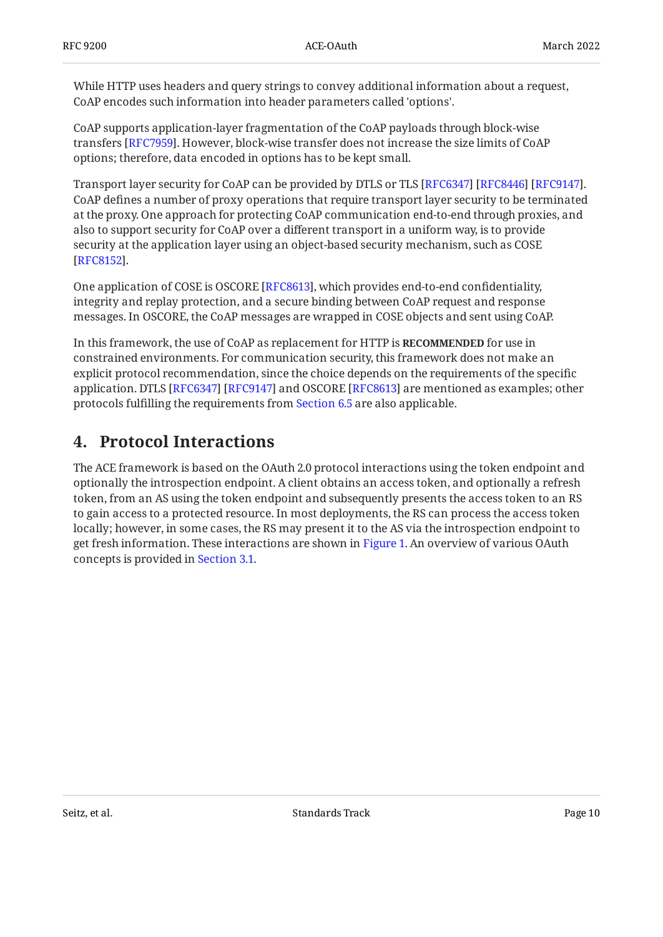While HTTP uses headers and query strings to convey additional information about a request, CoAP encodes such information into header parameters called 'options'.

CoAP supports application-layer fragmentation of the CoAP payloads through block-wise transfers [\[RFC7959](#page-54-5)]. However, block-wise transfer does not increase the size limits of CoAP options; therefore, data encoded in options has to be kept small.

Transport layer security for CoAP can be provided by DTLS or TLS [RFC6347] [RFC8446] [RFC9147]. CoAP defines a number of proxy operations that require transport layer security to be terminated at the proxy. One approach for protecting CoAP communication end-to-end through proxies, and also to support security for CoAP over a different transport in a uniform way, is to provide security at the application layer using an object-based security mechanism, such as COSE . [[RFC8152\]](#page-52-3)

One application of COSE is OSCORE [RFC8613], which provides end-to-end confidentiality, integrity and replay protection, and a secure binding between CoAP request and response messages. In OSCORE, the CoAP messages are wrapped in COSE objects and sent using CoAP.

In this framework, the use of CoAP as replacement for HTTP is **RECOMMENDED** for use in constrained environments. For communication security, this framework does not make an explicit protocol recommendation, since the choice depends on the requirements of the specific application. DTLS [RFC6347] [RFC9147] and OSCORE [RFC8613] are mentioned as examples; other protocols fulfilling the requirements from [Section 6.5](#page-38-2) are also applicable.

## <span id="page-9-0"></span>**[4. Protocol Interactions](#page-9-0)**

<span id="page-9-1"></span>The ACE framework is based on the OAuth 2.0 protocol interactions using the token endpoint and optionally the introspection endpoint. A client obtains an access token, and optionally a refresh token, from an AS using the token endpoint and subsequently presents the access token to an RS to gain access to a protected resource. In most deployments, the RS can process the access token locally; however, in some cases, the RS may present it to the AS via the introspection endpoint to get fresh information. These interactions are shown in [Figure 1.](#page-10-0) An overview of various OAuth concepts is provided in [Section 3.1.](#page-6-0)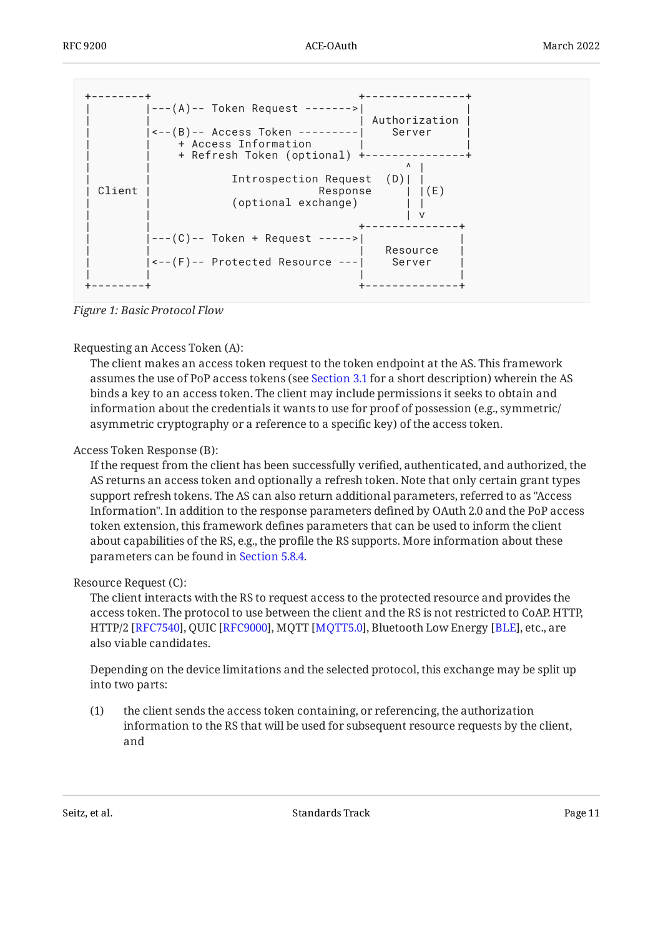<span id="page-10-0"></span>

*[Figure 1:](#page-10-0) [Basic Protocol Flow](#page-9-1)* 

### Requesting an Access Token (A):

The client makes an access token request to the token endpoint at the AS. This framework assumes the use of PoP access tokens (see [Section 3.1](#page-6-0) for a short description) wherein the AS binds a key to an access token. The client may include permissions it seeks to obtain and information about the credentials it wants to use for proof of possession (e.g., symmetric/ asymmetric cryptography or a reference to a specific key) of the access token.

### Access Token Response (B):

If the request from the client has been successfully verified, authenticated, and authorized, the AS returns an access token and optionally a refresh token. Note that only certain grant types support refresh tokens. The AS can also return additional parameters, referred to as "Access Information". In addition to the response parameters defined by OAuth 2.0 and the PoP access token extension, this framework defines parameters that can be used to inform the client about capabilities of the RS, e.g., the profile the RS supports. More information about these parameters can be found in [Section 5.8.4.](#page-24-0)

### Resource Request (C):

The client interacts with the RS to request access to the protected resource and provides the access token. The protocol to use between the client and the RS is not restricted to CoAP. HTTP, HTTP/2 [RFC7540], QUIC [RFC9000], MQTT [MQTT5.0], Bluetooth Low Energy [BLE], etc., are also viable candidates.

Depending on the device limitations and the selected protocol, this exchange may be split up into two parts:

(1) the client sends the access token containing, or referencing, the authorization information to the RS that will be used for subsequent resource requests by the client, and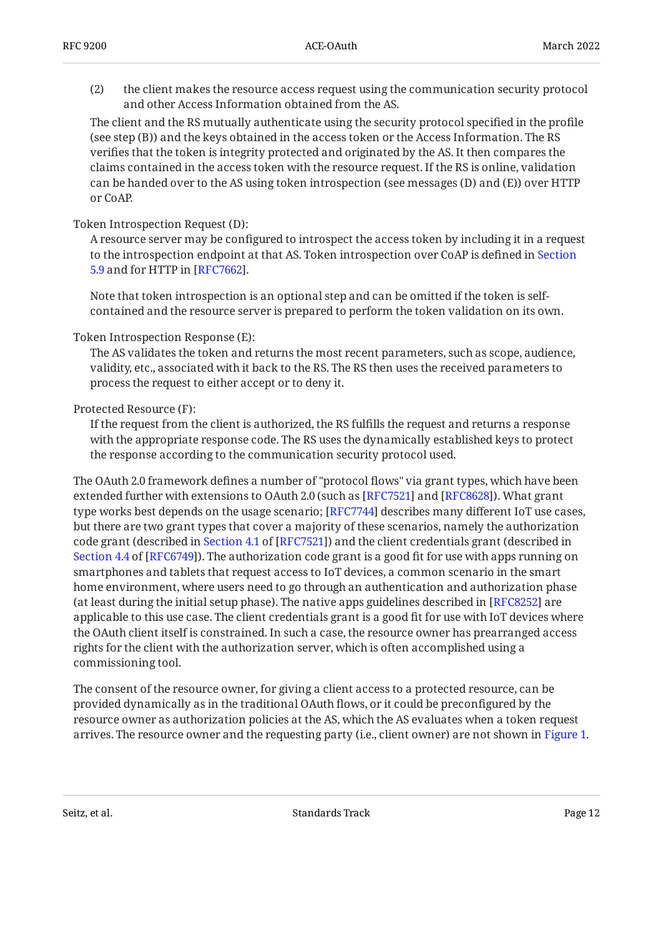(2) the client makes the resource access request using the communication security protocol and other Access Information obtained from the AS.

The client and the RS mutually authenticate using the security protocol specified in the profile (see step (B)) and the keys obtained in the access token or the Access Information. The RS verifies that the token is integrity protected and originated by the AS. It then compares the claims contained in the access token with the resource request. If the RS is online, validation can be handed over to the AS using token introspection (see messages (D) and (E)) over HTTP or CoAP.

### Token Introspection Request (D):

A resource server may be configured to introspect the access token by including it in a request to the introspection endpoint at that AS. Token introspection over CoAP is defined in [Section](#page-27-0)  $5.9$  and for HTTP in  $[RFC7662]$  $[RFC7662]$ .

Note that token introspection is an optional step and can be omitted if the token is selfcontained and the resource server is prepared to perform the token validation on its own.

### Token Introspection Response (E):

The AS validates the token and returns the most recent parameters, such as scope, audience, validity, etc., associated with it back to the RS. The RS then uses the received parameters to process the request to either accept or to deny it.

### Protected Resource (F):

If the request from the client is authorized, the RS fulfills the request and returns a response with the appropriate response code. The RS uses the dynamically established keys to protect the response according to the communication security protocol used.

The OAuth 2.0 framework defines a number of "protocol flows" via grant types, which have been extended further with extensions to OAuth 2.0 (such as [\[RFC7521\]](#page-54-6) and [[RFC8628\]](#page-55-7)). What grant type works best depends on the usage scenario; [RFC7744] describes many different IoT use cases, but there are two grant types that cover a majority of these scenarios, namely the authorization codegrant (described in Section 4.1 of [RFC7521]) and the client credentials grant (described in [Section 4.4](https://www.rfc-editor.org/rfc/rfc6749#section-4.4) of [\[RFC6749\]](#page-52-1)). The authorization code grant is a good fit for use with apps running on smartphones and tablets that request access to IoT devices, a common scenario in the smart home environment, where users need to go through an authentication and authorization phase (at least during the initial setup phase). The native apps guidelines described in [RFC8252] are applicable to this use case. The client credentials grant is a good fit for use with IoT devices where the OAuth client itself is constrained. In such a case, the resource owner has prearranged access rights for the client with the authorization server, which is often accomplished using a commissioning tool.

The consent of the resource owner, for giving a client access to a protected resource, can be provided dynamically as in the traditional OAuth flows, or it could be preconfigured by the resource owner as authorization policies at the AS, which the AS evaluates when a token request arrives. The resource owner and the requesting party (i.e., client owner) are not shown in [Figure 1.](#page-10-0)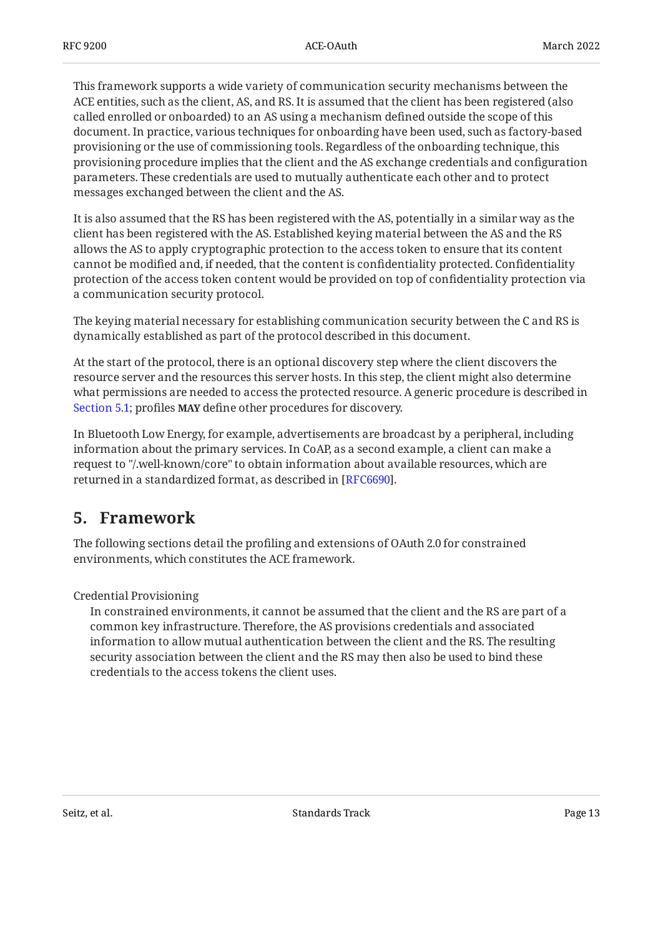This framework supports a wide variety of communication security mechanisms between the ACE entities, such as the client, AS, and RS. It is assumed that the client has been registered (also called enrolled or onboarded) to an AS using a mechanism defined outside the scope of this document. In practice, various techniques for onboarding have been used, such as factory-based provisioning or the use of commissioning tools. Regardless of the onboarding technique, this provisioning procedure implies that the client and the AS exchange credentials and configuration parameters. These credentials are used to mutually authenticate each other and to protect messages exchanged between the client and the AS.

It is also assumed that the RS has been registered with the AS, potentially in a similar way as the client has been registered with the AS. Established keying material between the AS and the RS allows the AS to apply cryptographic protection to the access token to ensure that its content cannot be modified and, if needed, that the content is confidentiality protected. Confidentiality protection of the access token content would be provided on top of confidentiality protection via a communication security protocol.

The keying material necessary for establishing communication security between the C and RS is dynamically established as part of the protocol described in this document.

At the start of the protocol, there is an optional discovery step where the client discovers the resource server and the resources this server hosts. In this step, the client might also determine what permissions are needed to access the protected resource. A generic procedure is described in [Section 5.1](#page-14-0); profiles MAY define other procedures for discovery.

In Bluetooth Low Energy, for example, advertisements are broadcast by a peripheral, including information about the primary services. In CoAP, as a second example, a client can make a request to "/.well-known/core" to obtain information about available resources, which are returned in a standardized format, as described in [RFC6690].

## <span id="page-12-0"></span>**[5. Framework](#page-12-0)**

The following sections detail the profiling and extensions of OAuth 2.0 for constrained environments, which constitutes the ACE framework.

Credential Provisioning

In constrained environments, it cannot be assumed that the client and the RS are part of a common key infrastructure. Therefore, the AS provisions credentials and associated information to allow mutual authentication between the client and the RS. The resulting security association between the client and the RS may then also be used to bind these credentials to the access tokens the client uses.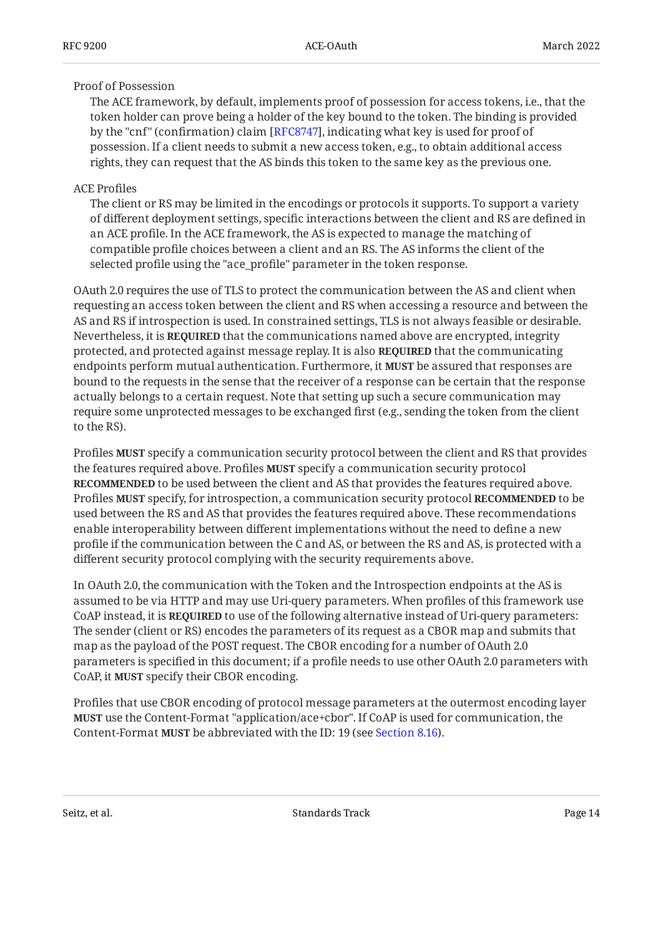### Proof of Possession

The ACE framework, by default, implements proof of possession for access tokens, i.e., that the token holder can prove being a holder of the key bound to the token. The binding is provided by the "cnf" (confirmation) claim [[RFC8747\]](#page-53-6), indicating what key is used for proof of possession. If a client needs to submit a new access token, e.g., to obtain additional access rights, they can request that the AS binds this token to the same key as the previous one.

### ACE Profiles

The client or RS may be limited in the encodings or protocols it supports. To support a variety of different deployment settings, specific interactions between the client and RS are defined in an ACE profile. In the ACE framework, the AS is expected to manage the matching of compatible profile choices between a client and an RS. The AS informs the client of the selected profile using the "ace\_profile" parameter in the token response.

OAuth 2.0 requires the use of TLS to protect the communication between the AS and client when requesting an access token between the client and RS when accessing a resource and between the AS and RS if introspection is used. In constrained settings, TLS is not always feasible or desirable. Nevertheless, it is **REQUIRED** that the communications named above are encrypted, integrity protected, and protected against message replay. It is also **REQUIRED** that the communicating endpoints perform mutual authentication. Furthermore, it **MUST** be assured that responses are bound to the requests in the sense that the receiver of a response can be certain that the response actually belongs to a certain request. Note that setting up such a secure communication may require some unprotected messages to be exchanged first (e.g., sending the token from the client to the RS).

Profiles **MUST** specify a communication security protocol between the client and RS that provides the features required above. Profiles **MUST** specify a communication security protocol **RECOMMENDED** to be used between the client and AS that provides the features required above. Profiles **MUST** specify, for introspection, a communication security protocol **RECOMMENDED** to be used between the RS and AS that provides the features required above. These recommendations enable interoperability between different implementations without the need to define a new profile if the communication between the C and AS, or between the RS and AS, is protected with a different security protocol complying with the security requirements above.

In OAuth 2.0, the communication with the Token and the Introspection endpoints at the AS is assumed to be via HTTP and may use Uri-query parameters. When profiles of this framework use CoAP instead, it is **REQUIRED** to use of the following alternative instead of Uri-query parameters: The sender (client or RS) encodes the parameters of its request as a CBOR map and submits that map as the payload of the POST request. The CBOR encoding for a number of OAuth 2.0 parameters is specified in this document; if a profile needs to use other OAuth 2.0 parameters with CoAP, it **MUST** specify their CBOR encoding.

Profiles that use CBOR encoding of protocol message parameters at the outermost encoding layer **MUST** use the Content-Format "application/ace+cbor". If CoAP is used for communication, the Content-Format **MUST** be abbreviated with the ID: 19 (see [Section 8.16\)](#page-50-0).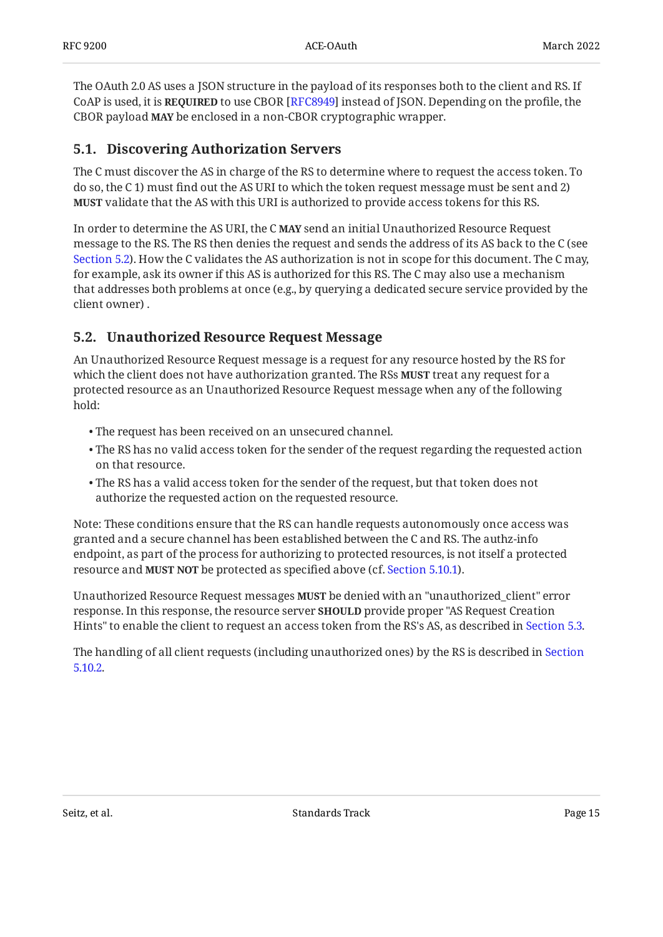The OAuth 2.0 AS uses a JSON structure in the payload of its responses both to the client and RS. If CoAP is used, it is **REQUIRED** to use CBOR [RFC8949] instead of JSON. Depending on the profile, the CBOR payload **MAY** be enclosed in a non-CBOR cryptographic wrapper.

### <span id="page-14-0"></span>**[5.1. Discovering Authorization Servers](#page-14-0)**

The C must discover the AS in charge of the RS to determine where to request the access token. To do so, the C 1) must find out the AS URI to which the token request message must be sent and 2) **MUST** validate that the AS with this URI is authorized to provide access tokens for this RS.

In order to determine the AS URI, the C **MAY** send an initial Unauthorized Resource Request message to the RS. The RS then denies the request and sends the address of its AS back to the C (see [Section 5.2](#page-14-1)). How the C validates the AS authorization is not in scope for this document. The C may, for example, ask its owner if this AS is authorized for this RS. The C may also use a mechanism that addresses both problems at once (e.g., by querying a dedicated secure service provided by the client owner) .

### <span id="page-14-1"></span>**[5.2. Unauthorized Resource Request Message](#page-14-1)**

An Unauthorized Resource Request message is a request for any resource hosted by the RS for which the client does not have authorization granted. The RSs **MUST** treat any request for a protected resource as an Unauthorized Resource Request message when any of the following hold:

- The request has been received on an unsecured channel. •
- $\bullet$  The RS has no valid access token for the sender of the request regarding the requested action on that resource.
- $\bullet$  The RS has a valid access token for the sender of the request, but that token does not authorize the requested action on the requested resource.

Note: These conditions ensure that the RS can handle requests autonomously once access was granted and a secure channel has been established between the C and RS. The authz-info endpoint, as part of the process for authorizing to protected resources, is not itself a protected resource and MUST NOT be protected as specified above (cf. [Section 5.10.1\)](#page-31-1).

Unauthorized Resource Request messages **MUST** be denied with an "unauthorized\_client" error response. In this response, the resource server **SHOULD** provide proper "AS Request Creation Hints" to enable the client to request an access token from the RS's AS, as described in [Section 5.3](#page-15-0).

The handling of all client requests (including unauthorized ones) by the RS is described in [Section](#page-34-1) [5.10.2.](#page-34-1)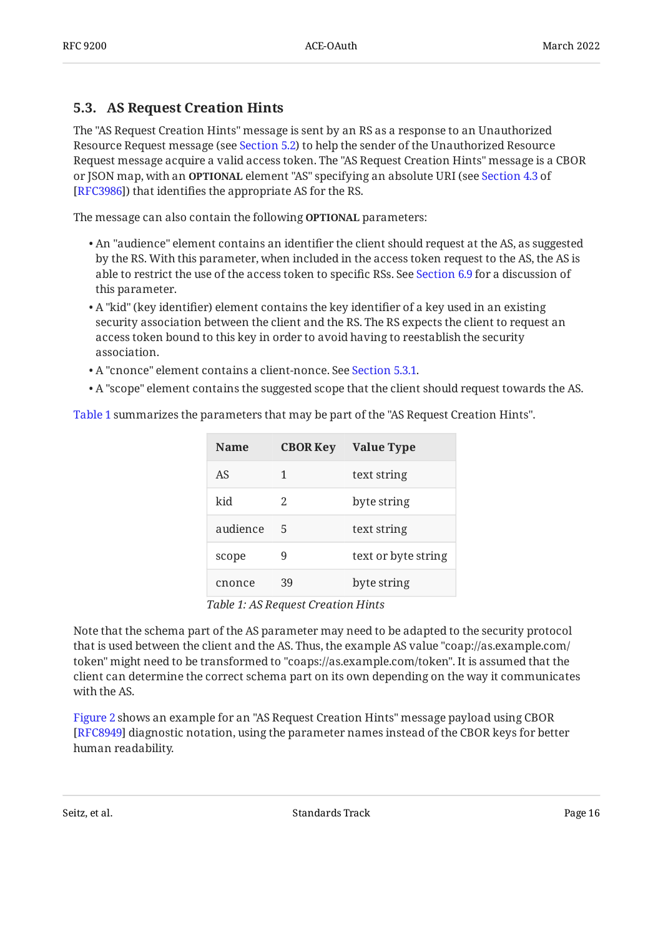### <span id="page-15-0"></span>**[5.3. AS Request Creation Hints](#page-15-0)**

The "AS Request Creation Hints" message is sent by an RS as a response to an Unauthorized Resource Request message (see [Section 5.2](#page-14-1)) to help the sender of the Unauthorized Resource Request message acquire a valid access token. The "AS Request Creation Hints" message is a CBOR or JSON map, with an **OPTIONAL** element "AS" specifying an absolute URI (see [Section 4.3](https://www.rfc-editor.org/rfc/rfc3986#section-4.3) of [[RFC3986\]](#page-51-3)) that identifies the appropriate AS for the RS.

The message can also contain the following **OPTIONAL** parameters:

- $\bullet$  An "audience" element contains an identifier the client should request at the AS, as suggested by the RS. With this parameter, when included in the access token request to the AS, the AS is able to restrict the use of the access token to specific RSs. See [Section 6.9](#page-41-0) for a discussion of this parameter.
- $\bullet$  A "kid" (key identifier) element contains the key identifier of a key used in an existing security association between the client and the RS. The RS expects the client to request an access token bound to this key in order to avoid having to reestablish the security association.
- A "cnonce" element contains a client-nonce. See <mark>Section 5.3.1.</mark>
- A "scope" element contains the suggested scope that the client should request towards the AS.

<span id="page-15-1"></span>[Table 1](#page-15-1) summarizes the parameters that may be part of the "AS Request Creation Hints".

<span id="page-15-2"></span>

| Name     | <b>CBOR Key</b> | <b>Value Type</b>   |
|----------|-----------------|---------------------|
| AS       | 1               | text string         |
| kid      | 2.              | byte string         |
| audience | 5               | text string         |
| scope    | 9               | text or byte string |
| cnonce   | 39              | byte string         |
|          |                 |                     |

*[Table 1:](#page-15-2) [AS Request Creation Hints](#page-15-1)* 

Note that the schema part of the AS parameter may need to be adapted to the security protocol that is used between the client and the AS. Thus, the example AS value "coap://as.example.com/ token" might need to be transformed to "coaps://as.example.com/token". It is assumed that the client can determine the correct schema part on its own depending on the way it communicates with the AS.

[Figure 2](#page-16-1) shows an example for an "AS Request Creation Hints" message payload using CBOR [[RFC8949\]](#page-53-4) diagnostic notation, using the parameter names instead of the CBOR keys for better human readability.

<span id="page-15-3"></span>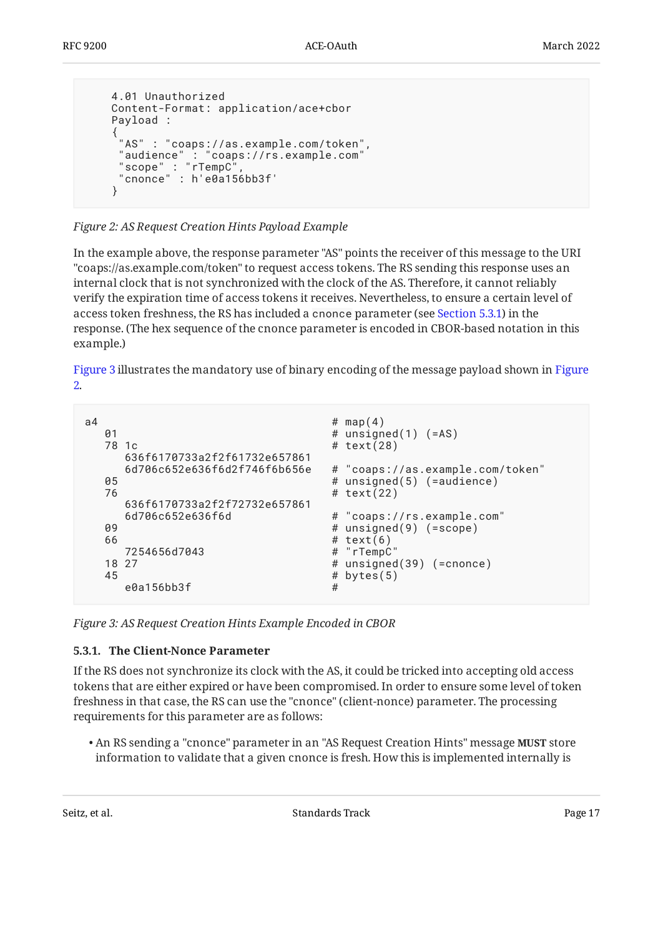```
 4.01 Unauthorized
        Content-Format: application/ace+cbor
        Payload :
\{ \cdot \cdot \cdot \cdot \cdot \cdot \cdot \cdot \cdot \cdot \cdot \cdot \cdot \cdot \cdot \cdot \cdot \cdot \cdot \cdot \cdot \cdot \cdot \cdot \cdot \cdot \cdot \cdot \cdot \cdot \cdot \cdot \cdot \cdot \cdot \cdot 
 "AS" : "coaps://as.example.com/token",
 "audience" : "coaps://rs.example.com"
 "scope" : "rTempC",
 "cnonce" : h'e0a156bb3f'
 }
```
*[Figure 2:](#page-16-1) [AS Request Creation Hints Payload Example](#page-15-3)* 

In the example above, the response parameter "AS" points the receiver of this message to the URI "coaps://as.example.com/token" to request access tokens. The RS sending this response uses an internal clock that is not synchronized with the clock of the AS. Therefore, it cannot reliably verify the expiration time of access tokens it receives. Nevertheless, to ensure a certain level of access token freshness, the RS has included a cnonce parameter (see [Section 5.3.1\)](#page-16-0) in the response. (The hex sequence of the cnonce parameter is encoded in CBOR-based notation in this example.)

[Figure 3](#page-16-2) illustrates the mandatory use of binary encoding of the message payload shown in [Figure](#page-16-1) [2](#page-16-1).

```
a4 # map(4)
 01 # unsigned(1) (=AS)
 78 1c # text(28)
    636f6170733a2f2f61732e657861
    6d706c652e636f6d2f746f6b656e # "coaps://as.example.com/token"
 05 # unsigned(5) (=audience)
  76 # text(22)
    636f6170733a2f2f72732e657861
 6d706c652e636f6d \qquad \qquad # "coaps://rs.example.com"# unsigned(9) (=scope)
 66 # text(6)<br>7254656d7043 # "rTempC"
   7254656d7043
 18 27 # unsigned(39) (=cnonce)
 45 # bytes(5)
    e0a156bb3f #
```
<span id="page-16-0"></span>*[Figure 3: AS Request Creation Hints Example Encoded in CBOR](#page-16-2)* 

### **[5.3.1. The Client-Nonce Parameter](#page-16-0)**

If the RS does not synchronize its clock with the AS, it could be tricked into accepting old access tokens that are either expired or have been compromised. In order to ensure some level of token freshness in that case, the RS can use the "cnonce" (client-nonce) parameter. The processing requirements for this parameter are as follows:

• An RS sending a "cnonce" parameter in an "AS Request Creation Hints" message **MUST** store information to validate that a given cnonce is fresh. How this is implemented internally is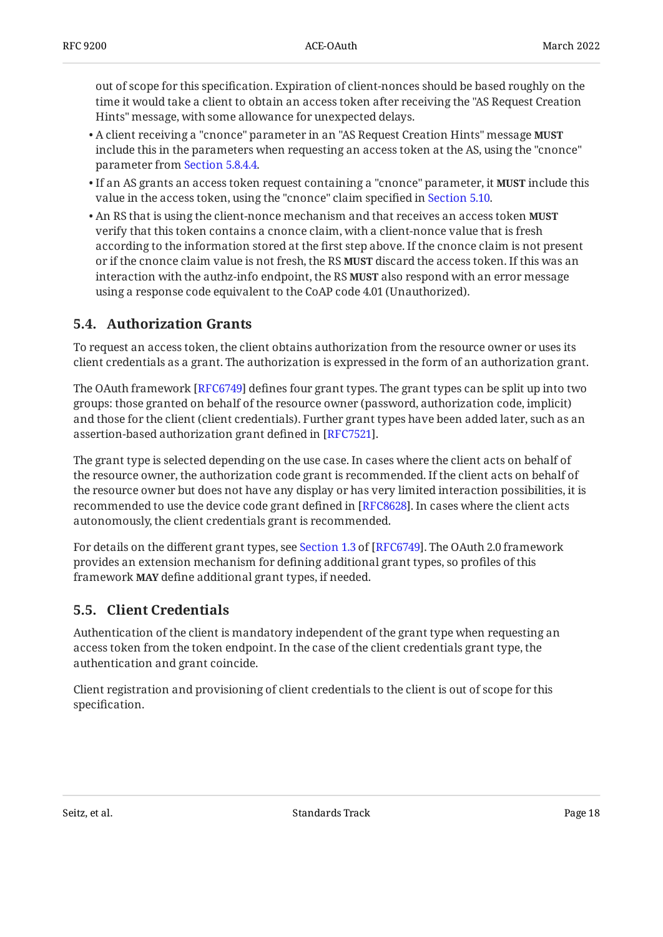out of scope for this specification. Expiration of client-nonces should be based roughly on the time it would take a client to obtain an access token after receiving the "AS Request Creation Hints" message, with some allowance for unexpected delays.

- A client receiving a "cnonce" parameter in an "AS Request Creation Hints" message **MUST** include this in the parameters when requesting an access token at the AS, using the "cnonce" parameter from [Section 5.8.4.4](#page-25-1).
- If an AS grants an access token request containing a "cnonce" parameter, it **MUST** include this value in the access token, using the "cnonce" claim specified in [Section 5.10.](#page-31-0)
- An RS that is using the client-nonce mechanism and that receives an access token **MUST** verify that this token contains a cnonce claim, with a client-nonce value that is fresh according to the information stored at the first step above. If the cnonce claim is not present or if the cnonce claim value is not fresh, the RS **MUST** discard the access token. If this was an interaction with the authz-info endpoint, the RS **MUST** also respond with an error message using a response code equivalent to the CoAP code 4.01 (Unauthorized).

### <span id="page-17-0"></span>**[5.4. Authorization Grants](#page-17-0)**

To request an access token, the client obtains authorization from the resource owner or uses its client credentials as a grant. The authorization is expressed in the form of an authorization grant.

The OAuth framework [RFC6749] defines four grant types. The grant types can be split up into two groups: those granted on behalf of the resource owner (password, authorization code, implicit) and those for the client (client credentials). Further grant types have been added later, such as an assertion-based authorization grant defined in [RFC7521].

The grant type is selected depending on the use case. In cases where the client acts on behalf of the resource owner, the authorization code grant is recommended. If the client acts on behalf of the resource owner but does not have any display or has very limited interaction possibilities, it is recommended to use the device code grant defined in [RFC8628]. In cases where the client acts autonomously, the client credentials grant is recommended.

Fordetails on the different grant types, see Section 1.3 of [RFC6749]. The OAuth 2.0 framework provides an extension mechanism for defining additional grant types, so profiles of this framework define additional grant types, if needed. **MAY**

### <span id="page-17-1"></span>**[5.5. Client Credentials](#page-17-1)**

Authentication of the client is mandatory independent of the grant type when requesting an access token from the token endpoint. In the case of the client credentials grant type, the authentication and grant coincide.

Client registration and provisioning of client credentials to the client is out of scope for this specification.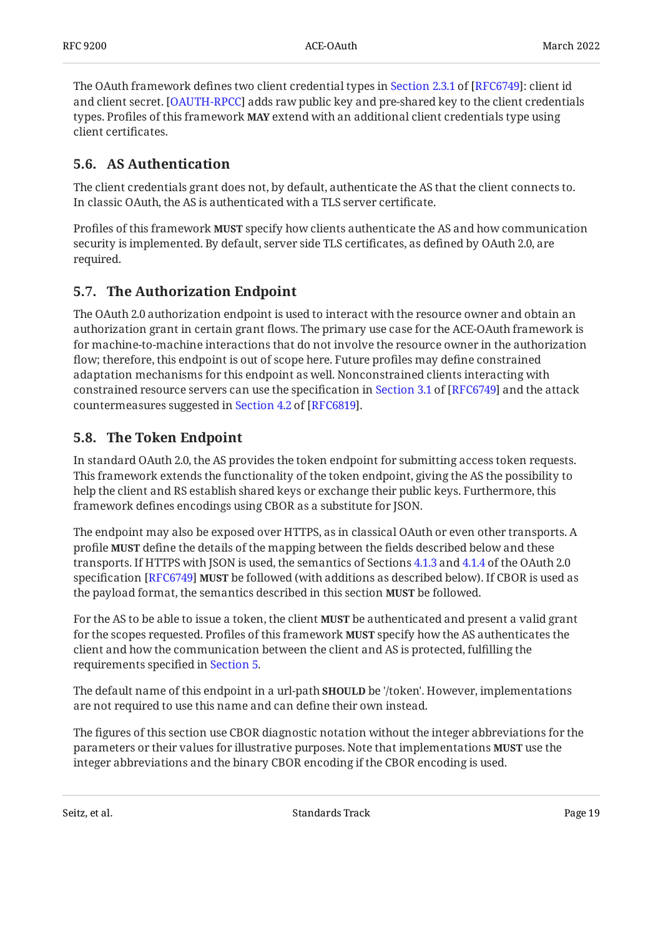TheOAuth framework defines two client credential types in Section 2.3.1 of [RFC6749]: client id and client secret. [OAUTH-RPCC] adds raw public key and pre-shared key to the client credentials types. Profiles of this framework **MAY** extend with an additional client credentials type using client certificates.

### <span id="page-18-0"></span>**[5.6. AS Authentication](#page-18-0)**

The client credentials grant does not, by default, authenticate the AS that the client connects to. In classic OAuth, the AS is authenticated with a TLS server certificate.

Profiles of this framework **MUST** specify how clients authenticate the AS and how communication security is implemented. By default, server side TLS certificates, as defined by OAuth 2.0, are required.

### <span id="page-18-1"></span>**[5.7. The Authorization Endpoint](#page-18-1)**

The OAuth 2.0 authorization endpoint is used to interact with the resource owner and obtain an authorization grant in certain grant flows. The primary use case for the ACE-OAuth framework is for machine-to-machine interactions that do not involve the resource owner in the authorization flow; therefore, this endpoint is out of scope here. Future profiles may define constrained adaptation mechanisms for this endpoint as well. Nonconstrained clients interacting with constrainedresource servers can use the specification in Section 3.1 of [RFC6749] and the attack countermeasuressuggested in Section 4.2 of [RFC6819].

### <span id="page-18-2"></span>**[5.8. The Token Endpoint](#page-18-2)**

In standard OAuth 2.0, the AS provides the token endpoint for submitting access token requests. This framework extends the functionality of the token endpoint, giving the AS the possibility to help the client and RS establish shared keys or exchange their public keys. Furthermore, this framework defines encodings using CBOR as a substitute for JSON.

The endpoint may also be exposed over HTTPS, as in classical OAuth or even other transports. A profile **MUST** define the details of the mapping between the fields described below and these transports. If HTTPS with JSON is used, the semantics of Sections [4.1.3](https://www.rfc-editor.org/rfc/rfc6749#section-4.1.3) and [4.1.4](https://www.rfc-editor.org/rfc/rfc6749#section-4.1.4) of the OAuth 2.0 specification [RFC6749] **MUST** be followed (with additions as described below). If CBOR is used as the payload format, the semantics described in this section **MUST** be followed.

For the AS to be able to issue a token, the client **MUST** be authenticated and present a valid grant for the scopes requested. Profiles of this framework **MUST** specify how the AS authenticates the client and how the communication between the client and AS is protected, fulfilling the requirements specified in [Section 5.](#page-12-0)

The default name of this endpoint in a url-path **SHOULD** be '/token'. However, implementations are not required to use this name and can define their own instead.

The figures of this section use CBOR diagnostic notation without the integer abbreviations for the parameters or their values for illustrative purposes. Note that implementations **MUST** use the integer abbreviations and the binary CBOR encoding if the CBOR encoding is used.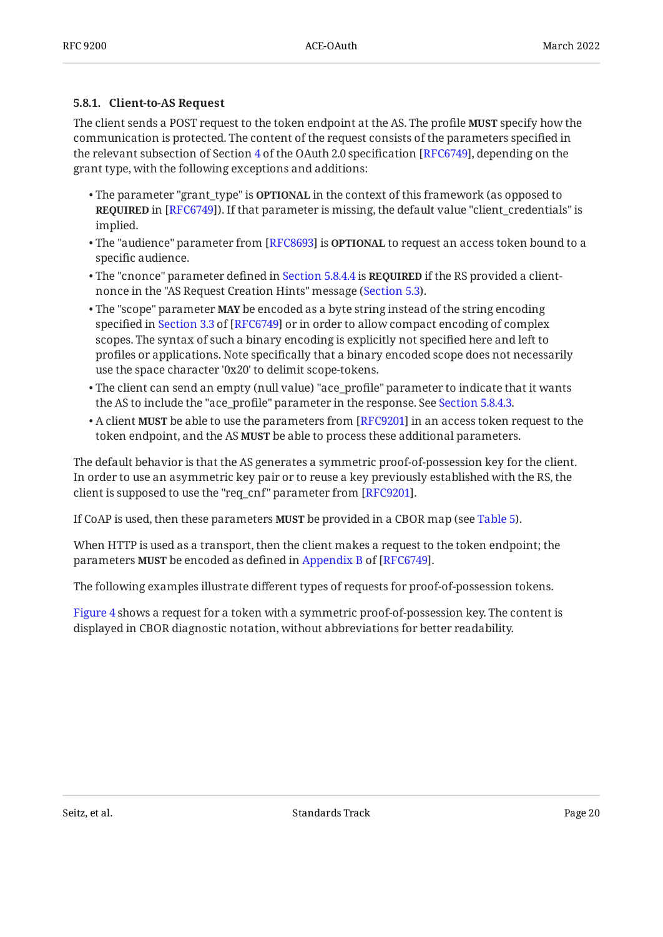### <span id="page-19-0"></span>**[5.8.1. Client-to-AS Request](#page-19-0)**

The client sends a POST request to the token endpoint at the AS. The profile **MUST** specify how the communication is protected. The content of the request consists of the parameters specified in the relevant subsection of Section [4](https://www.rfc-editor.org/rfc/rfc6749#section-4) of the OAuth 2.0 specification [RFC6749], depending on the grant type, with the following exceptions and additions:

- The parameter "grant\_type" is **OPTIONAL** in the context of this framework (as opposed to **REQUIRED** in [RFC6749]). If that parameter is missing, the default value "client\_credentials" is implied.
- The "audience" parameter from [RFC8693] is **OPTIONAL** to request an access token bound to a specific audience.
- The "cnonce" parameter defined in [Section 5.8.4.4](#page-25-1) is **REQUIRED** if the RS provided a clientnonce in the "AS Request Creation Hints" message ([Section 5.3\)](#page-15-0).
- The "scope" parameter **MAY** be encoded as a byte string instead of the string encoding specifiedin Section 3.3 of [RFC6749] or in order to allow compact encoding of complex scopes. The syntax of such a binary encoding is explicitly not specified here and left to profiles or applications. Note specifically that a binary encoded scope does not necessarily use the space character '0x20' to delimit scope-tokens.
- The client can send an empty (null value) "ace\_profile" parameter to indicate that it wants the AS to include the "ace\_profile" parameter in the response. See [Section 5.8.4.3](#page-25-0).
- $\bullet$  A client **MUST** be able to use the parameters from [RFC9201] in an access token request to the token endpoint, and the AS **MUST** be able to process these additional parameters.

The default behavior is that the AS generates a symmetric proof-of-possession key for the client. In order to use an asymmetric key pair or to reuse a key previously established with the RS, the client is supposed to use the "req\_cnf" parameter from [RFC9201].

If CoAP is used, then these parameters **MUST** be provided in a CBOR map (see [Table 5\)](#page-26-0).

When HTTP is used as a transport, then the client makes a request to the token endpoint; the parameters**MUST** be encoded as defined in Appendix B of [RFC6749].

The following examples illustrate different types of requests for proof-of-possession tokens.

<span id="page-19-1"></span>[Figure 4](#page-20-0) shows a request for a token with a symmetric proof-of-possession key. The content is displayed in CBOR diagnostic notation, without abbreviations for better readability.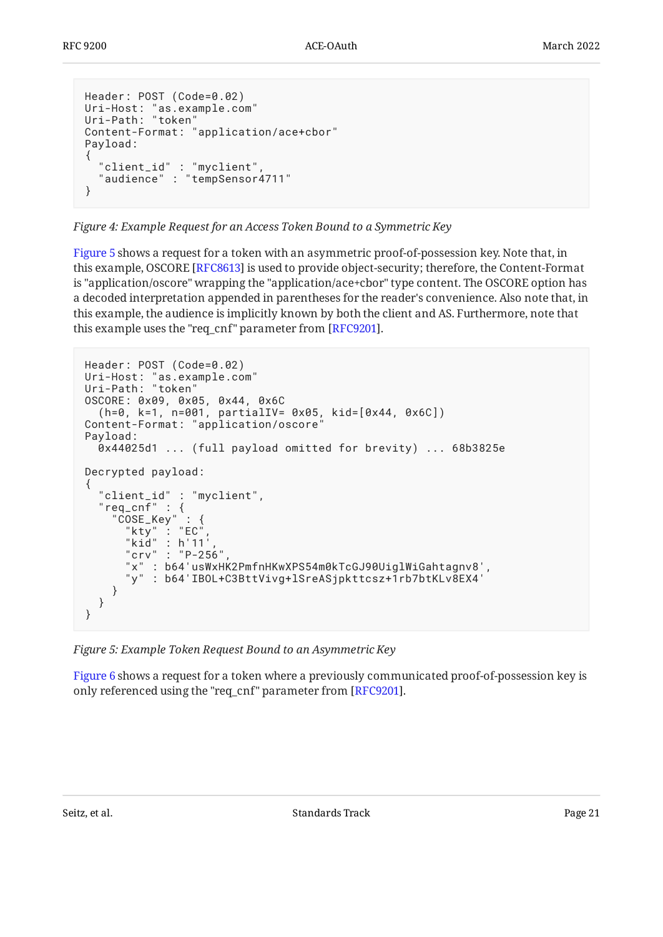```
Header: POST (Code=0.02)
Uri-Host: "as.example.com"
Uri-Path: "token"
Content-Format: "application/ace+cbor"
Payload:
\left\{ \right. "client_id" : "myclient",
   "audience" : "tempSensor4711"
}
```
*[Figure 4:](#page-20-0) [Example Request for an Access Token Bound to a Symmetric Key](#page-19-1)* 

[Figure 5](#page-20-1) shows a request for a token with an asymmetric proof-of-possession key. Note that, in this example, OSCORE [RFC8613] is used to provide object-security; therefore, the Content-Format is "application/oscore" wrapping the "application/ace+cbor" type content. The OSCORE option has a decoded interpretation appended in parentheses for the reader's convenience. Also note that, in this example, the audience is implicitly known by both the client and AS. Furthermore, note that this example uses the "req\_cnf" parameter from [RFC9201].  $\,$ 

```
Header: POST (Code=0.02)
Uri-Host: "as.example.com"
Uri-Path: "token"
OSCORE: 0x09, 0x05, 0x44, 0x6C
   (h=0, k=1, n=001, partialIV= 0x05, kid=[0x44, 0x6C])
Content-Format: "application/oscore"
Payload:
  0x44025d1 ... (full payload omitted for brevity) ... 68b3825e
Decrypted payload:
{
   "client_id" : "myclient",
 "req_cnf" : {
 "COSE_Key" : {
 "kty" : "EC",
 "kid" : h'11',
 "crv" : "P-256",
 "x" : b64'usWxHK2PmfnHKwXPS54m0kTcGJ90UiglWiGahtagnv8',
 "y" : b64'IBOL+C3BttVivg+lSreASjpkttcsz+1rb7btKLv8EX4'
    }
  }
}
```
*[Figure 5: Example Token Request Bound to an Asymmetric Key](#page-20-1)* 

<span id="page-20-2"></span>[Figure 6](#page-21-1) shows a request for a token where a previously communicated proof-of-possession key is only referenced using the "req\_cnf" parameter from [RFC9201].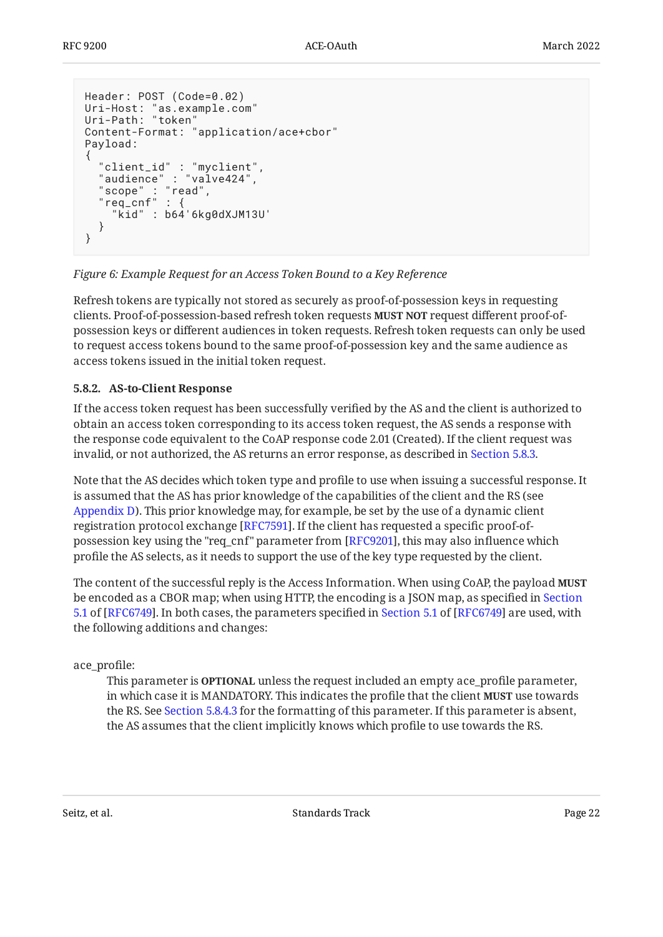```
Header: POST (Code=0.02)
Uri-Host: "as.example.com"
Uri-Path: "token"
Content-Format: "application/ace+cbor"
Payload:
{
 "client_id" : "myclient",
 "audience" : "valve424",
   "scope" : "read",
   "req_cnf" : {
     "kid" : b64'6kg0dXJM13U'
   }
}
```
### *[Figure 6:](#page-21-1) [Example Request for an Access Token Bound to a Key Reference](#page-20-2)*

Refresh tokens are typically not stored as securely as proof-of-possession keys in requesting clients. Proof-of-possession-based refresh token requests **MUST NOT** request different proof-ofpossession keys or different audiences in token requests. Refresh token requests can only be used to request access tokens bound to the same proof-of-possession key and the same audience as access tokens issued in the initial token request.

### <span id="page-21-0"></span>**[5.8.2. AS-to-Client Response](#page-21-0)**

If the access token request has been successfully verified by the AS and the client is authorized to obtain an access token corresponding to its access token request, the AS sends a response with the response code equivalent to the CoAP response code 2.01 (Created). If the client request was invalid, or not authorized, the AS returns an error response, as described in [Section 5.8.3.](#page-23-0)

Note that the AS decides which token type and profile to use when issuing a successful response. It is assumed that the AS has prior knowledge of the capabilities of the client and the RS (see [Appendix D\)](#page-61-0). This prior knowledge may, for example, be set by the use of a dynamic client registration protocol exchange [[RFC7591\]](#page-54-9). If the client has requested a specific proof-of-possession key using the "req\_cnf" parameter from [\[RFC9201](#page-53-8)], this may also influence which profile the AS selects, as it needs to support the use of the key type requested by the client.

The content of the successful reply is the Access Information. When using CoAP, the payload **MUST** be encoded as a CBOR map; when using HTTP, the encoding is a JSON map, as specified in [Section](https://www.rfc-editor.org/rfc/rfc6749#section-5.1) 5.1of [RFC6749]. In both cases, the parameters specified in Section [5.1](https://www.rfc-editor.org/rfc/rfc6749#section-5.1) of [[RFC6749\]](#page-52-1) are used, with the following additions and changes:

ace\_profile:

This parameter is <code>OPTIONAL</code> unless the request included an empty ace\_profile parameter, in which case it is MANDATORY. This indicates the profile that the client **MUST** use towards the RS. See [Section 5.8.4.3](#page-25-0) for the formatting of this parameter. If this parameter is absent, the AS assumes that the client implicitly knows which profile to use towards the RS.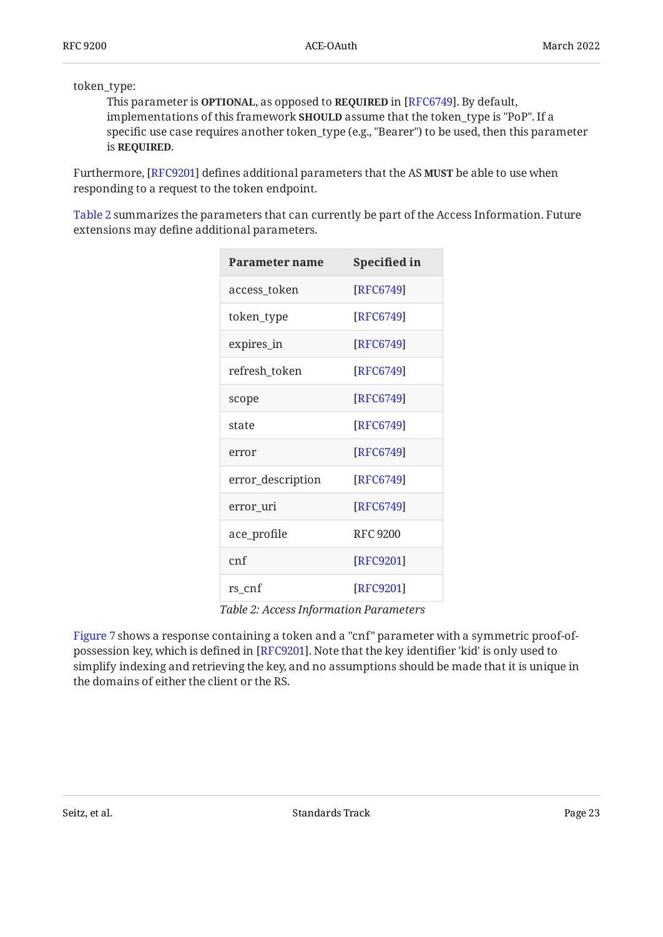token\_type:

This parameter is **OPTIONAL**, as opposed to **REQUIRED** in [RFC6749]. By default, implementations of this framework **SHOULD** assume that the token\_type is "PoP". If a specific use case requires another token\_type (e.g., "Bearer") to be used, then this parameter is **REQUIRED**.

Furthermore, [RFC9201] defines additional parameters that the AS **MUST** be able to use when responding to a request to the token endpoint.

<span id="page-22-0"></span>[Table 2](#page-22-0) summarizes the parameters that can currently be part of the Access Information. Future extensions may define additional parameters.

<span id="page-22-1"></span>

| Parameter name    | Specified in    |  |
|-------------------|-----------------|--|
| access_token      | [RFC6749]       |  |
| token_type        | [RFC6749]       |  |
| expires_in        | [RFC6749]       |  |
| refresh_token     | [RFC6749]       |  |
| scope             | [RFC6749]       |  |
| state             | [RFC6749]       |  |
| error             | [RFC6749]       |  |
| error_description | [RFC6749]       |  |
| error uri         | [RFC6749]       |  |
| ace_profile       | <b>RFC 9200</b> |  |
| cnf               | [RFC9201]       |  |
| rs_cnf            | [RFC9201]       |  |

*[Table 2](#page-22-1): [Access Information Parameters](#page-22-0)* 

<span id="page-22-2"></span>[Figure 7](#page-23-1) shows a response containing a token and a "cnf" parameter with a symmetric proof-of-possession key, which is defined in [[RFC9201\]](#page-53-8). Note that the key identifier 'kid' is only used to simplify indexing and retrieving the key, and no assumptions should be made that it is unique in the domains of either the client or the RS.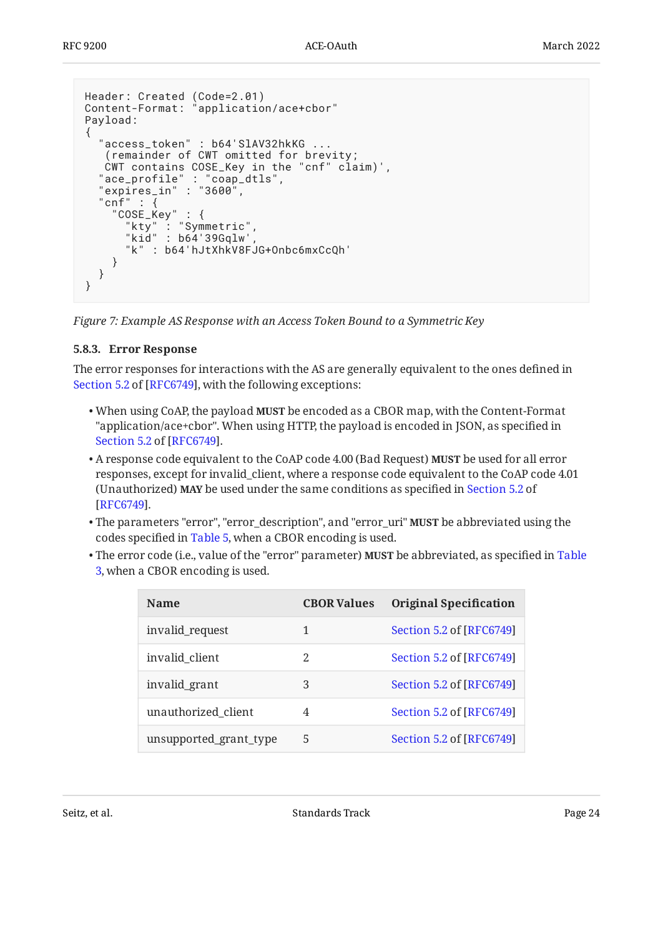```
Header: Created (Code=2.01)
Content-Format: "application/ace+cbor"
Payload:
{
 "access_token" : b64'SlAV32hkKG ...
 (remainder of CWT omitted for brevity;
 CWT contains COSE_Key in the "cnf" claim)',
 "ace_profile" : "coap_dtls",
 "expires_in" : "3600",
  "cnf" :: "COSE_Key" : {
 "kty" : "Symmetric",
      "kid" : b64'39Gqlw'
       "k" : b64'hJtXhkV8FJG+Onbc6mxCcQh'
     }
   }
}
```
<span id="page-23-0"></span>*[Figure 7:](#page-23-1) [Example AS Response with an Access Token Bound to a Symmetric Key](#page-22-2)* 

### **[5.8.3. Error Response](#page-23-0)**

The error responses for interactions with the AS are generally equivalent to the ones defined in [Section 5.2](https://www.rfc-editor.org/rfc/rfc6749#section-5.2) of [\[RFC6749\]](#page-52-1), with the following exceptions:

- When using CoAP, the payload **MUST** be encoded as a CBOR map, with the Content-Format "application/ace+cbor". When using HTTP, the payload is encoded in JSON, as specified in . [Section 5.2](https://www.rfc-editor.org/rfc/rfc6749#section-5.2) of [\[RFC6749\]](#page-52-1)
- $\bullet$  A response code equivalent to the CoAP code 4.00 (Bad Request) **MUST** be used for all error responses, except for invalid\_client, where a response code equivalent to the CoAP code 4.01 (Unauthorized) **MAY** be used under the same conditions as specified in [Section 5.2](https://www.rfc-editor.org/rfc/rfc6749#section-5.2) of . [[RFC6749\]](#page-52-1)
- The parameters "error", "error\_description", and "error\_uri" **MUST** be abbreviated using the codes specified in [Table 5](#page-26-0), when a CBOR encoding is used.
- <span id="page-23-2"></span> $\bullet$  The error code (i.e., value of the "error" parameter) MUST be abbreviated, as specified in [Table](#page-23-2) [3](#page-23-2), when a CBOR encoding is used.

<span id="page-23-3"></span>

| <b>Name</b>            | <b>CBOR Values</b> | <b>Original Specification</b> |
|------------------------|--------------------|-------------------------------|
| invalid_request        | 1                  | Section 5.2 of [RFC6749]      |
| invalid client         | 2                  | Section 5.2 of [RFC6749]      |
| invalid_grant          | 3                  | Section 5.2 of [RFC6749]      |
| unauthorized_client    | 4                  | Section 5.2 of [RFC6749]      |
| unsupported_grant_type | 5                  | Section 5.2 of [RFC6749]      |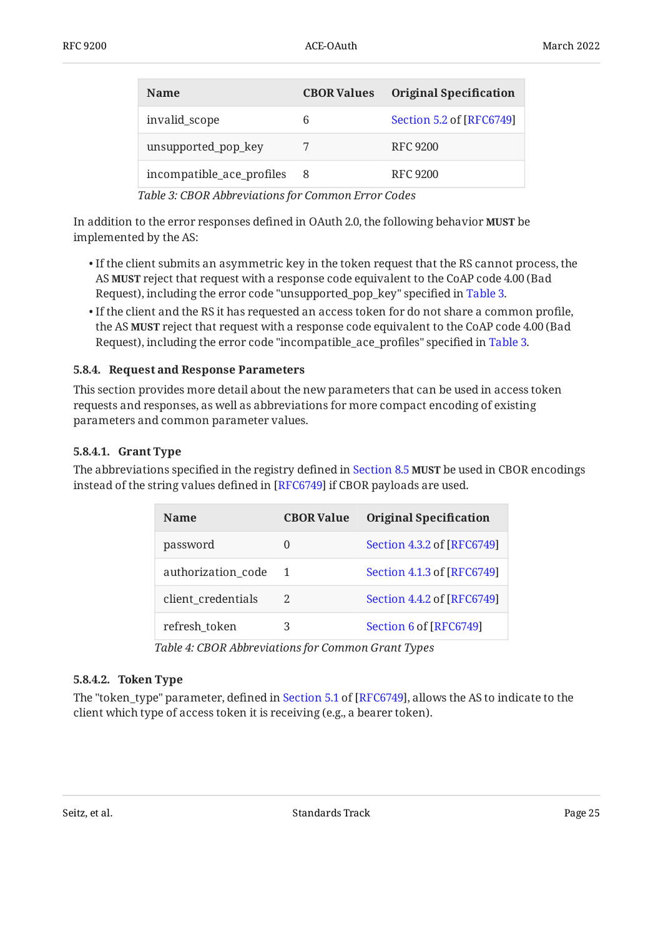| <b>Name</b>               | <b>CBOR Values</b> | <b>Original Specification</b> |
|---------------------------|--------------------|-------------------------------|
| invalid_scope             | 6                  | Section 5.2 of [RFC6749]      |
| unsupported_pop_key       |                    | RFC 9200                      |
| incompatible_ace_profiles | -8                 | RFC 9200                      |

*[Table 3:](#page-23-3) [CBOR Abbreviations for Common Error Codes](#page-23-2)* 

In addition to the error responses defined in OAuth 2.0, the following behavior **MUST** be implemented by the AS:

- $\bullet$  If the client submits an asymmetric key in the token request that the RS cannot process, the AS **MUST** reject that request with a response code equivalent to the CoAP code 4.00 (Bad Request), including the error code "unsupported\_pop\_key" specified in [Table 3.](#page-23-2)
- $\bullet$  If the client and the RS it has requested an access token for do not share a common profile, the AS **MUST** reject that request with a response code equivalent to the CoAP code 4.00 (Bad Request), including the error code "incompatible\_ace\_profiles" specified in [Table 3.](#page-23-2)

### <span id="page-24-0"></span>**[5.8.4. Request and Response Parameters](#page-24-0)**

This section provides more detail about the new parameters that can be used in access token requests and responses, as well as abbreviations for more compact encoding of existing parameters and common parameter values.

### <span id="page-24-1"></span>**[5.8.4.1. Grant Type](#page-24-1)**

<span id="page-24-4"></span>The abbreviations specified in the registry defined in [Section 8.5](#page-44-1) **MUST** be used in CBOR encodings instead of the string values defined in [RFC6749] if CBOR payloads are used.

<span id="page-24-3"></span>

| Name               | <b>CBOR Value</b> | <b>Original Specification</b> |
|--------------------|-------------------|-------------------------------|
| password           | $\theta$          | Section 4.3.2 of [RFC6749]    |
| authorization code | $\mathbf 1$       | Section 4.1.3 of [RFC6749]    |
| client_credentials | 2                 | Section 4.4.2 of [RFC6749]    |
| refresh token      | 3                 | Section 6 of [RFC6749]        |

*[Table 4:](#page-24-3) [CBOR Abbreviations for Common Grant Types](#page-24-4)* 

### <span id="page-24-2"></span>**[5.8.4.2. Token Type](#page-24-2)**

The"token\_type" parameter, defined in Section 5.1 of [RFC6749], allows the AS to indicate to the client which type of access token it is receiving (e.g., a bearer token).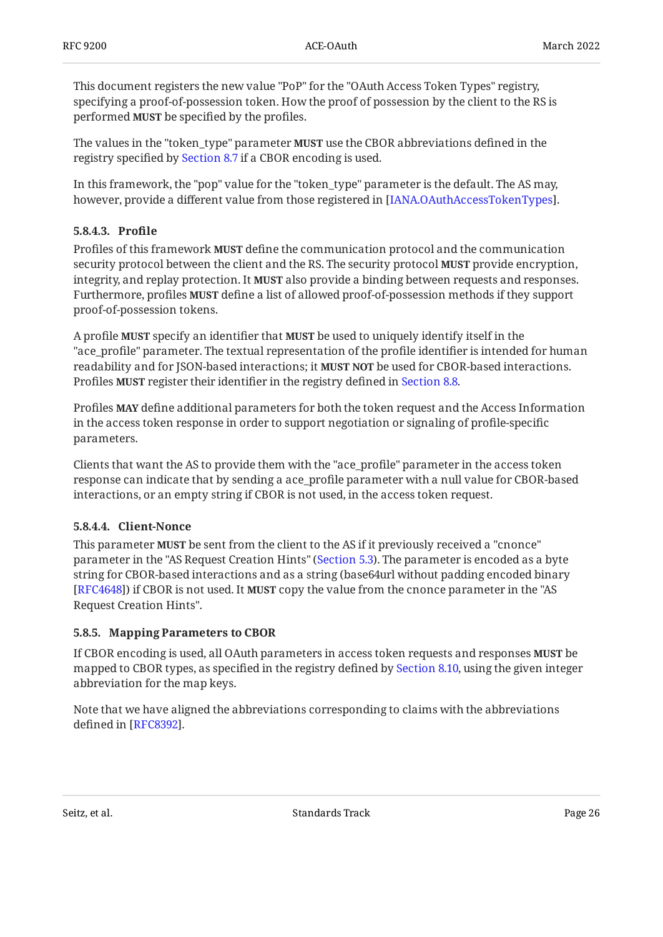This document registers the new value "PoP" for the "OAuth Access Token Types" registry, specifying a proof-of-possession token. How the proof of possession by the client to the RS is performed **MUST** be specified by the profiles.

The values in the "token\_type" parameter **MUST** use the CBOR abbreviations defined in the registry specified by [Section 8.7](#page-45-1) if a CBOR encoding is used.

In this framework, the "pop" value for the "token\_type" parameter is the default. The AS may, however, provide a different value from those registered in [IANA.OAuthAccessTokenTypes].

### <span id="page-25-0"></span>**[5.8.4.3. Pro](#page-25-0)file**

Profiles of this framework **MUST** define the communication protocol and the communication security protocol between the client and the RS. The security protocol **MUST** provide encryption, integrity, and replay protection. It **MUST** also provide a binding between requests and responses. Furthermore, profiles **MUST** define a list of allowed proof-of-possession methods if they support proof-of-possession tokens.

A profile **MUST** specify an identifier that **MUST** be used to uniquely identify itself in the "ace\_profile" parameter. The textual representation of the profile identifier is intended for human readability and for JSON-based interactions; it **MUST NOT** be used for CBOR-based interactions. Profiles **MUST** register their identifier in the registry defined in [Section 8.8.](#page-46-0)

Profiles **MAY** define additional parameters for both the token request and the Access Information in the access token response in order to support negotiation or signaling of profile-specific parameters.

Clients that want the AS to provide them with the "ace\_profile" parameter in the access token response can indicate that by sending a ace\_profile parameter with a null value for CBOR-based interactions, or an empty string if CBOR is not used, in the access token request.

### <span id="page-25-1"></span>**[5.8.4.4. Client-Nonce](#page-25-1)**

This parameter **MUST** be sent from the client to the AS if it previously received a "cnonce" parameter in the "AS Request Creation Hints" ([Section 5.3](#page-15-0)). The parameter is encoded as a byte string for CBOR-based interactions and as a string (base64url without padding encoded binary [[RFC4648\]](#page-52-9)) if CBOR is not used. It **MUST** copy the value from the cnonce parameter in the "AS Request Creation Hints".

### <span id="page-25-2"></span>**[5.8.5. Mapping Parameters to CBOR](#page-25-2)**

If CBOR encoding is used, all OAuth parameters in access token requests and responses **MUST** be mapped to CBOR types, as specified in the registry defined by [Section 8.10,](#page-46-2) using the given integer abbreviation for the map keys.

Note that we have aligned the abbreviations corresponding to claims with the abbreviations defined in [RFC8392].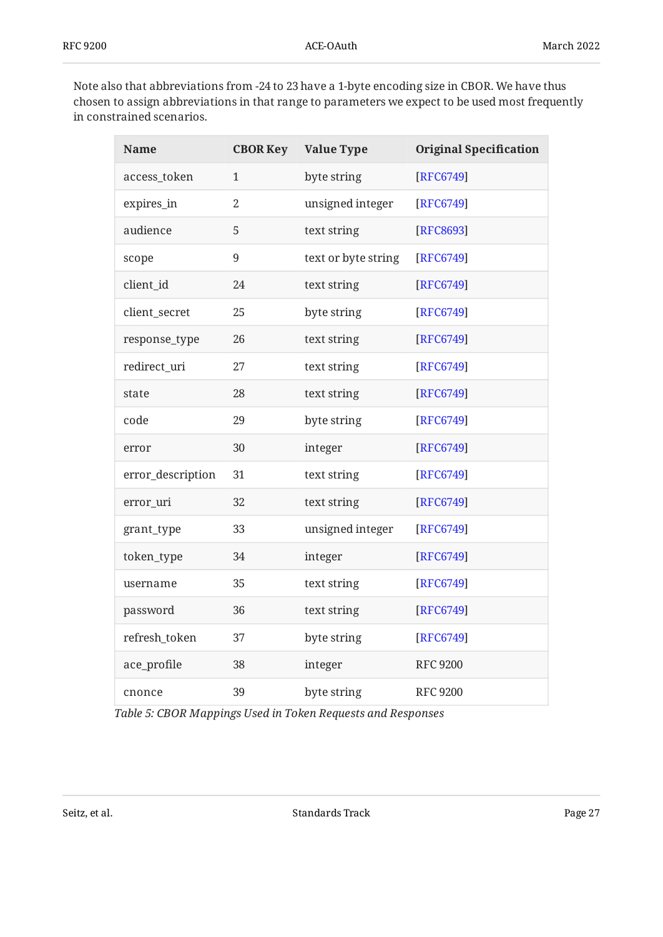Note also that abbreviations from -24 to 23 have a 1-byte encoding size in CBOR. We have thus chosen to assign abbreviations in that range to parameters we expect to be used most frequently in constrained scenarios.

<span id="page-26-1"></span><span id="page-26-0"></span>

| <b>Name</b>       | <b>CBOR Key</b> | <b>Value Type</b>   | <b>Original Specification</b> |
|-------------------|-----------------|---------------------|-------------------------------|
| access_token      | $\mathbf{1}$    | byte string         | [RFC6749]                     |
| expires_in        | $\mathbf{2}$    | unsigned integer    | [RFC6749]                     |
| audience          | 5               | text string         | [RFC8693]                     |
| scope             | $9\,$           | text or byte string | [RFC6749]                     |
| client_id         | 24              | text string         | [RFC6749]                     |
| client_secret     | 25              | byte string         | [RFC6749]                     |
| response_type     | 26              | text string         | [RFC6749]                     |
| redirect_uri      | 27              | text string         | [RFC6749]                     |
| state             | 28              | text string         | [RFC6749]                     |
| code              | 29              | byte string         | [RFC6749]                     |
| error             | 30              | integer             | [RFC6749]                     |
| error_description | 31              | text string         | [RFC6749]                     |
| error_uri         | 32              | text string         | [RFC6749]                     |
| grant_type        | 33              | unsigned integer    | [RFC6749]                     |
| token_type        | 34              | integer             | [RFC6749]                     |
| username          | 35              | text string         | [RFC6749]                     |
| password          | 36              | text string         | [RFC6749]                     |
| refresh_token     | 37              | byte string         | [RFC6749]                     |
| ace_profile       | 38              | integer             | <b>RFC 9200</b>               |
| cnonce            | 39              | byte string         | <b>RFC 9200</b>               |

*[Table 5:](#page-26-1) [CBOR Mappings Used in Token Requests and Responses](#page-26-0)*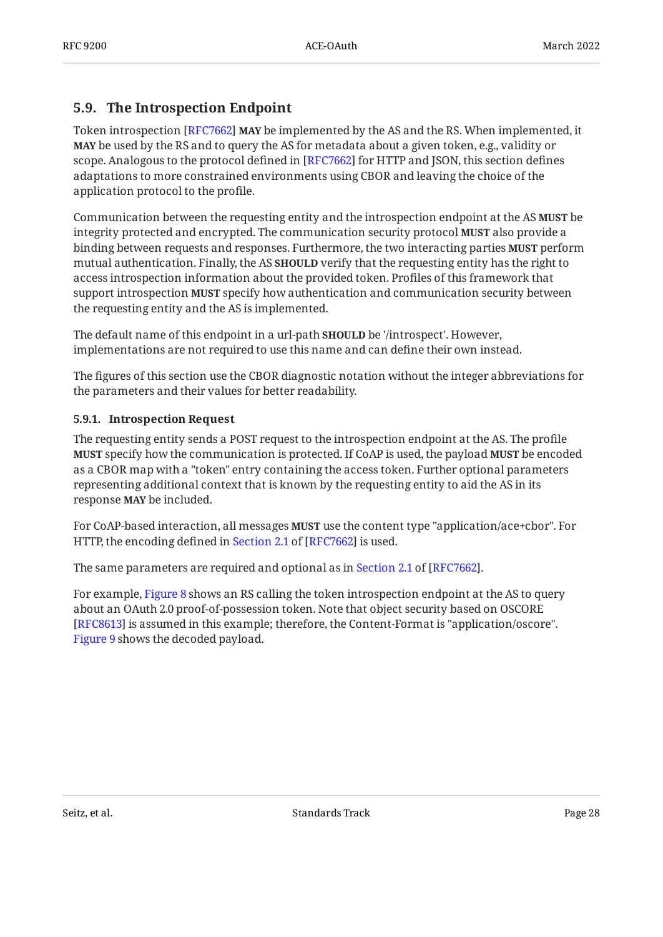### <span id="page-27-0"></span>**[5.9. The Introspection Endpoint](#page-27-0)**

Token introspection [[RFC7662\]](#page-52-6) **MAY** be implemented by the AS and the RS. When implemented, it **MAY** be used by the RS and to query the AS for metadata about a given token, e.g., validity or scope. Analogous to the protocol defined in [RFC7662] for HTTP and JSON, this section defines adaptations to more constrained environments using CBOR and leaving the choice of the application protocol to the profile.

Communication between the requesting entity and the introspection endpoint at the AS **MUST** be integrity protected and encrypted. The communication security protocol **MUST** also provide a binding between requests and responses. Furthermore, the two interacting parties **MUST** perform mutual authentication. Finally, the AS **SHOULD** verify that the requesting entity has the right to access introspection information about the provided token. Profiles of this framework that support introspection **MUST** specify how authentication and communication security between the requesting entity and the AS is implemented.

The default name of this endpoint in a url-path **SHOULD** be '/introspect'. However, implementations are not required to use this name and can define their own instead.

The figures of this section use the CBOR diagnostic notation without the integer abbreviations for the parameters and their values for better readability.

### <span id="page-27-1"></span>**[5.9.1. Introspection Request](#page-27-1)**

The requesting entity sends a POST request to the introspection endpoint at the AS. The profile **MUST** specify how the communication is protected. If CoAP is used, the payload **MUST** be encoded as a CBOR map with a "token" entry containing the access token. Further optional parameters representing additional context that is known by the requesting entity to aid the AS in its response **MAY** be included.

For CoAP-based interaction, all messages **MUST** use the content type "application/ace+cbor". For HTTP,the encoding defined in Section 2.1 of [RFC7662] is used.

Thesame parameters are required and optional as in Section 2.1 of [RFC7662].  $\,$ 

<span id="page-27-2"></span>For example, [Figure 8](#page-28-1) shows an RS calling the token introspection endpoint at the AS to query about an OAuth 2.0 proof-of-possession token. Note that object security based on OSCORE [[RFC8613\]](#page-55-5) is assumed in this example; therefore, the Content-Format is "application/oscore". [Figure 9](#page-28-2) shows the decoded payload.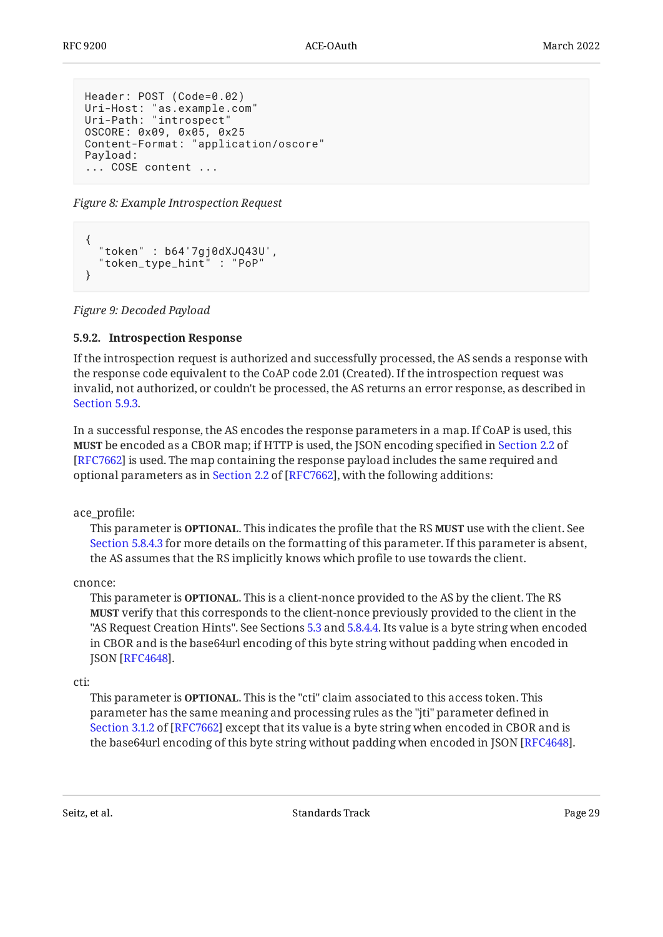```
Header: POST (Code=0.02)
Uri-Host: "as.example.com"
Uri-Path: "introspect"
OSCORE: 0x09, 0x05, 0x25
Content-Format: "application/oscore"
Payload:
... COSE content ...
```
*[Figure 8:](#page-28-1) [Example Introspection Request](#page-27-2)* 

```
{
   "token" : b64'7gj0dXJQ43U',
   "token_type_hint" : "PoP"
}
```
<span id="page-28-0"></span>*[Figure 9: Decoded Payload](#page-28-2)* 

### **[5.9.2. Introspection Response](#page-28-0)**

If the introspection request is authorized and successfully processed, the AS sends a response with the response code equivalent to the CoAP code 2.01 (Created). If the introspection request was invalid, not authorized, or couldn't be processed, the AS returns an error response, as described in [Section 5.9.3.](#page-29-0)

In a successful response, the AS encodes the response parameters in a map. If CoAP is used, this **MUST** be encoded as a CBOR map; if HTTP is used, the JSON encoding specified in [Section 2.2](https://www.rfc-editor.org/rfc/rfc7662#section-2.2) of [[RFC7662\]](#page-52-6) is used. The map containing the response payload includes the same required and optionalparameters as in Section 2.2 of [RFC7662], with the following additions:

ace\_profile:

This parameter is **OPTIONAL**. This indicates the profile that the RS **MUST** use with the client. See [Section 5.8.4.3](#page-25-0) for more details on the formatting of this parameter. If this parameter is absent, the AS assumes that the RS implicitly knows which profile to use towards the client.

### cnonce:

This parameter is **OPTIONAL**. This is a client-nonce provided to the AS by the client. The RS **MUST** verify that this corresponds to the client-nonce previously provided to the client in the "AS Request Creation Hints". See Sections [5.3](#page-15-0) and [5.8.4.4.](#page-25-1) Its value is a byte string when encoded in CBOR and is the base64url encoding of this byte string without padding when encoded in JSON [RFC4648].

### cti:

This parameter is **OPTIONAL**. This is the "cti" claim associated to this access token. This parameter has the same meaning and processing rules as the "jti" parameter defined in [Section 3.1.2](https://www.rfc-editor.org/rfc/rfc7662#section-3.1.2) of [[RFC7662\]](#page-52-6) except that its value is a byte string when encoded in CBOR and is the base64 ${\rm u}$ l encoding of this byte string without padding when encoded in JSON [[RFC4648\]](#page-52-9).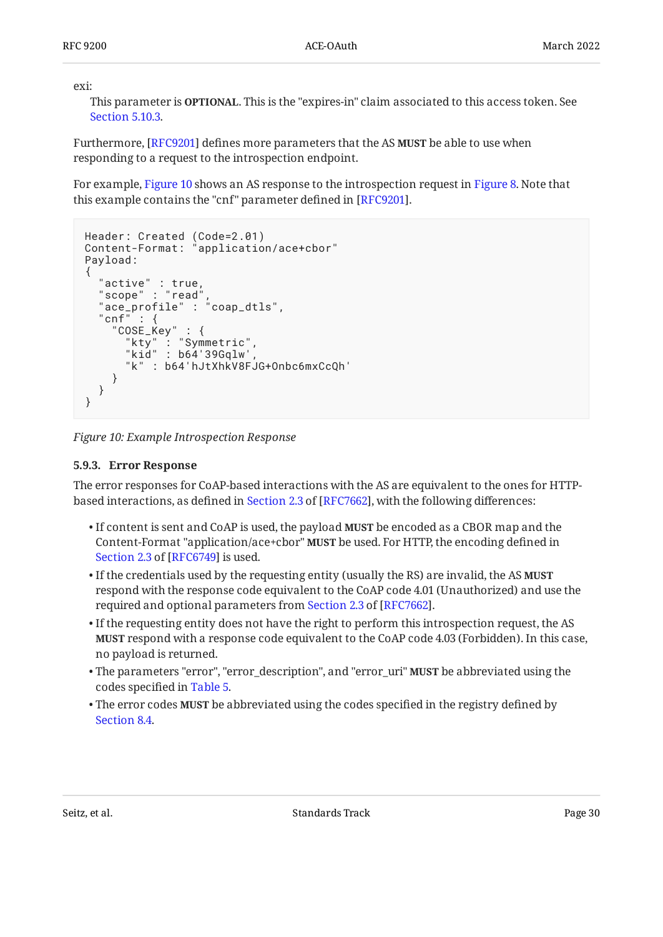exi:

This parameter is **OPTIONAL**. This is the "expires-in" claim associated to this access token. See [Section 5.10.3.](#page-35-0)

Furthermore, [RFC9201] defines more parameters that the AS **MUST** be able to use when responding to a request to the introspection endpoint.

For example, [Figure 10](#page-29-1) shows an AS response to the introspection request in [Figure 8.](#page-28-1) Note that this example contains the "cnf" parameter defined in [RFC9201].

```
Header: Created (Code=2.01)
Content-Format: "application/ace+cbor"
Payload:
\{ "active" : true,
 "scope" : "read",
 "ace_profile" : "coap_dtls",
 "cnf" : {
 "COSE_Key" : {
 "kty" : "Symmetric",
 "kid" : b64'39Gqlw',
      "k" : b64'hJtXhkV8FJG+Onbc6mxCcQh'
    }
  }
}
```
<span id="page-29-0"></span>*[Figure 10: Example Introspection Response](#page-29-1)* 

### **[5.9.3. Error Response](#page-29-0)**

The error responses for CoAP-based interactions with the AS are equivalent to the ones for HTTPbasedinteractions, as defined in Section 2.3 of [RFC7662], with the following differences:

- $\bullet$  If content is sent and CoAP is used, the payload **MUST** be encoded as a CBOR map and the Content-Format "application/ace+cbor" **MUST** be used. For HTTP, the encoding defined in [Section 2.3](https://www.rfc-editor.org/rfc/rfc6749#section-2.3) of [\[RFC6749\]](#page-52-1) is used.
- If the credentials used by the requesting entity (usually the RS) are invalid, the AS **MUST** respond with the response code equivalent to the CoAP code 4.01 (Unauthorized) and use the requiredand optional parameters from Section 2.3 of [RFC7662].
- $\bullet$  If the requesting entity does not have the right to perform this introspection request, the AS  $\,$ **MUST** respond with a response code equivalent to the CoAP code 4.03 (Forbidden). In this case, no payload is returned.
- The parameters "error", "error\_description", and "error\_uri" **MUST** be abbreviated using the codes specified in [Table 5](#page-26-0).
- The error codes MUST be abbreviated using the codes specified in the registry defined by [Section 8.4](#page-44-0).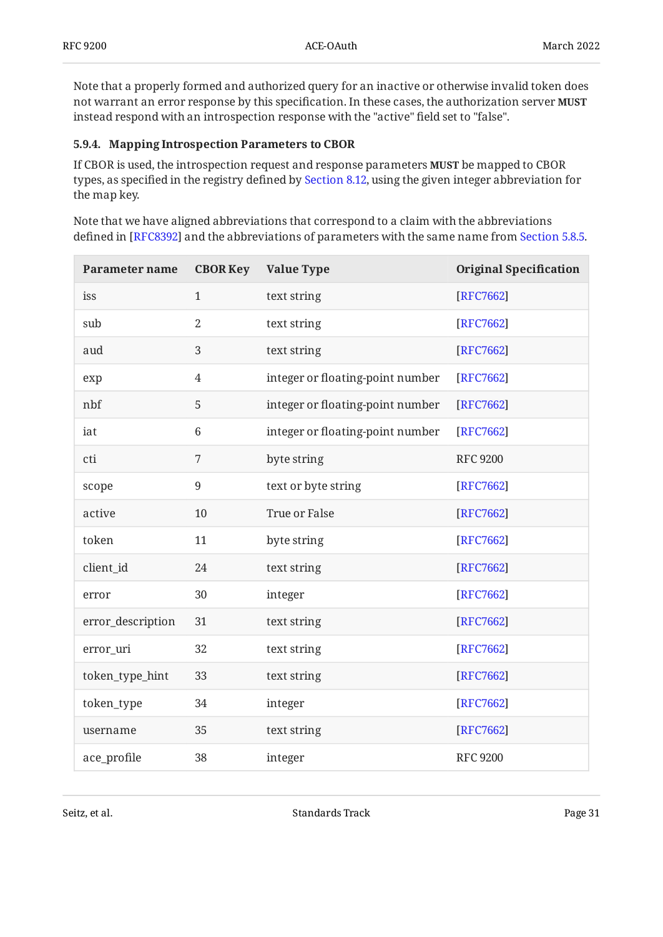Note that a properly formed and authorized query for an inactive or otherwise invalid token does not warrant an error response by this specification. In these cases, the authorization server **MUST** instead respond with an introspection response with the "active" field set to "false".

### <span id="page-30-0"></span>**[5.9.4. Mapping Introspection Parameters to CBOR](#page-30-0)**

If CBOR is used, the introspection request and response parameters **MUST** be mapped to CBOR types, as specified in the registry defined by [Section 8.12,](#page-47-1) using the given integer abbreviation for the map key.

Note that we have aligned abbreviations that correspond to a claim with the abbreviations defined in [RFC8392] and the abbreviations of parameters with the same name from [Section 5.8.5.](#page-25-2)  $\,$ 

<span id="page-30-1"></span>

| <b>Parameter name</b> | <b>CBOR Key</b> | <b>Value Type</b>                | <b>Original Specification</b> |
|-----------------------|-----------------|----------------------------------|-------------------------------|
| iss                   | $\mathbf{1}$    | text string                      | [RFC7662]                     |
| sub                   | $\overline{2}$  | text string                      | [RFC7662]                     |
| aud                   | 3               | text string                      | [RFC7662]                     |
| exp                   | 4               | integer or floating-point number | [RFC7662]                     |
| nbf                   | 5               | integer or floating-point number | [RFC7662]                     |
| iat                   | $6\phantom{1}$  | integer or floating-point number | [RFC7662]                     |
| cti                   | 7               | byte string                      | <b>RFC 9200</b>               |
| scope                 | $9\,$           | text or byte string              | [RFC7662]                     |
| active                | 10              | True or False                    | [RFC7662]                     |
| token                 | 11              | byte string                      | [RFC7662]                     |
| client_id             | 24              | text string                      | [RFC7662]                     |
| error                 | 30              | integer                          | [RFC7662]                     |
| error_description     | 31              | text string                      | [RFC7662]                     |
| error_uri             | 32              | text string                      | [RFC7662]                     |
| token_type_hint       | 33              | text string                      | [RFC7662]                     |
| token_type            | 34              | integer                          | [RFC7662]                     |
| username              | 35              | text string                      | [RFC7662]                     |
| ace_profile           | 38              | integer                          | <b>RFC 9200</b>               |

Seitz, et al. No. 2013 19:30 Standards Track Page 31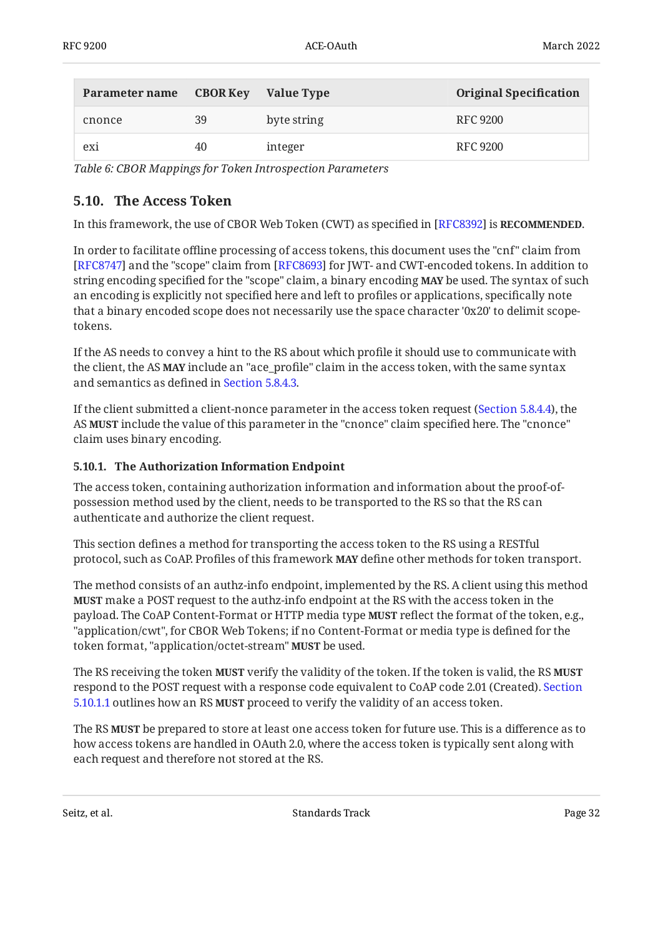| Parameter name | <b>CBOR Key</b> | Value Type  | <b>Original Specification</b> |
|----------------|-----------------|-------------|-------------------------------|
| cnonce         | 39              | byte string | RFC 9200                      |
| exi            | 40              | integer     | RFC 9200                      |

<span id="page-31-0"></span>*[Table 6](#page-30-1): [CBOR Mappings for Token Introspection Parameters](#page-30-1)* 

### **[5.10. The Access Token](#page-31-0)**

In this framework, the use of CBOR Web Token (CWT) as specified in [RFC8392**]** is **RECOMMENDED.** 

In order to facilitate offline processing of access tokens, this document uses the "cnf" claim from [[RFC8747\]](#page-53-6) and the "scope" claim from [RFC8693] for JWT- and CWT-encoded tokens. In addition to string encoding specified for the "scope" claim, a binary encoding **MAY** be used. The syntax of such an encoding is explicitly not specified here and left to profiles or applications, specifically note that a binary encoded scope does not necessarily use the space character '0x20' to delimit scopetokens.

If the AS needs to convey a hint to the RS about which profile it should use to communicate with the client, the AS **MAY** include an "ace\_profile" claim in the access token, with the same syntax and semantics as defined in [Section 5.8.4.3](#page-25-0).

If the client submitted a client-nonce parameter in the access token request ([Section 5.8.4.4\)](#page-25-1), the AS **MUST** include the value of this parameter in the "cnonce" claim specified here. The "cnonce" claim uses binary encoding.

### <span id="page-31-1"></span>**[5.10.1. The Authorization Information Endpoint](#page-31-1)**

The access token, containing authorization information and information about the proof-ofpossession method used by the client, needs to be transported to the RS so that the RS can authenticate and authorize the client request.

This section defines a method for transporting the access token to the RS using a RESTful protocol, such as CoAP. Profiles of this framework **MAY** define other methods for token transport.

The method consists of an authz-info endpoint, implemented by the RS. A client using this method **MUST** make a POST request to the authz-info endpoint at the RS with the access token in the payload. The CoAP Content-Format or HTTP media type **MUST** reflect the format of the token, e.g., "application/cwt", for CBOR Web Tokens; if no Content-Format or media type is defined for the token format, "application/octet-stream" **MUST** be used.

The RS receiving the token **MUST** verify the validity of the token. If the token is valid, the RS **MUST** respond to the POST request with a response code equivalent to CoAP code 2.01 (Created). [Section](#page-32-0) [5.10.1.1](#page-32-0) outlines how an RS **MUST** proceed to verify the validity of an access token.

The RS **MUST** be prepared to store at least one access token for future use. This is a difference as to how access tokens are handled in OAuth 2.0, where the access token is typically sent along with each request and therefore not stored at the RS.

Seitz, et al. No. 2013 19:30 Standards Track Standards Track Page 32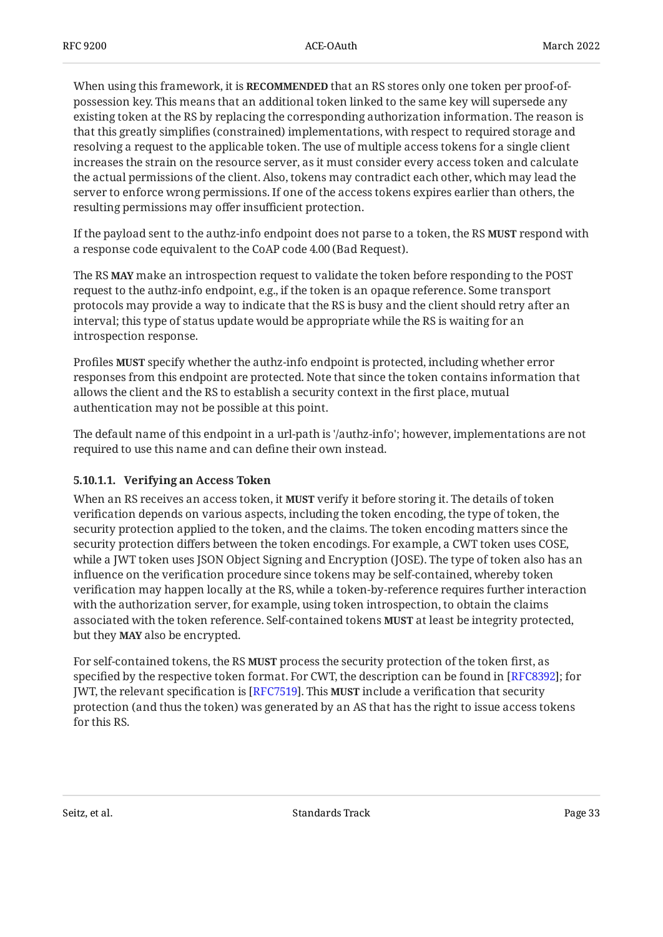When using this framework, it is **RECOMMENDED** that an RS stores only one token per proof-ofpossession key. This means that an additional token linked to the same key will supersede any existing token at the RS by replacing the corresponding authorization information. The reason is that this greatly simplifies (constrained) implementations, with respect to required storage and resolving a request to the applicable token. The use of multiple access tokens for a single client increases the strain on the resource server, as it must consider every access token and calculate the actual permissions of the client. Also, tokens may contradict each other, which may lead the server to enforce wrong permissions. If one of the access tokens expires earlier than others, the resulting permissions may offer insufficient protection.

If the payload sent to the authz-info endpoint does not parse to a token, the RS **MUST** respond with a response code equivalent to the CoAP code 4.00 (Bad Request).

The RS make an introspection request to validate the token before responding to the POST **MAY** request to the authz-info endpoint, e.g., if the token is an opaque reference. Some transport protocols may provide a way to indicate that the RS is busy and the client should retry after an interval; this type of status update would be appropriate while the RS is waiting for an introspection response.

Profiles MUST specify whether the authz-info endpoint is protected, including whether error responses from this endpoint are protected. Note that since the token contains information that allows the client and the RS to establish a security context in the first place, mutual authentication may not be possible at this point.

The default name of this endpoint in a url-path is '/authz-info'; however, implementations are not required to use this name and can define their own instead.

### <span id="page-32-0"></span>**[5.10.1.1. Verifying an Access Token](#page-32-0)**

When an RS receives an access token, it **MUST** verify it before storing it. The details of token verification depends on various aspects, including the token encoding, the type of token, the security protection applied to the token, and the claims. The token encoding matters since the security protection differs between the token encodings. For example, a CWT token uses COSE, while a JWT token uses JSON Object Signing and Encryption (JOSE). The type of token also has an influence on the verification procedure since tokens may be self-contained, whereby token verification may happen locally at the RS, while a token-by-reference requires further interaction with the authorization server, for example, using token introspection, to obtain the claims associated with the token reference. Self-contained tokens **MUST** at least be integrity protected, but they **MAY** also be encrypted.

For self-contained tokens, the RS **MUST** process the security protection of the token first, as specified by the respective token format. For CWT, the description can be found in [RFC8392]; for JWT, the relevant specification is [\[RFC7519\]](#page-52-7). This **MUST** include a verification that security protection (and thus the token) was generated by an AS that has the right to issue access tokens for this RS.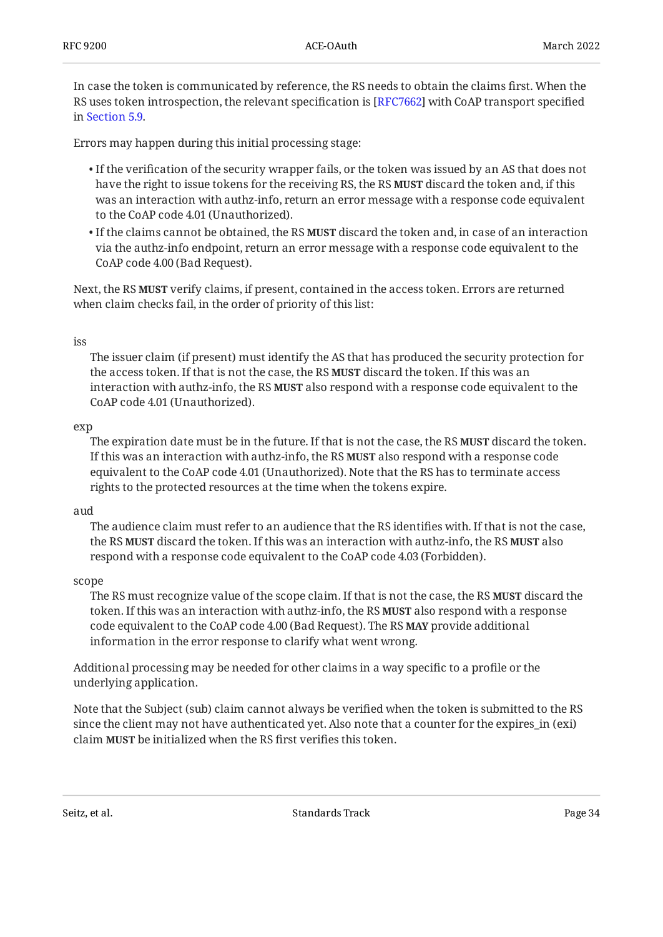In case the token is communicated by reference, the RS needs to obtain the claims first. When the RS uses token introspection, the relevant specification is [[RFC7662\]](#page-52-6) with CoAP transport specified in [Section 5.9](#page-27-0).

Errors may happen during this initial processing stage:

- $\bullet$  If the verification of the security wrapper fails, or the token was issued by an AS that does not have the right to issue tokens for the receiving RS, the RS **MUST** discard the token and, if this was an interaction with authz-info, return an error message with a response code equivalent to the CoAP code 4.01 (Unauthorized).
- $\bullet$  If the claims cannot be obtained, the RS **MUST** discard the token and, in case of an interaction via the authz-info endpoint, return an error message with a response code equivalent to the CoAP code 4.00 (Bad Request).

Next, the RS **MUST** verify claims, if present, contained in the access token. Errors are returned when claim checks fail, in the order of priority of this list:

#### iss

The issuer claim (if present) must identify the AS that has produced the security protection for the access token. If that is not the case, the RS **MUST** discard the token. If this was an interaction with authz-info, the RS **MUST** also respond with a response code equivalent to the CoAP code 4.01 (Unauthorized).

#### exp

The expiration date must be in the future. If that is not the case, the RS **MUST** discard the token. If this was an interaction with authz-info, the RS **MUST** also respond with a response code equivalent to the CoAP code 4.01 (Unauthorized). Note that the RS has to terminate access rights to the protected resources at the time when the tokens expire.

#### aud

The audience claim must refer to an audience that the RS identifies with. If that is not the case, the RS **MUST** discard the token. If this was an interaction with authz-info, the RS **MUST** also respond with a response code equivalent to the CoAP code 4.03 (Forbidden).

#### scope

The RS must recognize value of the scope claim. If that is not the case, the RS **MUST** discard the token. If this was an interaction with authz-info, the RS **MUST** also respond with a response code equivalent to the CoAP code 4.00 (Bad Request). The RS MAY provide additional information in the error response to clarify what went wrong.

Additional processing may be needed for other claims in a way specific to a profile or the underlying application.

Note that the Subject (sub) claim cannot always be verified when the token is submitted to the RS since the client may not have authenticated yet. Also note that a counter for the expires\_in (exi) claim **MUST** be initialized when the RS first verifies this token.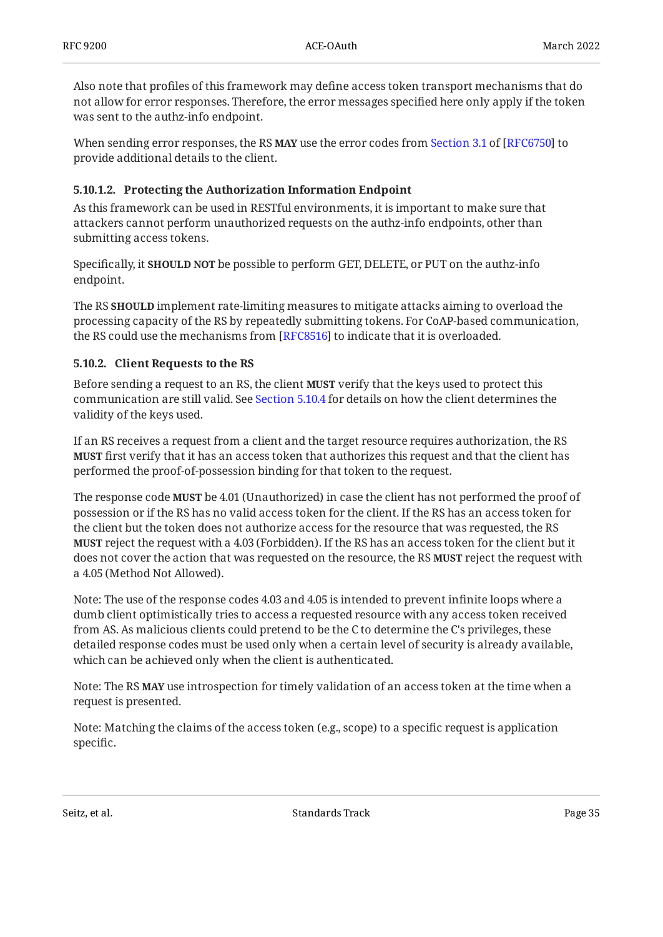Also note that profiles of this framework may define access token transport mechanisms that do not allow for error responses. Therefore, the error messages specified here only apply if the token was sent to the authz-info endpoint.

Whensending error responses, the RS **MAY** use the error codes from Section 3.1 of [RFC6750] to provide additional details to the client.

### <span id="page-34-0"></span>**[5.10.1.2. Protecting the Authorization Information Endpoint](#page-34-0)**

As this framework can be used in RESTful environments, it is important to make sure that attackers cannot perform unauthorized requests on the authz-info endpoints, other than submitting access tokens.

Specifically, it **SHOULD NOT** be possible to perform GET, DELETE, or PUT on the authz-info endpoint.

The RS **SHOULD** implement rate-limiting measures to mitigate attacks aiming to overload the processing capacity of the RS by repeatedly submitting tokens. For CoAP-based communication, the RS could use the mechanisms from [RFC8516] to indicate that it is overloaded.

### <span id="page-34-1"></span>**[5.10.2. Client Requests to the RS](#page-34-1)**

Before sending a request to an RS, the client **MUST** verify that the keys used to protect this communication are still valid. See [Section 5.10.4](#page-36-0) for details on how the client determines the validity of the keys used.

If an RS receives a request from a client and the target resource requires authorization, the RS **MUST** first verify that it has an access token that authorizes this request and that the client has performed the proof-of-possession binding for that token to the request.

The response code **MUST** be 4.01 (Unauthorized) in case the client has not performed the proof of possession or if the RS has no valid access token for the client. If the RS has an access token for the client but the token does not authorize access for the resource that was requested, the RS **MUST** reject the request with a 4.03 (Forbidden). If the RS has an access token for the client but it does not cover the action that was requested on the resource, the RS **MUST** reject the request with a 4.05 (Method Not Allowed).

Note: The use of the response codes 4.03 and 4.05 is intended to prevent infinite loops where a dumb client optimistically tries to access a requested resource with any access token received from AS. As malicious clients could pretend to be the C to determine the C's privileges, these detailed response codes must be used only when a certain level of security is already available, which can be achieved only when the client is authenticated.

Note: The RS **MAY** use introspection for timely validation of an access token at the time when a request is presented.

Note: Matching the claims of the access token (e.g., scope) to a specific request is application specific.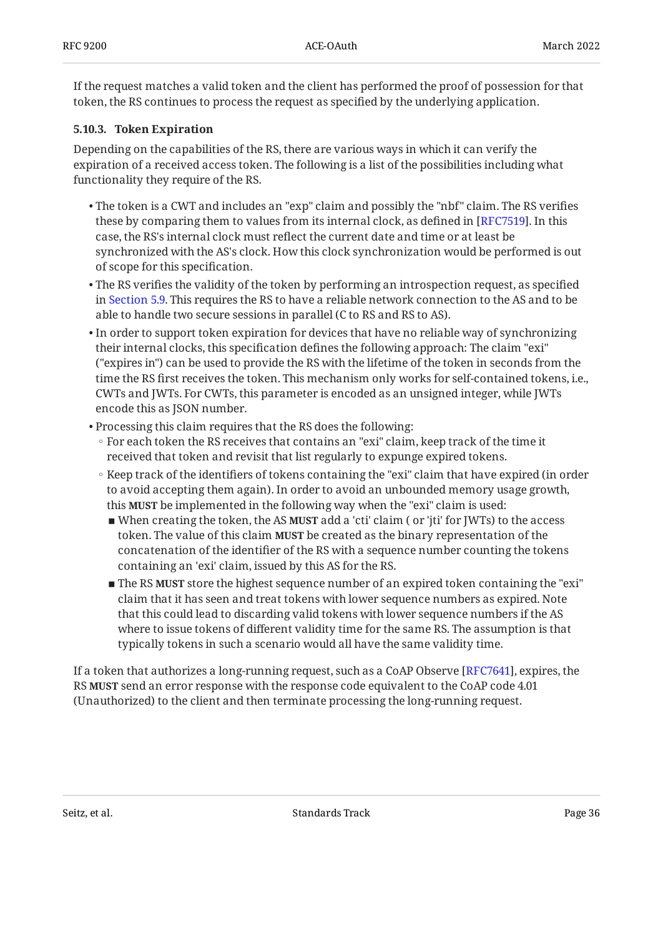If the request matches a valid token and the client has performed the proof of possession for that token, the RS continues to process the request as specified by the underlying application.

### <span id="page-35-0"></span>**[5.10.3. Token Expiration](#page-35-0)**

Depending on the capabilities of the RS, there are various ways in which it can verify the expiration of a received access token. The following is a list of the possibilities including what functionality they require of the RS.

- $\bullet$  The token is a CWT and includes an "exp" claim and possibly the "nbf" claim. The RS verifies these by comparing them to values from its internal clock, as defined in [[RFC7519\]](#page-52-7). In this case, the RS's internal clock must reflect the current date and time or at least be synchronized with the AS's clock. How this clock synchronization would be performed is out of scope for this specification.
- $\bullet$  The RS verifies the validity of the token by performing an introspection request, as specified in [Section 5.9](#page-27-0). This requires the RS to have a reliable network connection to the AS and to be able to handle two secure sessions in parallel (C to RS and RS to AS).
- $\bullet$  In order to support token expiration for devices that have no reliable way of synchronizing their internal clocks, this specification defines the following approach: The claim "exi" ("expires in") can be used to provide the RS with the lifetime of the token in seconds from the time the RS first receives the token. This mechanism only works for self-contained tokens, i.e., CWTs and JWTs. For CWTs, this parameter is encoded as an unsigned integer, while JWTs encode this as JSON number.
- Processing this claim requires that the RS does the following:
	- For each token the RS receives that contains an "exi" claim, keep track of the time it received that token and revisit that list regularly to expunge expired tokens.
	- Keep track of the identifiers of tokens containing the "exi" claim that have expired (in order to avoid accepting them again). In order to avoid an unbounded memory usage growth, this **MUST** be implemented in the following way when the "exi" claim is used:
		- When creating the token, the AS **MUST** add a 'cti' claim ( or 'jti' for JWTs) to the access token. The value of this claim **MUST** be created as the binary representation of the concatenation of the identifier of the RS with a sequence number counting the tokens containing an 'exi' claim, issued by this AS for the RS.
		- The RS **MUST** store the highest sequence number of an expired token containing the "exi" claim that it has seen and treat tokens with lower sequence numbers as expired. Note that this could lead to discarding valid tokens with lower sequence numbers if the AS where to issue tokens of different validity time for the same RS. The assumption is that typically tokens in such a scenario would all have the same validity time.

If a token that authorizes a long-running request, such as a CoAP Observe [RFC7641], expires, the RS **MUST** send an error response with the response code equivalent to the CoAP code 4.01 (Unauthorized) to the client and then terminate processing the long-running request.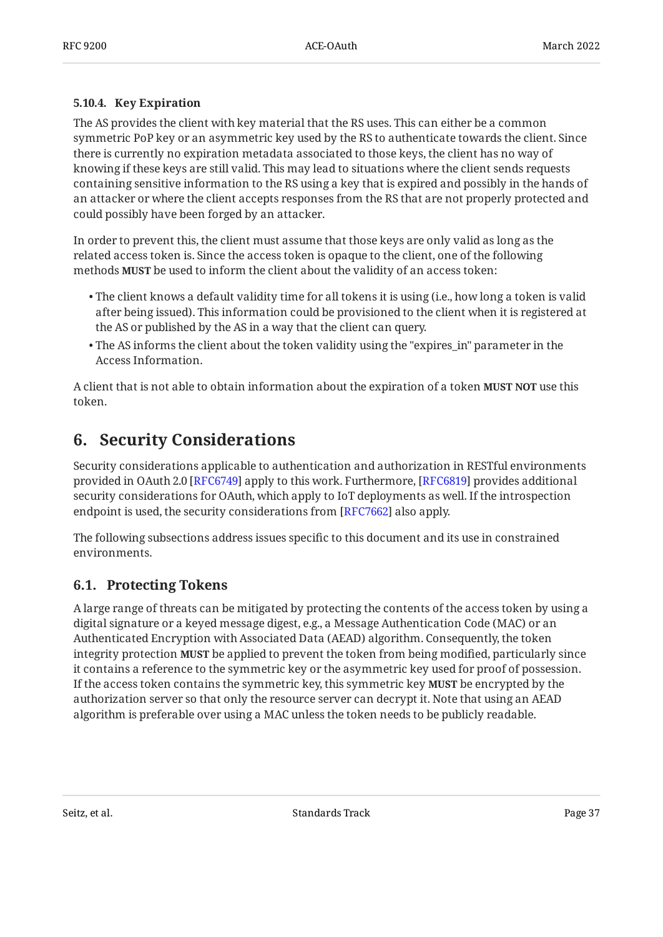### <span id="page-36-0"></span>**[5.10.4. Key Expiration](#page-36-0)**

The AS provides the client with key material that the RS uses. This can either be a common symmetric PoP key or an asymmetric key used by the RS to authenticate towards the client. Since there is currently no expiration metadata associated to those keys, the client has no way of knowing if these keys are still valid. This may lead to situations where the client sends requests containing sensitive information to the RS using a key that is expired and possibly in the hands of an attacker or where the client accepts responses from the RS that are not properly protected and could possibly have been forged by an attacker.

In order to prevent this, the client must assume that those keys are only valid as long as the related access token is. Since the access token is opaque to the client, one of the following methods **MUST** be used to inform the client about the validity of an access token:

- $\bullet$  The client knows a default validity time for all tokens it is using (i.e., how long a token is valid after being issued). This information could be provisioned to the client when it is registered at the AS or published by the AS in a way that the client can query.
- The AS informs the client about the token validity using the "expires\_in" parameter in the Access Information.

<span id="page-36-1"></span>A client that is not able to obtain information about the expiration of a token **MUST NOT** use this token.

# **[6. Security Considerations](#page-36-1)**

Security considerations applicable to authentication and authorization in RESTful environments provided in OAuth 2.0 [[RFC6749\]](#page-52-0) apply to this work. Furthermore, [RFC6819] provides additional security considerations for OAuth, which apply to IoT deployments as well. If the introspection endpoint is used, the security considerations from [RFC7662] also apply.

The following subsections address issues specific to this document and its use in constrained environments.

## <span id="page-36-2"></span>**[6.1. Protecting Tokens](#page-36-2)**

A large range of threats can be mitigated by protecting the contents of the access token by using a digital signature or a keyed message digest, e.g., a Message Authentication Code (MAC) or an Authenticated Encryption with Associated Data (AEAD) algorithm. Consequently, the token integrity protection **MUST** be applied to prevent the token from being modified, particularly since it contains a reference to the symmetric key or the asymmetric key used for proof of possession. If the access token contains the symmetric key, this symmetric key **MUST** be encrypted by the authorization server so that only the resource server can decrypt it. Note that using an AEAD algorithm is preferable over using a MAC unless the token needs to be publicly readable.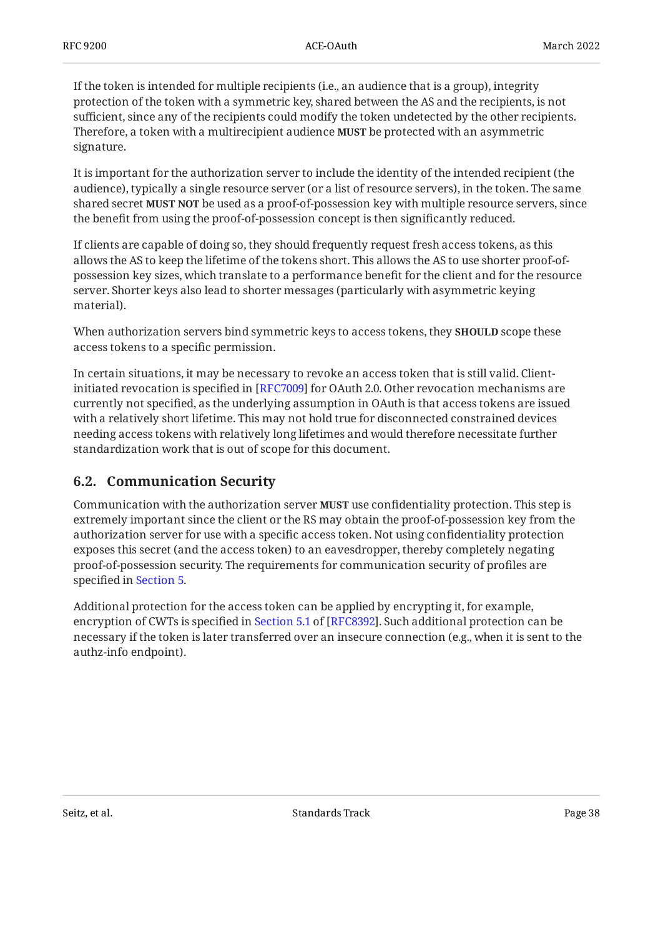If the token is intended for multiple recipients (i.e., an audience that is a group), integrity protection of the token with a symmetric key, shared between the AS and the recipients, is not sufficient, since any of the recipients could modify the token undetected by the other recipients. Therefore, a token with a multirecipient audience **MUST** be protected with an asymmetric signature.

It is important for the authorization server to include the identity of the intended recipient (the audience), typically a single resource server (or a list of resource servers), in the token. The same shared secret **MUST NOT** be used as a proof-of-possession key with multiple resource servers, since the benefit from using the proof-of-possession concept is then significantly reduced.

If clients are capable of doing so, they should frequently request fresh access tokens, as this allows the AS to keep the lifetime of the tokens short. This allows the AS to use shorter proof-ofpossession key sizes, which translate to a performance benefit for the client and for the resource server. Shorter keys also lead to shorter messages (particularly with asymmetric keying material).

When authorization servers bind symmetric keys to access tokens, they **SHOULD** scope these access tokens to a specific permission.

In certain situations, it may be necessary to revoke an access token that is still valid. Clientinitiated revocation is specified in [RFC7009] for OAuth 2.0. Other revocation mechanisms are currently not specified, as the underlying assumption in OAuth is that access tokens are issued with a relatively short lifetime. This may not hold true for disconnected constrained devices needing access tokens with relatively long lifetimes and would therefore necessitate further standardization work that is out of scope for this document.

## <span id="page-37-0"></span>**[6.2. Communication Security](#page-37-0)**

Communication with the authorization server **MUST** use confidentiality protection. This step is extremely important since the client or the RS may obtain the proof-of-possession key from the authorization server for use with a specific access token. Not using confidentiality protection exposes this secret (and the access token) to an eavesdropper, thereby completely negating proof-of-possession security. The requirements for communication security of profiles are specified in [Section 5.](#page-12-0)

Additional protection for the access token can be applied by encrypting it, for example, encryptionof CWTs is specified in Section 5.1 of [RFC8392]. Such additional protection can be necessary if the token is later transferred over an insecure connection (e.g., when it is sent to the authz-info endpoint).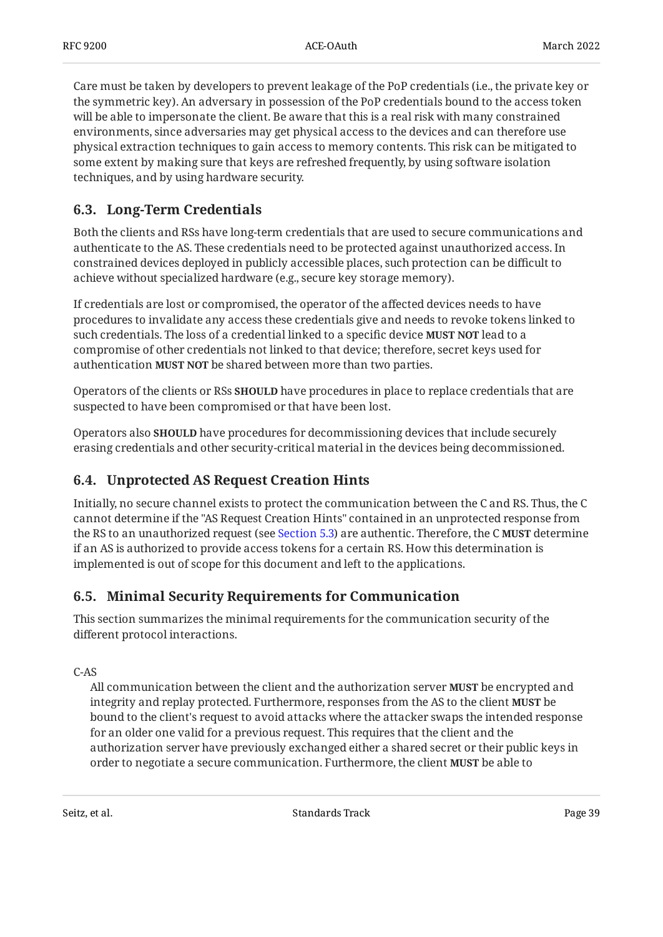Care must be taken by developers to prevent leakage of the PoP credentials (i.e., the private key or the symmetric key). An adversary in possession of the PoP credentials bound to the access token will be able to impersonate the client. Be aware that this is a real risk with many constrained environments, since adversaries may get physical access to the devices and can therefore use physical extraction techniques to gain access to memory contents. This risk can be mitigated to some extent by making sure that keys are refreshed frequently, by using software isolation techniques, and by using hardware security.

## <span id="page-38-0"></span>**[6.3. Long-Term Credentials](#page-38-0)**

Both the clients and RSs have long-term credentials that are used to secure communications and authenticate to the AS. These credentials need to be protected against unauthorized access. In constrained devices deployed in publicly accessible places, such protection can be difficult to achieve without specialized hardware (e.g., secure key storage memory).

If credentials are lost or compromised, the operator of the affected devices needs to have procedures to invalidate any access these credentials give and needs to revoke tokens linked to such credentials. The loss of a credential linked to a specific device **MUST NOT** lead to a compromise of other credentials not linked to that device; therefore, secret keys used for authentication MUST NOT be shared between more than two parties.

Operators of the clients or RSs **SHOULD** have procedures in place to replace credentials that are suspected to have been compromised or that have been lost.

Operators also **SHOULD** have procedures for decommissioning devices that include securely erasing credentials and other security-critical material in the devices being decommissioned.

## <span id="page-38-1"></span>**[6.4. Unprotected AS Request Creation Hints](#page-38-1)**

Initially, no secure channel exists to protect the communication between the C and RS. Thus, the C cannot determine if the "AS Request Creation Hints" contained in an unprotected response from the RS to an unauthorized request (see [Section 5.3\)](#page-15-0) are authentic. Therefore, the C **MUST** determine if an AS is authorized to provide access tokens for a certain RS. How this determination is implemented is out of scope for this document and left to the applications.

## <span id="page-38-2"></span>**[6.5. Minimal Security Requirements for Communication](#page-38-2)**

This section summarizes the minimal requirements for the communication security of the different protocol interactions.

C-AS

All communication between the client and the authorization server **MUST** be encrypted and integrity and replay protected. Furthermore, responses from the AS to the client **MUST** be bound to the client's request to avoid attacks where the attacker swaps the intended response for an older one valid for a previous request. This requires that the client and the authorization server have previously exchanged either a shared secret or their public keys in order to negotiate a secure communication. Furthermore, the client MUST be able to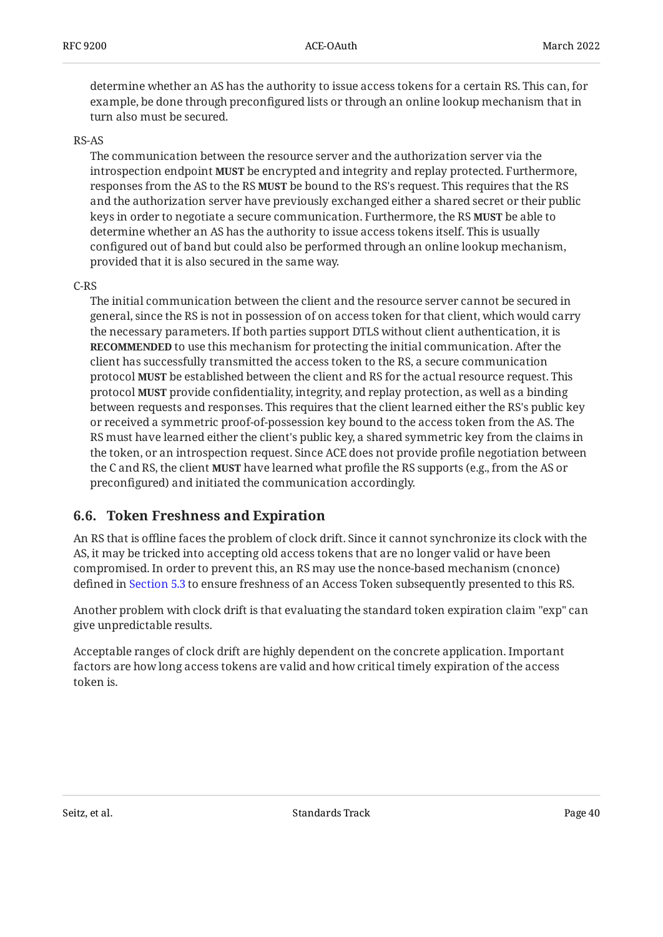determine whether an AS has the authority to issue access tokens for a certain RS. This can, for example, be done through preconfigured lists or through an online lookup mechanism that in turn also must be secured.

### RS-AS

The communication between the resource server and the authorization server via the introspection endpoint **MUST** be encrypted and integrity and replay protected. Furthermore, responses from the AS to the RS **MUST** be bound to the RS's request. This requires that the RS and the authorization server have previously exchanged either a shared secret or their public keys in order to negotiate a secure communication. Furthermore, the RS **MUST** be able to determine whether an AS has the authority to issue access tokens itself. This is usually configured out of band but could also be performed through an online lookup mechanism, provided that it is also secured in the same way.

### C-RS

The initial communication between the client and the resource server cannot be secured in general, since the RS is not in possession of on access token for that client, which would carry the necessary parameters. If both parties support DTLS without client authentication, it is **RECOMMENDED** to use this mechanism for protecting the initial communication. After the client has successfully transmitted the access token to the RS, a secure communication protocol **MUST** be established between the client and RS for the actual resource request. This protocol **MUST** provide confidentiality, integrity, and replay protection, as well as a binding between requests and responses. This requires that the client learned either the RS's public key or received a symmetric proof-of-possession key bound to the access token from the AS. The RS must have learned either the client's public key, a shared symmetric key from the claims in the token, or an introspection request. Since ACE does not provide profile negotiation between the C and RS, the client **MUST** have learned what profile the RS supports (e.g., from the AS or preconfigured) and initiated the communication accordingly.

## <span id="page-39-0"></span>**[6.6. Token Freshness and Expiration](#page-39-0)**

An RS that is offline faces the problem of clock drift. Since it cannot synchronize its clock with the AS, it may be tricked into accepting old access tokens that are no longer valid or have been compromised. In order to prevent this, an RS may use the nonce-based mechanism (cnonce) defined in [Section 5.3](#page-15-0) to ensure freshness of an Access Token subsequently presented to this RS.

Another problem with clock drift is that evaluating the standard token expiration claim "exp" can give unpredictable results.

Acceptable ranges of clock drift are highly dependent on the concrete application. Important factors are how long access tokens are valid and how critical timely expiration of the access token is.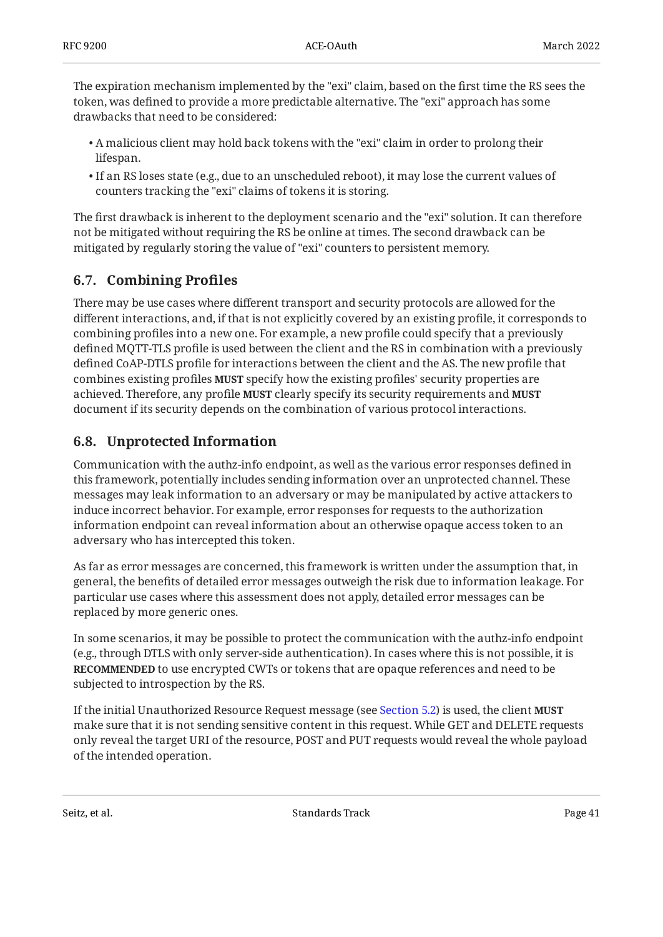The expiration mechanism implemented by the "exi" claim, based on the first time the RS sees the token, was defined to provide a more predictable alternative. The "exi" approach has some drawbacks that need to be considered:

- A malicious client may hold back tokens with the "exi" claim in order to prolong their lifespan.
- $\bullet$  If an RS loses state (e.g., due to an unscheduled reboot), it may lose the current values of counters tracking the "exi" claims of tokens it is storing.

The first drawback is inherent to the deployment scenario and the "exi" solution. It can therefore not be mitigated without requiring the RS be online at times. The second drawback can be mitigated by regularly storing the value of "exi" counters to persistent memory.

## <span id="page-40-0"></span>**[6.7. Combining Pro](#page-40-0)files**

There may be use cases where different transport and security protocols are allowed for the different interactions, and, if that is not explicitly covered by an existing profile, it corresponds to combining profiles into a new one. For example, a new profile could specify that a previously defined MQTT-TLS profile is used between the client and the RS in combination with a previously defined CoAP-DTLS profile for interactions between the client and the AS. The new profile that combines existing profiles **MUST** specify how the existing profiles' security properties are achieved. Therefore, any profile clearly specify its security requirements and **MUST MUST** document if its security depends on the combination of various protocol interactions.

# <span id="page-40-1"></span>**[6.8. Unprotected Information](#page-40-1)**

Communication with the authz-info endpoint, as well as the various error responses defined in this framework, potentially includes sending information over an unprotected channel. These messages may leak information to an adversary or may be manipulated by active attackers to induce incorrect behavior. For example, error responses for requests to the authorization information endpoint can reveal information about an otherwise opaque access token to an adversary who has intercepted this token.

As far as error messages are concerned, this framework is written under the assumption that, in general, the benefits of detailed error messages outweigh the risk due to information leakage. For particular use cases where this assessment does not apply, detailed error messages can be replaced by more generic ones.

In some scenarios, it may be possible to protect the communication with the authz-info endpoint (e.g., through DTLS with only server-side authentication). In cases where this is not possible, it is **RECOMMENDED** to use encrypted CWTs or tokens that are opaque references and need to be subjected to introspection by the RS.

If the initial Unauthorized Resource Request message (see [Section 5.2](#page-14-0)) is used, the client **MUST** make sure that it is not sending sensitive content in this request. While GET and DELETE requests only reveal the target URI of the resource, POST and PUT requests would reveal the whole payload of the intended operation.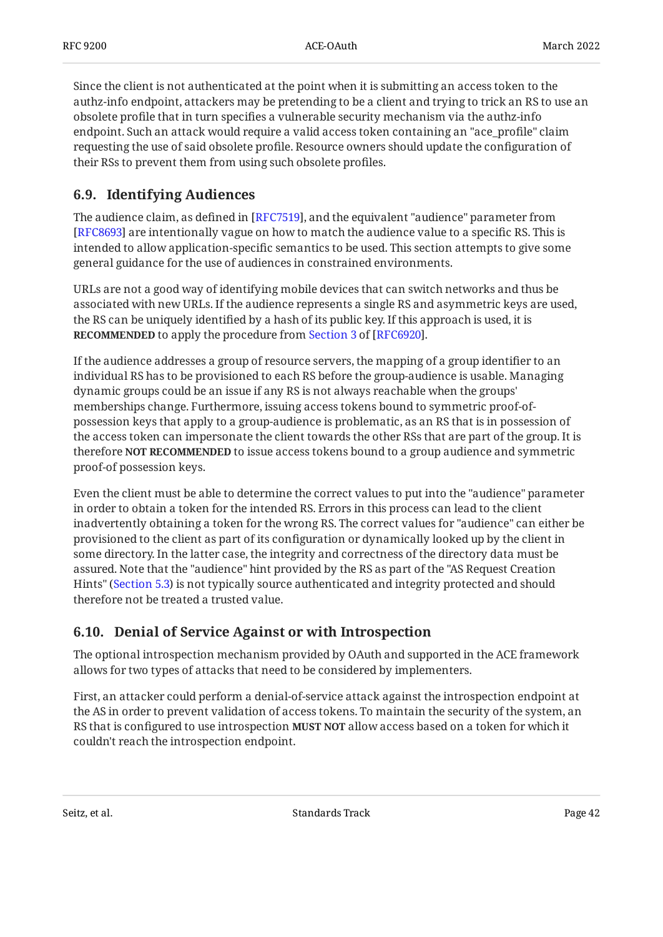Since the client is not authenticated at the point when it is submitting an access token to the authz-info endpoint, attackers may be pretending to be a client and trying to trick an RS to use an obsolete profile that in turn specifies a vulnerable security mechanism via the authz-info endpoint. Such an attack would require a valid access token containing an "ace\_profile" claim requesting the use of said obsolete profile. Resource owners should update the configuration of their RSs to prevent them from using such obsolete profiles.

# <span id="page-41-0"></span>**[6.9. Identifying Audiences](#page-41-0)**

The audience claim, as defined in [RFC7519], and the equivalent "audience" parameter from [[RFC8693\]](#page-52-4) are intentionally vague on how to match the audience value to a specific RS. This is intended to allow application-specific semantics to be used. This section attempts to give some general guidance for the use of audiences in constrained environments.

URLs are not a good way of identifying mobile devices that can switch networks and thus be associated with new URLs. If the audience represents a single RS and asymmetric keys are used, the RS can be uniquely identified by a hash of its public key. If this approach is used, it is **RECOMMENDED**to apply the procedure from Section 3 of [RFC6920].

If the audience addresses a group of resource servers, the mapping of a group identifier to an individual RS has to be provisioned to each RS before the group-audience is usable. Managing dynamic groups could be an issue if any RS is not always reachable when the groups' memberships change. Furthermore, issuing access tokens bound to symmetric proof-ofpossession keys that apply to a group-audience is problematic, as an RS that is in possession of the access token can impersonate the client towards the other RSs that are part of the group. It is therefore NOT RECOMMENDED to issue access tokens bound to a group audience and symmetric proof-of possession keys.

Even the client must be able to determine the correct values to put into the "audience" parameter in order to obtain a token for the intended RS. Errors in this process can lead to the client inadvertently obtaining a token for the wrong RS. The correct values for "audience" can either be provisioned to the client as part of its configuration or dynamically looked up by the client in some directory. In the latter case, the integrity and correctness of the directory data must be assured. Note that the "audience" hint provided by the RS as part of the "AS Request Creation Hints" ([Section 5.3](#page-15-0)) is not typically source authenticated and integrity protected and should therefore not be treated a trusted value.

## <span id="page-41-1"></span>**[6.10. Denial of Service Against or with Introspection](#page-41-1)**

The optional introspection mechanism provided by OAuth and supported in the ACE framework allows for two types of attacks that need to be considered by implementers.

First, an attacker could perform a denial-of-service attack against the introspection endpoint at the AS in order to prevent validation of access tokens. To maintain the security of the system, an RS that is configured to use introspection **MUST NOT** allow access based on a token for which it couldn't reach the introspection endpoint.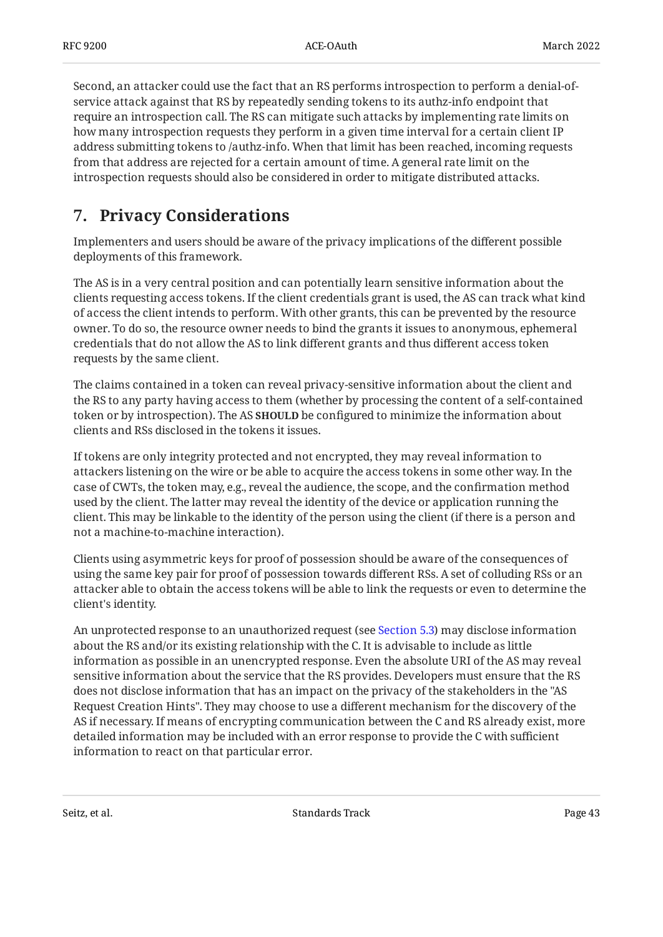Second, an attacker could use the fact that an RS performs introspection to perform a denial-ofservice attack against that RS by repeatedly sending tokens to its authz-info endpoint that require an introspection call. The RS can mitigate such attacks by implementing rate limits on how many introspection requests they perform in a given time interval for a certain client IP address submitting tokens to /authz-info. When that limit has been reached, incoming requests from that address are rejected for a certain amount of time. A general rate limit on the introspection requests should also be considered in order to mitigate distributed attacks.

# <span id="page-42-0"></span>**[7. Privacy Considerations](#page-42-0)**

Implementers and users should be aware of the privacy implications of the different possible deployments of this framework.

The AS is in a very central position and can potentially learn sensitive information about the clients requesting access tokens. If the client credentials grant is used, the AS can track what kind of access the client intends to perform. With other grants, this can be prevented by the resource owner. To do so, the resource owner needs to bind the grants it issues to anonymous, ephemeral credentials that do not allow the AS to link different grants and thus different access token requests by the same client.

The claims contained in a token can reveal privacy-sensitive information about the client and the RS to any party having access to them (whether by processing the content of a self-contained token or by introspection). The AS **SHOULD** be configured to minimize the information about clients and RSs disclosed in the tokens it issues.

If tokens are only integrity protected and not encrypted, they may reveal information to attackers listening on the wire or be able to acquire the access tokens in some other way. In the case of CWTs, the token may, e.g., reveal the audience, the scope, and the confirmation method used by the client. The latter may reveal the identity of the device or application running the client. This may be linkable to the identity of the person using the client (if there is a person and not a machine-to-machine interaction).

Clients using asymmetric keys for proof of possession should be aware of the consequences of using the same key pair for proof of possession towards different RSs. A set of colluding RSs or an attacker able to obtain the access tokens will be able to link the requests or even to determine the client's identity.

An unprotected response to an unauthorized request (see [Section 5.3\)](#page-15-0) may disclose information about the RS and/or its existing relationship with the C. It is advisable to include as little information as possible in an unencrypted response. Even the absolute URI of the AS may reveal sensitive information about the service that the RS provides. Developers must ensure that the RS does not disclose information that has an impact on the privacy of the stakeholders in the "AS Request Creation Hints". They may choose to use a different mechanism for the discovery of the AS if necessary. If means of encrypting communication between the C and RS already exist, more detailed information may be included with an error response to provide the C with sufficient information to react on that particular error.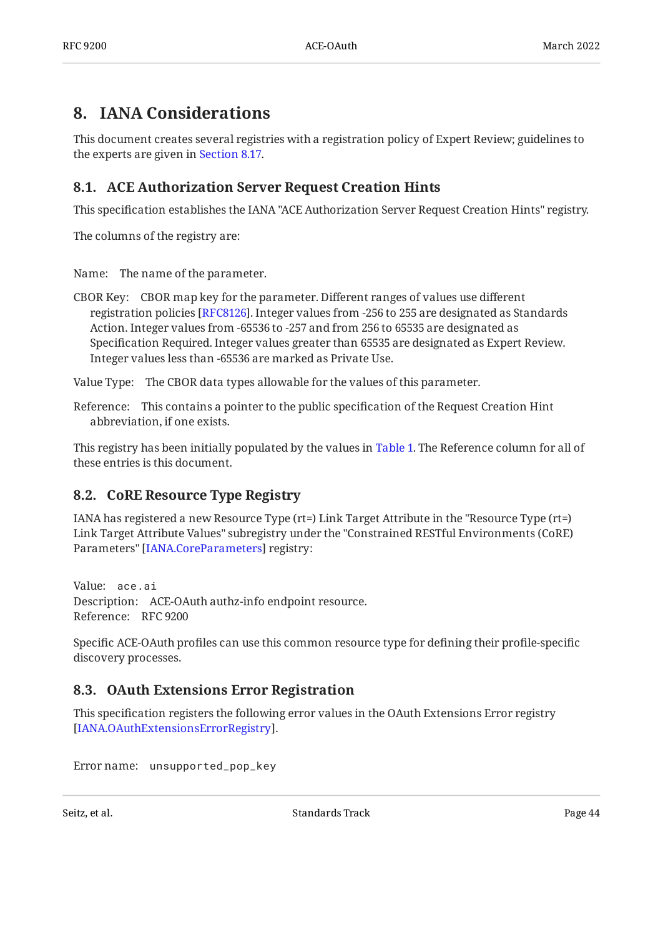# <span id="page-43-0"></span>**[8. IANA Considerations](#page-43-0)**

This document creates several registries with a registration policy of Expert Review; guidelines to the experts are given in [Section 8.17.](#page-50-0)

# <span id="page-43-1"></span>**[8.1. ACE Authorization Server Request Creation Hints](#page-43-1)**

This specification establishes the IANA "ACE Authorization Server Request Creation Hints" registry.

The columns of the registry are:

Name: The name of the parameter.

CBOR Key: CBOR map key for the parameter. Different ranges of values use different registration policies [RFC8126]. Integer values from -256 to 255 are designated as Standards Action. Integer values from -65536 to -257 and from 256 to 65535 are designated as Specification Required. Integer values greater than 65535 are designated as Expert Review. Integer values less than -65536 are marked as Private Use.

Value Type: The CBOR data types allowable for the values of this parameter.

Reference: This contains a pointer to the public specification of the Request Creation Hint abbreviation, if one exists.

This registry has been initially populated by the values in [Table 1](#page-15-1). The Reference column for all of these entries is this document.

## <span id="page-43-2"></span>**[8.2. CoRE Resource Type Registry](#page-43-2)**

IANA has registered a new Resource Type (rt=) Link Target Attribute in the "Resource Type (rt=) Link Target Attribute Values" subregistry under the "Constrained RESTful Environments (CoRE) Parameters" [IANA.CoreParameters] registry:

Value: ace.ai Description: ACE-OAuth authz-info endpoint resource. Reference: RFC 9200

Specific ACE-OAuth profiles can use this common resource type for defining their profile-specific discovery processes.

# <span id="page-43-3"></span>**[8.3. OAuth Extensions Error Registration](#page-43-3)**

This specification registers the following error values in the OAuth Extensions Error registry . [[IANA.OAuthExtensionsErrorRegistry\]](#page-51-1)

Error name: unsupported\_pop\_key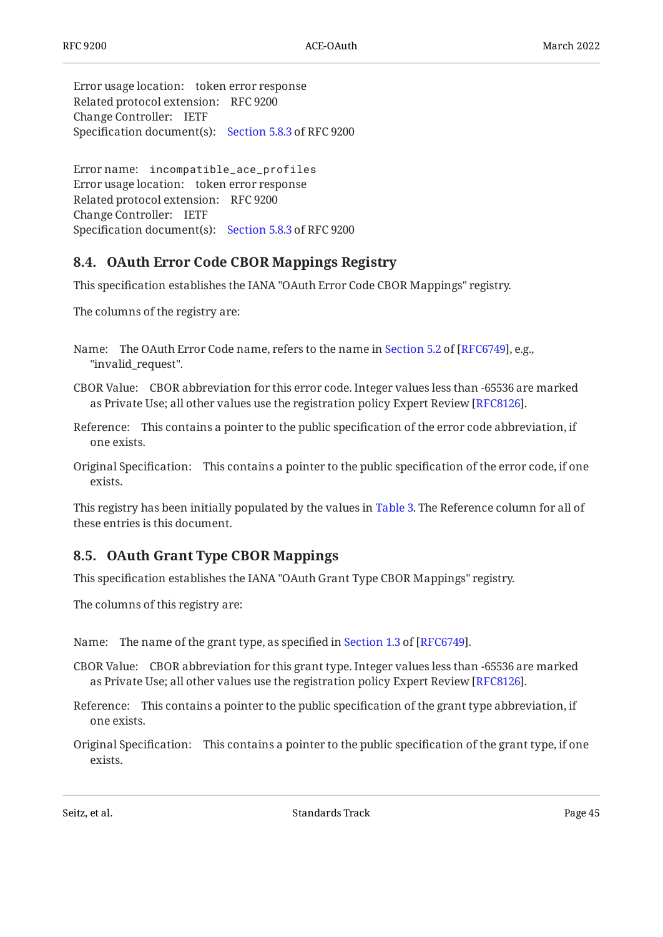Error usage location: token error response Related protocol extension: RFC 9200 Change Controller: IETF Specification document(s): [Section 5.8.3](#page-23-0) of RFC 9200

Error name: incompatible\_ace\_profiles Error usage location: token error response Related protocol extension: RFC 9200 Change Controller: IETF Specification document(s): [Section 5.8.3](#page-23-0) of RFC 9200

### <span id="page-44-0"></span>**[8.4. OAuth Error Code CBOR Mappings Registry](#page-44-0)**

This specification establishes the IANA "OAuth Error Code CBOR Mappings" registry.

The columns of the registry are:

- Name: The OAuth Error Code name, refers to the name in Section 5.2 of [RFC6749], e.g., "invalid\_request".
- CBOR Value: CBOR abbreviation for this error code. Integer values less than -65536 are marked as Private Use; all other values use the registration policy Expert Review [\[RFC8126](#page-52-6)].
- Reference: This contains a pointer to the public specification of the error code abbreviation, if one exists.
- Original Specification: This contains a pointer to the public specification of the error code, if one exists.

This registry has been initially populated by the values in [Table 3](#page-23-1). The Reference column for all of these entries is this document.

### <span id="page-44-1"></span>**[8.5. OAuth Grant Type CBOR Mappings](#page-44-1)**

This specification establishes the IANA "OAuth Grant Type CBOR Mappings" registry.

The columns of this registry are:

Name:The name of the grant type, as specified in Section 1.3 of [RFC6749].

- CBOR Value: CBOR abbreviation for this grant type. Integer values less than -65536 are marked as Private Use; all other values use the registration policy Expert Review [RFC8126].
- Reference: This contains a pointer to the public specification of the grant type abbreviation, if one exists.

Original Specification: This contains a pointer to the public specification of the grant type, if one exists.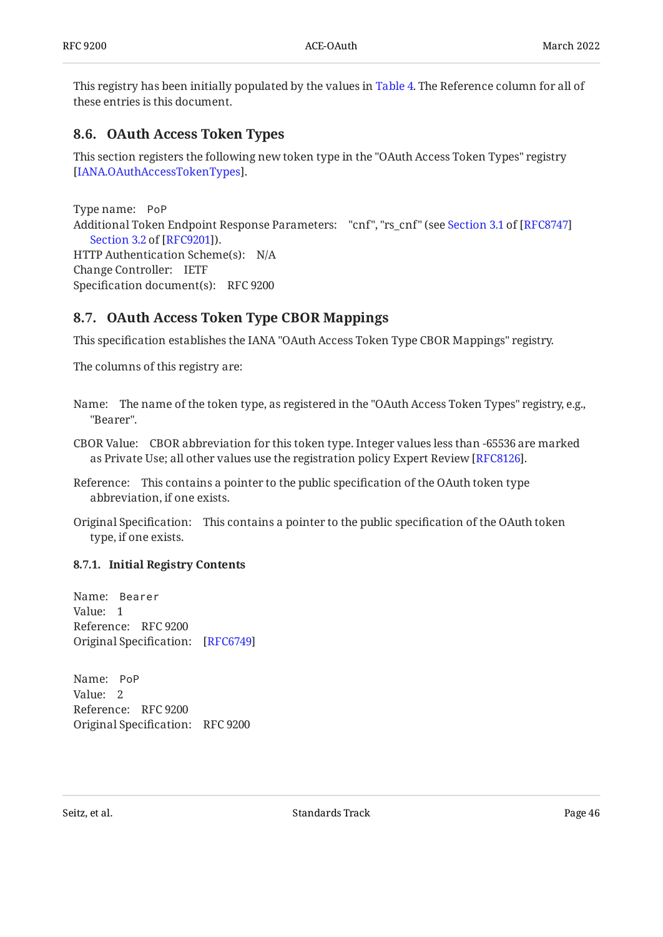This registry has been initially populated by the values in [Table 4](#page-24-0). The Reference column for all of these entries is this document.

### <span id="page-45-0"></span>**[8.6. OAuth Access Token Types](#page-45-0)**

This section registers the following new token type in the "OAuth Access Token Types" registry . [[IANA.OAuthAccessTokenTypes\]](#page-51-2)

Type name: PoP Additional Token Endpoint Response Parameters: "cnf", "rs\_cnf" (see [Section 3.1](https://www.rfc-editor.org/rfc/rfc8747#section-3.1) of [\[RFC8747](#page-53-0)] HTTP Authentication Scheme(s): N/A Change Controller: IETF Specification document(s): RFC 9200 ). [Section 3.2](https://www.rfc-editor.org/rfc/rfc9201#section-3.2) of [\[RFC9201\]](#page-53-1)

## <span id="page-45-1"></span>**[8.7. OAuth Access Token Type CBOR Mappings](#page-45-1)**

This specification establishes the IANA "OAuth Access Token Type CBOR Mappings" registry.

The columns of this registry are:

- Name: The name of the token type, as registered in the "OAuth Access Token Types" registry, e.g., "Bearer".
- CBOR Value: CBOR abbreviation for this token type. Integer values less than -65536 are marked as Private Use; all other values use the registration policy Expert Review [\[RFC8126](#page-52-6)].
- Reference: This contains a pointer to the public specification of the OAuth token type abbreviation, if one exists.
- Original Specification: This contains a pointer to the public specification of the OAuth token type, if one exists.

### <span id="page-45-2"></span>**[8.7.1. Initial Registry Contents](#page-45-2)**

Name: Bearer Value: 1 Reference: RFC 9200 Original Specification: [\[RFC6749\]](#page-52-0)

Name: PoP Value: 2 Reference: RFC 9200 Original Specification: RFC 9200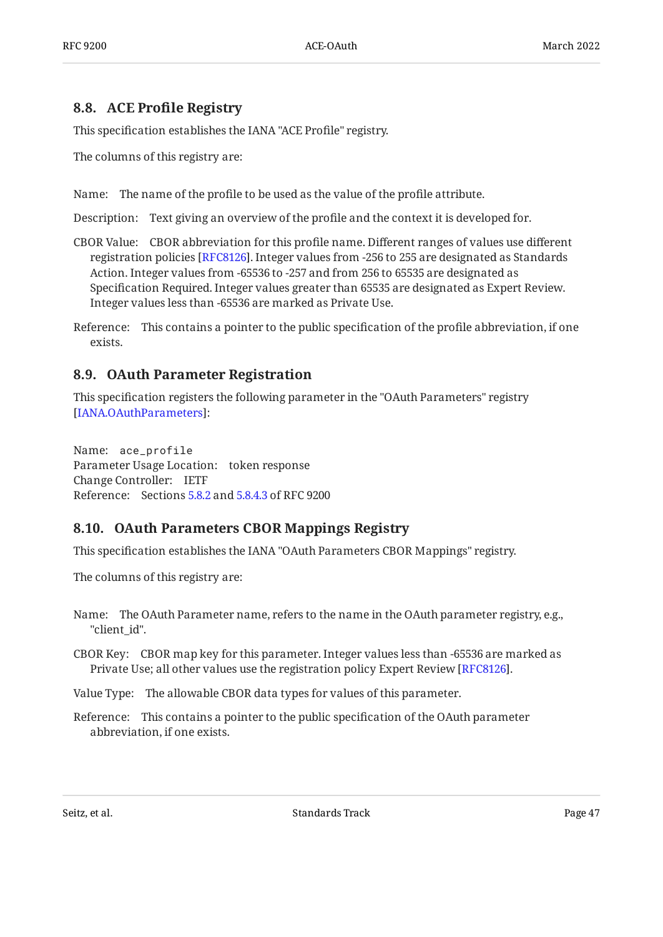### <span id="page-46-0"></span>**[8.8. A](#page-46-0)CE Profi[le Registry](#page-46-0)**

This specification establishes the IANA "ACE Profile" registry.

The columns of this registry are:

Name: The name of the profile to be used as the value of the profile attribute.

Description: Text giving an overview of the profile and the context it is developed for.

- CBOR Value: CBOR abbreviation for this profile name. Different ranges of values use different registration policies [\[RFC8126](#page-52-6)]. Integer values from -256 to 255 are designated as Standards Action. Integer values from -65536 to -257 and from 256 to 65535 are designated as Specification Required. Integer values greater than 65535 are designated as Expert Review. Integer values less than -65536 are marked as Private Use.
- Reference: This contains a pointer to the public specification of the profile abbreviation, if one exists.

### <span id="page-46-1"></span>**[8.9. OAuth Parameter Registration](#page-46-1)**

This specification registers the following parameter in the "OAuth Parameters" registry : [[IANA.OAuthParameters](#page-51-3)]

Name: ace\_profile Parameter Usage Location: token response Change Controller: IETF Reference: Sections [5.8.2](#page-21-0) and [5.8.4.3](#page-25-0) of RFC 9200

## <span id="page-46-2"></span>**[8.10. OAuth Parameters CBOR Mappings Registry](#page-46-2)**

This specification establishes the IANA "OAuth Parameters CBOR Mappings" registry.

The columns of this registry are:

- Name: The OAuth Parameter name, refers to the name in the OAuth parameter registry, e.g., "client\_id".
- CBOR Key: CBOR map key for this parameter. Integer values less than -65536 are marked as Private Use; all other values use the registration policy Expert Review [RFC8126].

Value Type: The allowable CBOR data types for values of this parameter.

Reference: This contains a pointer to the public specification of the OAuth parameter abbreviation, if one exists.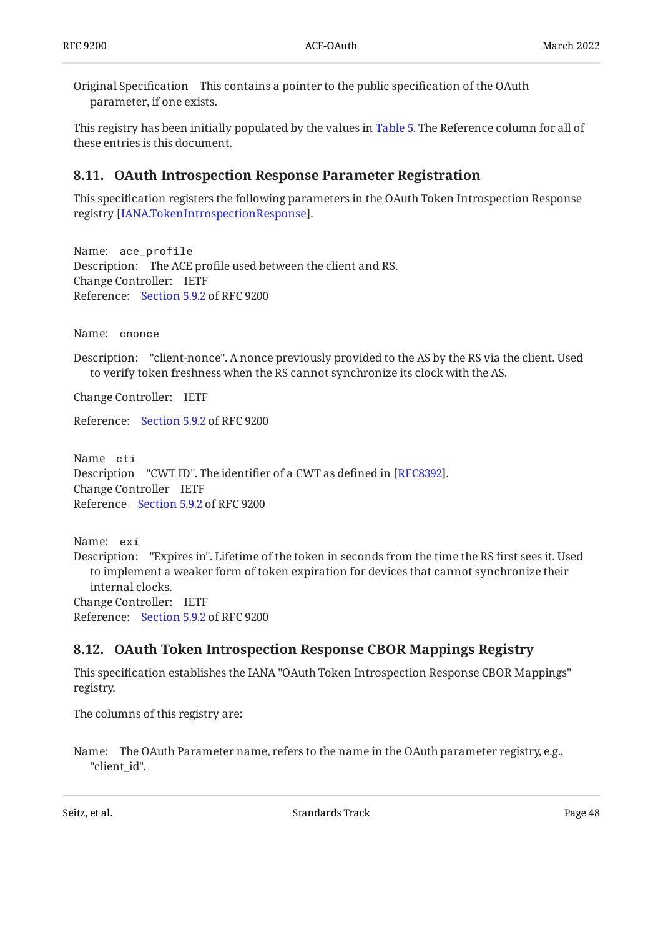Original Specification This contains a pointer to the public specification of the OAuth parameter, if one exists.

This registry has been initially populated by the values in [Table 5](#page-26-0). The Reference column for all of these entries is this document.

## <span id="page-47-0"></span>**[8.11. OAuth Introspection Response Parameter Registration](#page-47-0)**

This specification registers the following parameters in the OAuth Token Introspection Response registry [[IANA.TokenIntrospectionResponse](#page-51-4)].

Name: ace\_profile Description: The ACE profile used between the client and RS. Change Controller: IETF Reference: [Section 5.9.2](#page-28-0) of RFC 9200

Name: cnonce

Description: "client-nonce". A nonce previously provided to the AS by the RS via the client. Used to verify token freshness when the RS cannot synchronize its clock with the AS.

Change Controller: IETF

Reference: [Section 5.9.2](#page-28-0) of RFC 9200

Name cti Description "CWT ID". The identifier of a CWT as defined in [RFC8392]. Change Controller IETF Reference [Section 5.9.2](#page-28-0) of RFC 9200

Name: exi Description: "Expires in". Lifetime of the token in seconds from the time the RS first sees it. Used Change Controller: IETF Reference: [Section 5.9.2](#page-28-0) of RFC 9200 to implement a weaker form of token expiration for devices that cannot synchronize their internal clocks.

## <span id="page-47-1"></span>**[8.12. OAuth Token Introspection Response CBOR Mappings Registry](#page-47-1)**

This specification establishes the IANA "OAuth Token Introspection Response CBOR Mappings" registry.

The columns of this registry are:

Name: The OAuth Parameter name, refers to the name in the OAuth parameter registry, e.g., "client\_id".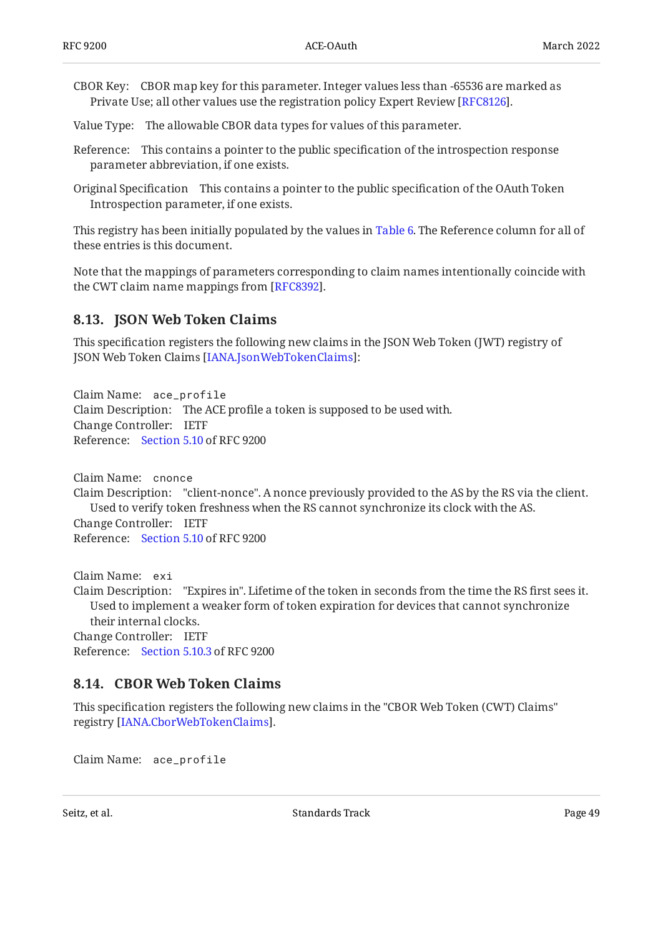- CBOR Key: CBOR map key for this parameter. Integer values less than -65536 are marked as Private Use; all other values use the registration policy Expert Review [RFC8126].
- Value Type: The allowable CBOR data types for values of this parameter.
- Reference: This contains a pointer to the public specification of the introspection response parameter abbreviation, if one exists.
- Original Specification This contains a pointer to the public specification of the OAuth Token Introspection parameter, if one exists.

This registry has been initially populated by the values in [Table 6](#page-30-0). The Reference column for all of these entries is this document.

Note that the mappings of parameters corresponding to claim names intentionally coincide with the CWT claim name mappings from [RFC8392].

### <span id="page-48-0"></span>**[8.13. JSON Web Token Claims](#page-48-0)**

This specification registers the following new claims in the JSON Web Token (JWT) registry of JSON Web Token Claims [IANA.JsonWebTokenClaims]:

Claim Name: ace\_profile Claim Description: The ACE profile a token is supposed to be used with. Change Controller: IETF Reference: [Section 5.10](#page-31-0) of RFC 9200

Claim Name: cnonce Claim Description: "client-nonce". A nonce previously provided to the AS by the RS via the client. Change Controller: IETF Reference: [Section 5.10](#page-31-0) of RFC 9200 Used to verify token freshness when the RS cannot synchronize its clock with the AS.

Claim Name: exi Claim Description: "Expires in". Lifetime of the token in seconds from the time the RS first sees it. Change Controller: IETF Reference: [Section 5.10.3](#page-35-0) of RFC 9200 Used to implement a weaker form of token expiration for devices that cannot synchronize their internal clocks.

## <span id="page-48-1"></span>**[8.14. CBOR Web Token Claims](#page-48-1)**

This specification registers the following new claims in the "CBOR Web Token (CWT) Claims" registry [[IANA.CborWebTokenClaims\]](#page-51-6).

Claim Name: ace\_profile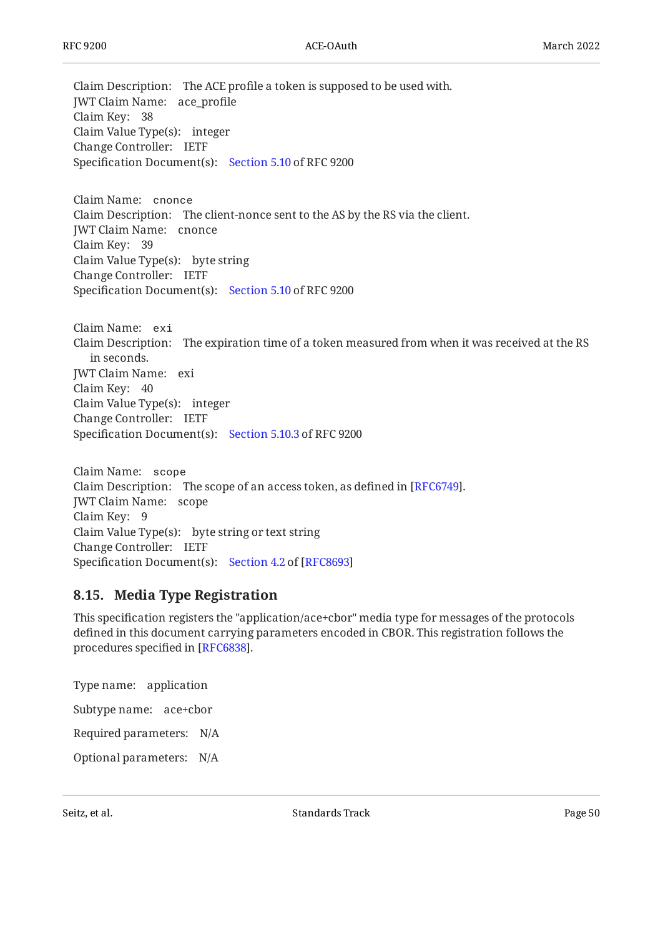Claim Description: The ACE profile a token is supposed to be used with. JWT Claim Name: ace\_profile Claim Key: 38 Claim Value Type(s): integer Change Controller: IETF Specification Document(s): [Section 5.10](#page-31-0) of RFC 9200

Claim Name: cnonce Claim Description: The client-nonce sent to the AS by the RS via the client. JWT Claim Name: cnonce Claim Key: 39 Claim Value Type(s): byte string Change Controller: IETF Specification Document(s): [Section 5.10](#page-31-0) of RFC 9200

Claim Name: exi Claim Description: The expiration time of a token measured from when it was received at the RS JWT Claim Name: exi Claim Key: 40 Claim Value Type(s): integer Change Controller: IETF Specification Document(s): [Section 5.10.3](#page-35-0) of RFC 9200 in seconds.

Claim Name: scope Claim Description: The scope of an access token, as defined in  $[{\rm RFC6749}].$ JWT Claim Name: scope Claim Key: 9 Claim Value Type(s): byte string or text string Change Controller: IETF Specification Document(s): [Section 4.2](https://www.rfc-editor.org/rfc/rfc8693#section-4.2) of [[RFC8693\]](#page-52-4)

## <span id="page-49-0"></span>**[8.15. Media Type Registration](#page-49-0)**

This specification registers the "application/ace+cbor" media type for messages of the protocols defined in this document carrying parameters encoded in CBOR. This registration follows the procedures specified in [\[RFC6838](#page-52-7)].

Type name: application Subtype name: ace+cbor Required parameters: N/A

Optional parameters: N/A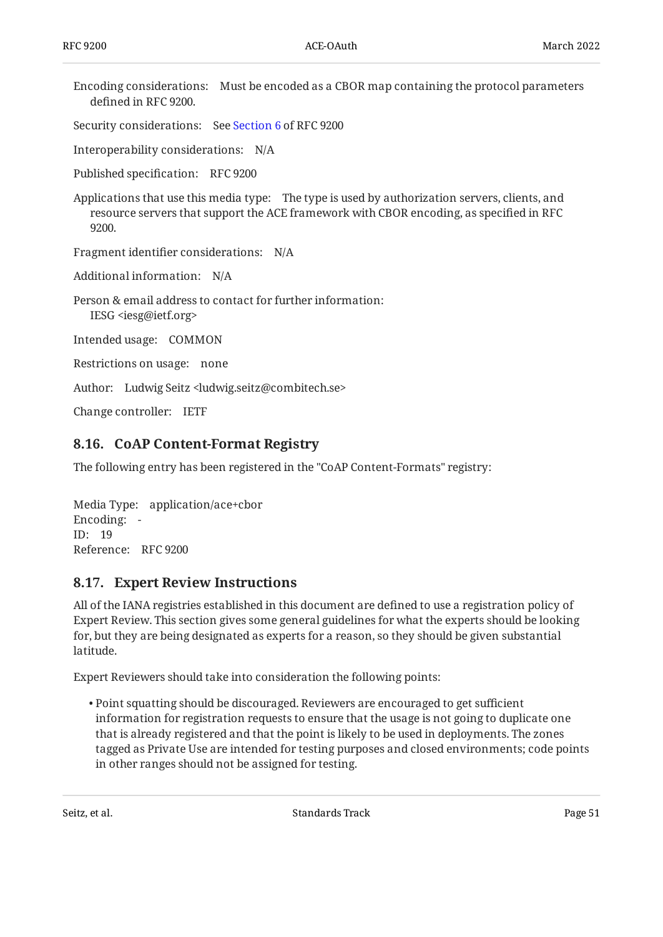Encoding considerations: Must be encoded as a CBOR map containing the protocol parameters defined in RFC 9200.

Security considerations: See [Section 6](#page-36-1) of RFC 9200

Interoperability considerations: N/A

Published specification: RFC 9200

Applications that use this media type: The type is used by authorization servers, clients, and resource servers that support the ACE framework with CBOR encoding, as specified in RFC 9200.

Fragment identifier considerations: N/A

Additional information: N/A

Person & email address to contact for further information: IESG <iesg@ietf.org>

Intended usage: COMMON

Restrictions on usage: none

Author: Ludwig Seitz <ludwig.seitz@combitech.se>

<span id="page-50-1"></span>Change controller: IETF

### **[8.16. CoAP Content-Format Registry](#page-50-1)**

The following entry has been registered in the "CoAP Content-Formats" registry:

Media Type: application/ace+cbor Encoding: - ID: 19 Reference: RFC 9200

### <span id="page-50-0"></span>**[8.17. Expert Review Instructions](#page-50-0)**

All of the IANA registries established in this document are defined to use a registration policy of Expert Review. This section gives some general guidelines for what the experts should be looking for, but they are being designated as experts for a reason, so they should be given substantial latitude.

Expert Reviewers should take into consideration the following points:

Point squatting should be discouraged. Reviewers are encouraged to get sufficient • information for registration requests to ensure that the usage is not going to duplicate one that is already registered and that the point is likely to be used in deployments. The zones tagged as Private Use are intended for testing purposes and closed environments; code points in other ranges should not be assigned for testing.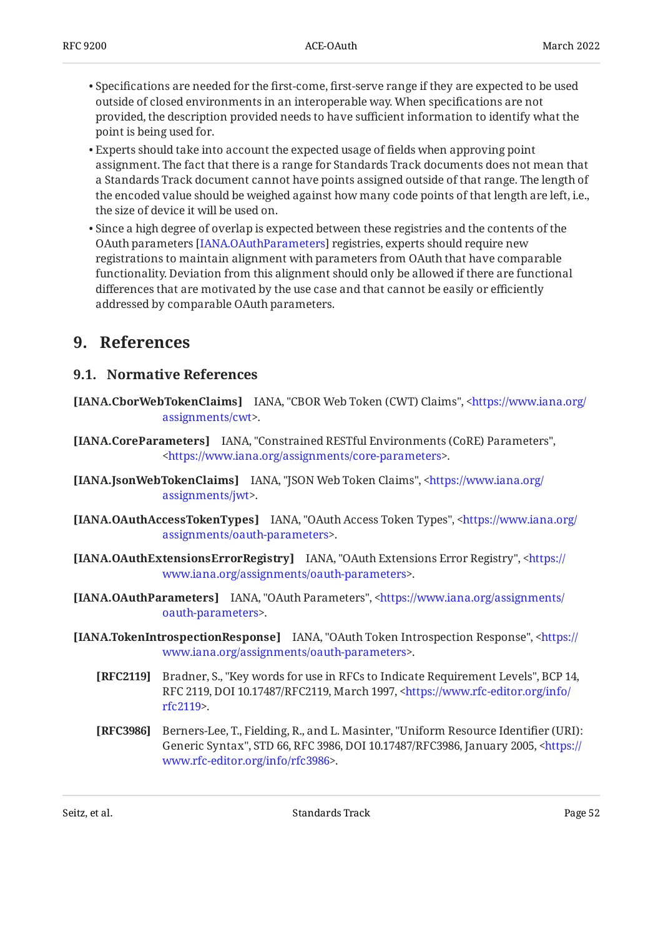- $\bullet$  Specifications are needed for the first-come, first-serve range if they are expected to be used outside of closed environments in an interoperable way. When specifications are not provided, the description provided needs to have sufficient information to identify what the point is being used for.
- Experts should take into account the expected usage of fields when approving point assignment. The fact that there is a range for Standards Track documents does not mean that a Standards Track document cannot have points assigned outside of that range. The length of the encoded value should be weighed against how many code points of that length are left, i.e., the size of device it will be used on.
- $\bullet$  Since a high degree of overlap is expected between these registries and the contents of the OAuth parameters [[IANA.OAuthParameters](#page-51-3)] registries, experts should require new registrations to maintain alignment with parameters from OAuth that have comparable functionality. Deviation from this alignment should only be allowed if there are functional differences that are motivated by the use case and that cannot be easily or efficiently addressed by comparable OAuth parameters.

# <span id="page-51-8"></span><span id="page-51-7"></span>**[9. References](#page-51-7)**

### **[9.1. Normative References](#page-51-8)**

- <span id="page-51-6"></span>**[IANA.CborWebTokenClaims]** IANA, "CBOR Web Token (CWT) Claims", [<https://www.iana.org/](https://www.iana.org/assignments/cwt) . [assignments/cwt](https://www.iana.org/assignments/cwt)>
- <span id="page-51-0"></span>**[IANA.CoreParameters]** IANA, "Constrained RESTful Environments (CoRE) Parameters", . [<https://www.iana.org/assignments/core-parameters](https://www.iana.org/assignments/core-parameters)>
- <span id="page-51-5"></span>**[IANA.JsonWebTokenClaims]** IANA, "JSON Web Token Claims", <[https://www.iana.org/](https://www.iana.org/assignments/jwt) . [assignments/jwt>](https://www.iana.org/assignments/jwt)
- <span id="page-51-2"></span>**[IANA.OAuthAccessTokenTypes]** IANA, "OAuth Access Token Types", <[https://www.iana.org/](https://www.iana.org/assignments/oauth-parameters) . [assignments/oauth-parameters](https://www.iana.org/assignments/oauth-parameters)>
- <span id="page-51-1"></span>**[IANA.OAuthExtensionsErrorRegistry]** IANA, "OAuth Extensions Error Registry", [<https://](https://www.iana.org/assignments/oauth-parameters) . [www.iana.org/assignments/oauth-parameters>](https://www.iana.org/assignments/oauth-parameters)
- <span id="page-51-3"></span>**[IANA.OAuthParameters]** IANA, "OAuth Parameters", [<https://www.iana.org/assignments/](https://www.iana.org/assignments/oauth-parameters) . [oauth-parameters](https://www.iana.org/assignments/oauth-parameters)>
- <span id="page-51-4"></span>**[IANA.TokenIntrospectionResponse]** IANA, "OAuth Token Introspection Response", [<https://](https://www.iana.org/assignments/oauth-parameters) . [www.iana.org/assignments/oauth-parameters>](https://www.iana.org/assignments/oauth-parameters)
	- **[RFC2119]** Bradner, S., "Key words for use in RFCs to Indicate Requirement Levels", BCP 14, RFC 2119, DOI 10.17487/RFC2119, March 1997, [<https://www.rfc-editor.org/info/](https://www.rfc-editor.org/info/rfc2119) . [rfc2119](https://www.rfc-editor.org/info/rfc2119)>
	- **[RFC3986]** Berners-Lee, T., Fielding, R., and L. Masinter, "Uniform Resource Identifier (URI): Generic Syntax", STD 66, RFC 3986, DOI 10.17487/RFC3986, January 2005, [<https://](https://www.rfc-editor.org/info/rfc3986) . [www.rfc-editor.org/info/rfc3986>](https://www.rfc-editor.org/info/rfc3986)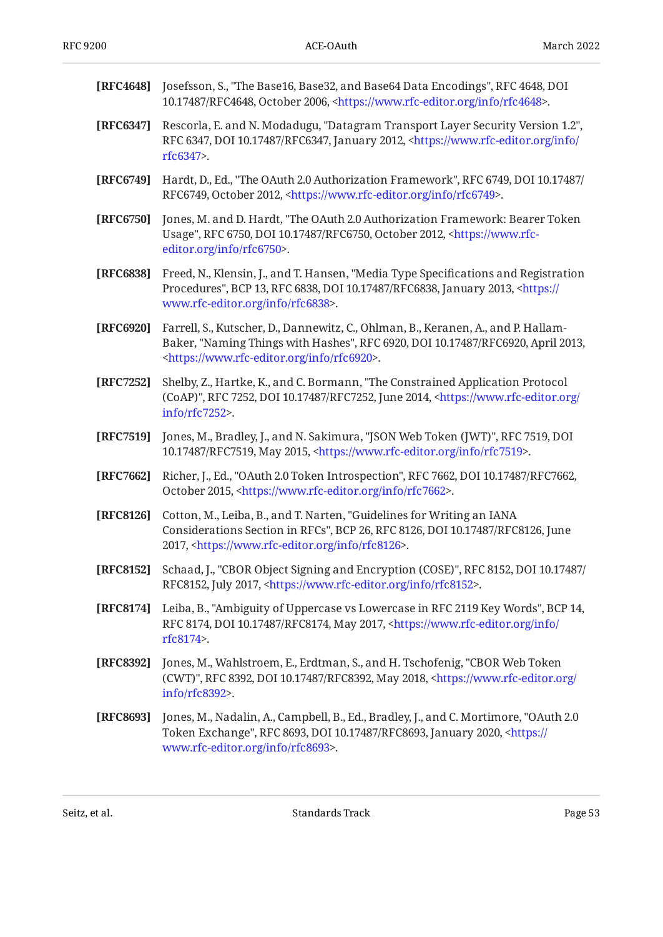<span id="page-52-9"></span><span id="page-52-7"></span><span id="page-52-5"></span><span id="page-52-3"></span><span id="page-52-0"></span>

| [RFC4648] | Josefsson, S., "The Base16, Base32, and Base64 Data Encodings", RFC 4648, DOI<br>10.17487/RFC4648, October 2006, <https: info="" rfc4648="" www.rfc-editor.org="">.</https:>                                                        |  |  |  |
|-----------|-------------------------------------------------------------------------------------------------------------------------------------------------------------------------------------------------------------------------------------|--|--|--|
| [RFC6347] | Rescorla, E. and N. Modadugu, "Datagram Transport Layer Security Version 1.2",<br>RFC 6347, DOI 10.17487/RFC6347, January 2012, <https: <br="" info="" www.rfc-editor.org="">rfc6347&gt;.</https:>                                  |  |  |  |
| [RFC6749] | Hardt, D., Ed., "The OAuth 2.0 Authorization Framework", RFC 6749, DOI 10.17487/<br>RFC6749, October 2012, <https: info="" rfc6749="" www.rfc-editor.org="">.</https:>                                                              |  |  |  |
| [RFC6750] | Jones, M. and D. Hardt, "The OAuth 2.0 Authorization Framework: Bearer Token<br>Usage", RFC 6750, DOI 10.17487/RFC6750, October 2012, <https: www.rfc-<br="">editor.org/info/rfc6750&gt;.</https:>                                  |  |  |  |
| [RFC6838] | Freed, N., Klensin, J., and T. Hansen, "Media Type Specifications and Registration<br>Procedures", BCP 13, RFC 6838, DOI 10.17487/RFC6838, January 2013, <https: <br="">www.rfc-editor.org/info/rfc6838&gt;.</https:>               |  |  |  |
| [RFC6920] | Farrell, S., Kutscher, D., Dannewitz, C., Ohlman, B., Keranen, A., and P. Hallam-<br>Baker, "Naming Things with Hashes", RFC 6920, DOI 10.17487/RFC6920, April 2013,<br><https: info="" rfc6920="" www.rfc-editor.org="">.</https:> |  |  |  |
| [RFC7252] | Shelby, Z., Hartke, K., and C. Bormann, "The Constrained Application Protocol<br>(CoAP)", RFC 7252, DOI 10.17487/RFC7252, June 2014, <https: <br="" www.rfc-editor.org="">info/rfc7252&gt;.</https:>                                |  |  |  |
| [RFC7519] | Jones, M., Bradley, J., and N. Sakimura, "JSON Web Token (JWT)", RFC 7519, DOI<br>10.17487/RFC7519, May 2015, <https: info="" rfc7519="" www.rfc-editor.org="">.</https:>                                                           |  |  |  |
| [RFC7662] | Richer, J., Ed., "OAuth 2.0 Token Introspection", RFC 7662, DOI 10.17487/RFC7662,<br>October 2015, <https: info="" rfc7662="" www.rfc-editor.org="">.</https:>                                                                      |  |  |  |
| [RFC8126] | Cotton, M., Leiba, B., and T. Narten, "Guidelines for Writing an IANA<br>Considerations Section in RFCs", BCP 26, RFC 8126, DOI 10.17487/RFC8126, June<br>2017, <https: info="" rfc8126="" www.rfc-editor.org="">.</https:>         |  |  |  |
|           | [RFC8152] Schaad, J., "CBOR Object Signing and Encryption (COSE)", RFC 8152, DOI 10.17487/<br>RFC8152, July 2017, <https: info="" rfc8152="" www.rfc-editor.org="">.</https:>                                                       |  |  |  |
| [RFC8174] | Leiba, B., "Ambiguity of Uppercase vs Lowercase in RFC 2119 Key Words", BCP 14,<br>RFC 8174, DOI 10.17487/RFC8174, May 2017, <https: <br="" info="" www.rfc-editor.org="">rfc8174&gt;.</https:>                                     |  |  |  |
| [RFC8392] | Jones, M., Wahlstroem, E., Erdtman, S., and H. Tschofenig, "CBOR Web Token<br>(CWT)", RFC 8392, DOI 10.17487/RFC8392, May 2018, <https: <br="" www.rfc-editor.org="">info/rfc8392&gt;.</https:>                                     |  |  |  |
| [RFC8693] | Jones, M., Nadalin, A., Campbell, B., Ed., Bradley, J., and C. Mortimore, "OAuth 2.0<br>Token Exchange", RFC 8693, DOI 10.17487/RFC8693, January 2020, <https: <br="">www.rfc-editor.org/info/rfc8693&gt;.</https:>                 |  |  |  |

<span id="page-52-8"></span><span id="page-52-6"></span><span id="page-52-4"></span><span id="page-52-2"></span><span id="page-52-1"></span>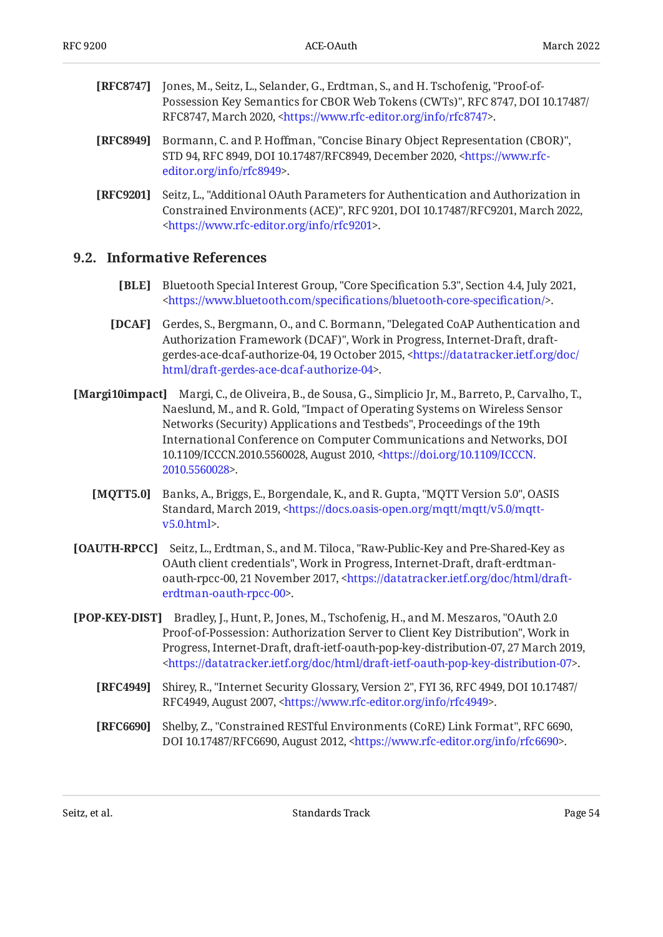- <span id="page-53-0"></span>**[RFC8747]** Jones, M., Seitz, L., Selander, G., Erdtman, S., and H. Tschofenig, "Proof-of-, , Possession Key Semantics for CBOR Web Tokens (CWTs)" RFC 8747 DOI 10.17487/ RFC8747, March 2020, <https://www.rfc-editor.org/info/rfc8747>.
- <span id="page-53-4"></span>**[RFC8949]** Bormann, C. and P. Hoffman, "Concise Binary Object Representation (CBOR)", STD 94, RFC 8949, DOI 10.17487/RFC8949, December 2020, [<https://www.rfc-](https://www.rfc-editor.org/info/rfc8949). [editor.org/info/rfc8949](https://www.rfc-editor.org/info/rfc8949)>
- <span id="page-53-1"></span>**[RFC9201]** , Seitz, L. "Additional OAuth Parameters for Authentication and Authorization in Constrained Environments (ACE)", RFC 9201, DOI 10.17487/RFC9201, March 2022, . [<https://www.rfc-editor.org/info/rfc9201](https://www.rfc-editor.org/info/rfc9201)>

### <span id="page-53-2"></span>**[9.2. Informative References](#page-53-2)**

- **[BLE]** Bluetooth Special Interest Group, "Core Specification 5.3", Section 4.4, July 2021, . [<https://www.bluetooth.com/speci](https://www.bluetooth.com/specifications/bluetooth-core-specification/)fications/bluetooth-core-specification/>
- <span id="page-53-6"></span>**[DCAF]** Gerdes, S., Bergmann, O., and C. Bormann, "Delegated CoAP Authentication and Authorization Framework (DCAF)", Work in Progress, Internet-Draft, draft-gerdes-ace-dcaf-authorize-04, 19 October 2015, [<https://datatracker.ietf.org/doc/](https://datatracker.ietf.org/doc/html/draft-gerdes-ace-dcaf-authorize-04) . [html/draft-gerdes-ace-dcaf-authorize-04>](https://datatracker.ietf.org/doc/html/draft-gerdes-ace-dcaf-authorize-04)
- <span id="page-53-3"></span>**[Margi10impact]** Margi, C., de Oliveira, B., de Sousa, G., Simplicio Jr, M., Barreto, P., Carvalho, T., Naeslund, M., and R. Gold, "Impact of Operating Systems on Wireless Sensor Networks (Security) Applications and Testbeds", Proceedings of the 19th International Conference on Computer Communications and Networks, DOI , August 2010, 10.1109/ICCCN.2010.5560028 [<https://doi.org/10.1109/ICCCN.](https://doi.org/10.1109/ICCCN.2010.5560028) . [2010.5560028>](https://doi.org/10.1109/ICCCN.2010.5560028)
	- **[MQTT5.0]** Banks, A., Briggs, E., Borgendale, K., and R. Gupta, "MQTT Version 5.0", OASIS Standard, March 2019, [<https://docs.oasis-open.org/mqtt/mqtt/v5.0/mqtt-](https://docs.oasis-open.org/mqtt/mqtt/v5.0/mqtt-v5.0.html). [v5.0.html>](https://docs.oasis-open.org/mqtt/mqtt/v5.0/mqtt-v5.0.html)
- **[OAUTH-RPCC]** Seitz, L., Erdtman, S., and M. Tiloca, "Raw-Public-Key and Pre-Shared-Key as OAuth client credentials", Work in Progress, Internet-Draft, draft-erdtmanoauth-rpcc-00, 21 November 2017, <[https://datatracker.ietf.org/doc/html/draft-](https://datatracker.ietf.org/doc/html/draft-erdtman-oauth-rpcc-00). [erdtman-oauth-rpcc-00](https://datatracker.ietf.org/doc/html/draft-erdtman-oauth-rpcc-00)>
- <span id="page-53-5"></span>**[POP-KEY-DIST]** Bradley, J., Hunt, P., Jones, M., Tschofenig, H., and M. Meszaros, "OAuth 2.0 Proof-of-Possession: Authorization Server to Client Key Distribution", Work in Progress, Internet-Draft, draft-ietf-oauth-pop-key-distribution-07, 27 March 2019, . [<https://datatracker.ietf.org/doc/html/draft-ietf-oauth-pop-key-distribution-07](https://datatracker.ietf.org/doc/html/draft-ietf-oauth-pop-key-distribution-07)>
	- **[RFC4949]** Shirey, R., "Internet Security Glossary, Version 2", FYI 36, RFC 4949, DOI 10.17487/ RFC4949, August 2007, <https://www.rfc-editor.org/info/rfc4949>.
	- **[RFC6690]** Shelby, Z., "Constrained RESTful Environments (CoRE) Link Format", RFC 6690, DOI 10.17487/RFC6690, August 2012, <https://www.rfc-editor.org/info/rfc6690>.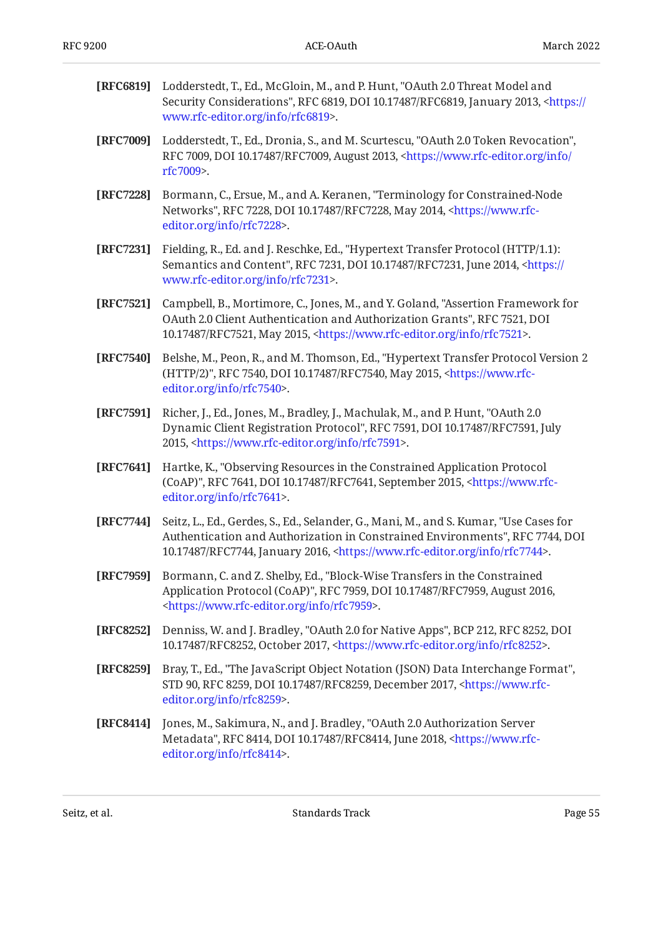<span id="page-54-1"></span><span id="page-54-0"></span>

| [RFC6819] | Lodderstedt, T., Ed., McGloin, M., and P. Hunt, "OAuth 2.0 Threat Model and<br>Security Considerations", RFC 6819, DOI 10.17487/RFC6819, January 2013, <https: <br="">www.rfc-editor.org/info/rfc6819&gt;.</https:>                                                  |  |  |  |
|-----------|----------------------------------------------------------------------------------------------------------------------------------------------------------------------------------------------------------------------------------------------------------------------|--|--|--|
| [RFC7009] | Lodderstedt, T., Ed., Dronia, S., and M. Scurtescu, "OAuth 2.0 Token Revocation",<br>RFC 7009, DOI 10.17487/RFC7009, August 2013, <https: <br="" info="" www.rfc-editor.org="">rfc7009&gt;.</https:>                                                                 |  |  |  |
| [RFC7228] | Bormann, C., Ersue, M., and A. Keranen, "Terminology for Constrained-Node<br>Networks", RFC 7228, DOI 10.17487/RFC7228, May 2014, <https: www.rfc-<br="">editor.org/info/rfc7228&gt;.</https:>                                                                       |  |  |  |
| [RFC7231] | Fielding, R., Ed. and J. Reschke, Ed., "Hypertext Transfer Protocol (HTTP/1.1):<br>Semantics and Content", RFC 7231, DOI 10.17487/RFC7231, June 2014, <https: <br="">www.rfc-editor.org/info/rfc7231&gt;.</https:>                                                   |  |  |  |
| [RFC7521] | Campbell, B., Mortimore, C., Jones, M., and Y. Goland, "Assertion Framework for<br>OAuth 2.0 Client Authentication and Authorization Grants", RFC 7521, DOI<br>10.17487/RFC7521, May 2015, <https: info="" rfc7521="" www.rfc-editor.org="">.</https:>               |  |  |  |
| [RFC7540] | Belshe, M., Peon, R., and M. Thomson, Ed., "Hypertext Transfer Protocol Version 2<br>(HTTP/2)", RFC 7540, DOI 10.17487/RFC7540, May 2015, <https: www.rfc-<br="">editor.org/info/rfc7540&gt;.</https:>                                                               |  |  |  |
| [RFC7591] | Richer, J., Ed., Jones, M., Bradley, J., Machulak, M., and P. Hunt, "OAuth 2.0<br>Dynamic Client Registration Protocol", RFC 7591, DOI 10.17487/RFC7591, July<br>2015, <https: info="" rfc7591="" www.rfc-editor.org="">.</https:>                                   |  |  |  |
| [RFC7641] | Hartke, K., "Observing Resources in the Constrained Application Protocol<br>(CoAP)", RFC 7641, DOI 10.17487/RFC7641, September 2015, <https: www.rfc-<br="">editor.org/info/rfc7641&gt;.</https:>                                                                    |  |  |  |
| [RFC7744] | Seitz, L., Ed., Gerdes, S., Ed., Selander, G., Mani, M., and S. Kumar, "Use Cases for<br>Authentication and Authorization in Constrained Environments", RFC 7744, DOI<br>10.17487/RFC7744, January 2016, <https: info="" rfc7744="" www.rfc-editor.org="">.</https:> |  |  |  |
| [RFC7959] | Bormann, C. and Z. Shelby, Ed., "Block-Wise Transfers in the Constrained<br>Application Protocol (CoAP)", RFC 7959, DOI 10.17487/RFC7959, August 2016,<br><https: info="" rfc7959="" www.rfc-editor.org="">.</https:>                                                |  |  |  |
| [RFC8252] | Denniss, W. and J. Bradley, "OAuth 2.0 for Native Apps", BCP 212, RFC 8252, DOI<br>10.17487/RFC8252, October 2017, <https: info="" rfc8252="" www.rfc-editor.org="">.</https:>                                                                                       |  |  |  |
| [RFC8259] | Bray, T., Ed., "The JavaScript Object Notation (JSON) Data Interchange Format",<br>STD 90, RFC 8259, DOI 10.17487/RFC8259, December 2017, <https: www.rfc-<br="">editor.org/info/rfc8259&gt;.</https:>                                                               |  |  |  |
| [RFC8414] | Jones, M., Sakimura, N., and J. Bradley, "OAuth 2.0 Authorization Server<br>Metadata", RFC 8414, DOI 10.17487/RFC8414, June 2018, <https: www.rfc-<br="">editor.org/info/rfc8414&gt;.</https:>                                                                       |  |  |  |
|           |                                                                                                                                                                                                                                                                      |  |  |  |

<span id="page-54-2"></span>Seitz, et al. No and the Standards Track Contract Page 55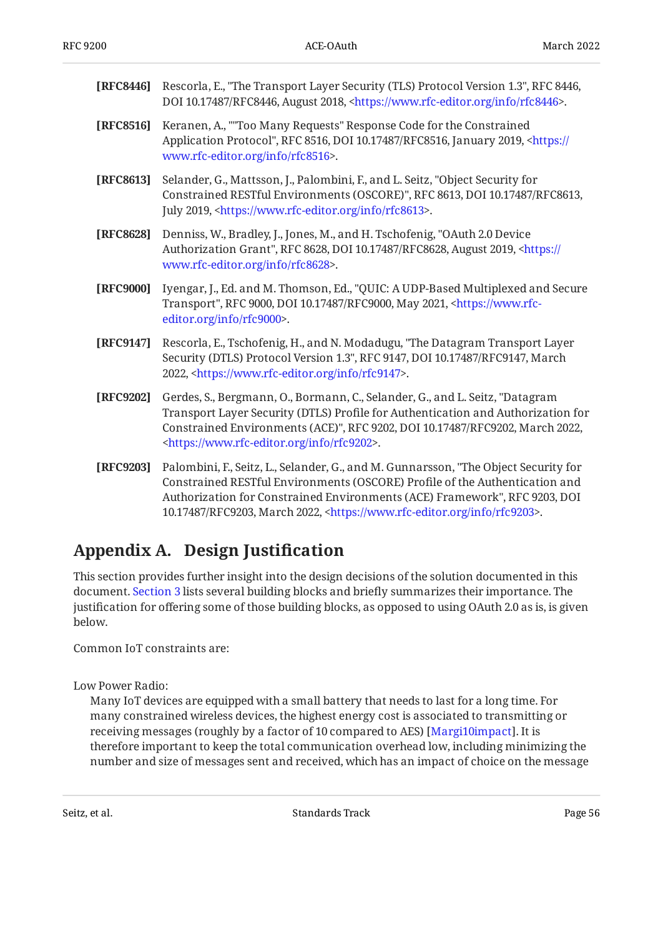| [RFC8446] | Rescorla, E., "The Transport Layer Security (TLS) Protocol Version 1.3", RFC 8446,<br>DOI 10.17487/RFC8446, August 2018, <https: info="" rfc8446="" www.rfc-editor.org="">.</https:>                                                                                                                            |  |  |  |
|-----------|-----------------------------------------------------------------------------------------------------------------------------------------------------------------------------------------------------------------------------------------------------------------------------------------------------------------|--|--|--|
| [RFC8516] | Keranen, A., ""Too Many Requests" Response Code for the Constrained<br>Application Protocol", RFC 8516, DOI 10.17487/RFC8516, January 2019, <https: <br="">www.rfc-editor.org/info/rfc8516&gt;.</https:>                                                                                                        |  |  |  |
| [RFC8613] | Selander, G., Mattsson, J., Palombini, F., and L. Seitz, "Object Security for<br>Constrained RESTful Environments (OSCORE)", RFC 8613, DOI 10.17487/RFC8613,<br>July 2019, <https: info="" rfc8613="" www.rfc-editor.org="">.</https:>                                                                          |  |  |  |
| [RFC8628] | Denniss, W., Bradley, J., Jones, M., and H. Tschofenig, "OAuth 2.0 Device<br>Authorization Grant", RFC 8628, DOI 10.17487/RFC8628, August 2019, <https: <br="">www.rfc-editor.org/info/rfc8628&gt;.</https:>                                                                                                    |  |  |  |
| [RFC9000] | Iyengar, J., Ed. and M. Thomson, Ed., "QUIC: A UDP-Based Multiplexed and Secure<br>Transport", RFC 9000, DOI 10.17487/RFC9000, May 2021, <https: www.rfc-<br="">editor.org/info/rfc9000&gt;.</https:>                                                                                                           |  |  |  |
| [RFC9147] | Rescorla, E., Tschofenig, H., and N. Modadugu, "The Datagram Transport Layer<br>Security (DTLS) Protocol Version 1.3", RFC 9147, DOI 10.17487/RFC9147, March<br>2022, <https: info="" rfc9147="" www.rfc-editor.org="">.</https:>                                                                               |  |  |  |
| [RFC9202] | Gerdes, S., Bergmann, O., Bormann, C., Selander, G., and L. Seitz, "Datagram<br>Transport Layer Security (DTLS) Profile for Authentication and Authorization for<br>Constrained Environments (ACE)", RFC 9202, DOI 10.17487/RFC9202, March 2022,<br><https: info="" rfc9202="" www.rfc-editor.org="">.</https:> |  |  |  |
| [RFC9203] | Palombini, F., Seitz, L., Selander, G., and M. Gunnarsson, "The Object Security for<br>Constrained RESTful Environments (OSCORE) Profile of the Authentication and                                                                                                                                              |  |  |  |

# Authorization for Constrained Environments (ACE) Framework", RFC 9203, DOI 10.17487/RFC9203, March 2022, <[https://www.rfc-editor.org/info/rfc9203>](https://www.rfc-editor.org/info/rfc9203).

# <span id="page-55-0"></span>**[Appendix A. Design Justi](#page-55-0)fication**

This section provides further insight into the design decisions of the solution documented in this document. [Section 3](#page-5-0) lists several building blocks and briefly summarizes their importance. The justification for offering some of those building blocks, as opposed to using OAuth 2.0 as is, is given below.

Common IoT constraints are:

Low Power Radio:

Many IoT devices are equipped with a small battery that needs to last for a long time. For many constrained wireless devices, the highest energy cost is associated to transmitting or receiving messages (roughly by a factor of 10 compared to AES) [[Margi10impact\]](#page-53-3). It is therefore important to keep the total communication overhead low, including minimizing the number and size of messages sent and received, which has an impact of choice on the message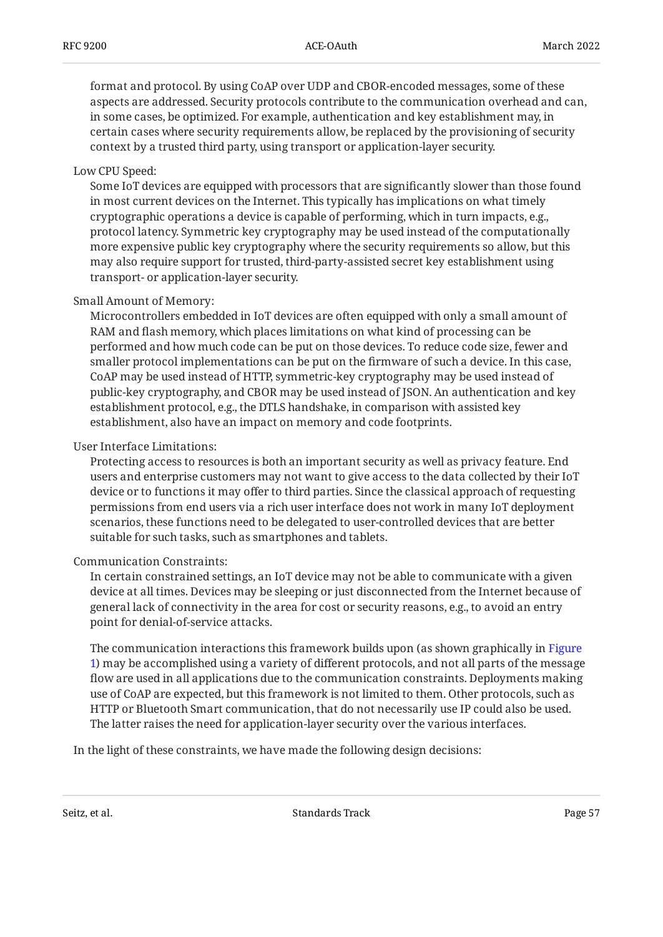format and protocol. By using CoAP over UDP and CBOR-encoded messages, some of these aspects are addressed. Security protocols contribute to the communication overhead and can, in some cases, be optimized. For example, authentication and key establishment may, in certain cases where security requirements allow, be replaced by the provisioning of security context by a trusted third party, using transport or application-layer security.

#### Low CPU Speed:

Some IoT devices are equipped with processors that are significantly slower than those found in most current devices on the Internet. This typically has implications on what timely cryptographic operations a device is capable of performing, which in turn impacts, e.g., protocol latency. Symmetric key cryptography may be used instead of the computationally more expensive public key cryptography where the security requirements so allow, but this may also require support for trusted, third-party-assisted secret key establishment using transport- or application-layer security.

#### Small Amount of Memory:

Microcontrollers embedded in IoT devices are often equipped with only a small amount of RAM and flash memory, which places limitations on what kind of processing can be performed and how much code can be put on those devices. To reduce code size, fewer and smaller protocol implementations can be put on the firmware of such a device. In this case, CoAP may be used instead of HTTP, symmetric-key cryptography may be used instead of public-key cryptography, and CBOR may be used instead of JSON. An authentication and key establishment protocol, e.g., the DTLS handshake, in comparison with assisted key establishment, also have an impact on memory and code footprints.

#### User Interface Limitations:

Protecting access to resources is both an important security as well as privacy feature. End users and enterprise customers may not want to give access to the data collected by their IoT device or to functions it may offer to third parties. Since the classical approach of requesting permissions from end users via a rich user interface does not work in many IoT deployment scenarios, these functions need to be delegated to user-controlled devices that are better suitable for such tasks, such as smartphones and tablets.

#### Communication Constraints:

In certain constrained settings, an IoT device may not be able to communicate with a given device at all times. Devices may be sleeping or just disconnected from the Internet because of general lack of connectivity in the area for cost or security reasons, e.g., to avoid an entry point for denial-of-service attacks.

The communication interactions this framework builds upon (as shown graphically in [Figure](#page-10-0) [1](#page-10-0)) may be accomplished using a variety of different protocols, and not all parts of the message flow are used in all applications due to the communication constraints. Deployments making use of CoAP are expected, but this framework is not limited to them. Other protocols, such as HTTP or Bluetooth Smart communication, that do not necessarily use IP could also be used. The latter raises the need for application-layer security over the various interfaces.

In the light of these constraints, we have made the following design decisions: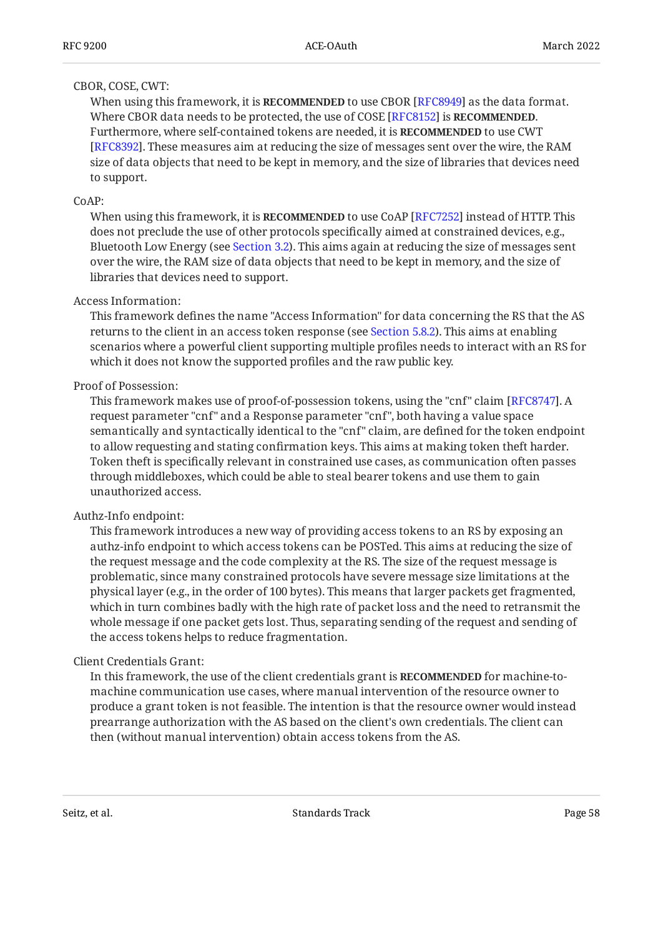### CBOR, COSE, CWT:

When using this framework, it is **RECOMMENDED** to use CBOR [RFC8949] as the data format. Where CBOR data needs to be protected, the use of COSE [RFC8152] is **RECOMMENDED**. Furthermore, where self-contained tokens are needed, it is **RECOMMENDED** to use CWT [[RFC8392\]](#page-52-2). These measures aim at reducing the size of messages sent over the wire, the RAM size of data objects that need to be kept in memory, and the size of libraries that devices need to support.

### CoAP:

When using this framework, it is **RECOMMENDED** to use CoAP [RFC7252] instead of HTTP. This does not preclude the use of other protocols specifically aimed at constrained devices, e.g., Bluetooth Low Energy (see [Section 3.2](#page-8-0)). This aims again at reducing the size of messages sent over the wire, the RAM size of data objects that need to be kept in memory, and the size of libraries that devices need to support.

#### Access Information:

This framework defines the name "Access Information" for data concerning the RS that the AS returns to the client in an access token response (see [Section 5.8.2\)](#page-21-0). This aims at enabling scenarios where a powerful client supporting multiple profiles needs to interact with an RS for which it does not know the supported profiles and the raw public key.

#### Proof of Possession:

This framework makes use of proof-of-possession tokens, using the "cnf" claim [RFC8747]. A request parameter "cnf" and a Response parameter "cnf", both having a value space semantically and syntactically identical to the "cnf" claim, are defined for the token endpoint to allow requesting and stating confirmation keys. This aims at making token theft harder. Token theft is specifically relevant in constrained use cases, as communication often passes through middleboxes, which could be able to steal bearer tokens and use them to gain unauthorized access.

### Authz-Info endpoint:

This framework introduces a new way of providing access tokens to an RS by exposing an authz-info endpoint to which access tokens can be POSTed. This aims at reducing the size of the request message and the code complexity at the RS. The size of the request message is problematic, since many constrained protocols have severe message size limitations at the physical layer (e.g., in the order of 100 bytes). This means that larger packets get fragmented, which in turn combines badly with the high rate of packet loss and the need to retransmit the whole message if one packet gets lost. Thus, separating sending of the request and sending of the access tokens helps to reduce fragmentation.

### Client Credentials Grant:

In this framework, the use of the client credentials grant is **RECOMMENDED** for machine-tomachine communication use cases, where manual intervention of the resource owner to produce a grant token is not feasible. The intention is that the resource owner would instead prearrange authorization with the AS based on the client's own credentials. The client can then (without manual intervention) obtain access tokens from the AS.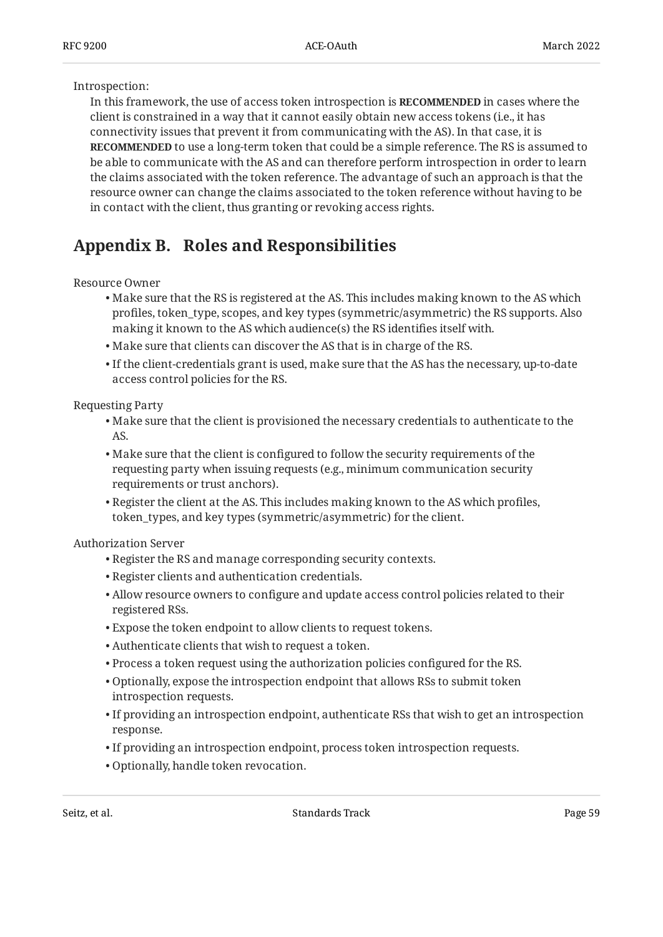### Introspection:

In this framework, the use of access token introspection is **RECOMMENDED** in cases where the client is constrained in a way that it cannot easily obtain new access tokens (i.e., it has connectivity issues that prevent it from communicating with the AS). In that case, it is **RECOMMENDED** to use a long-term token that could be a simple reference. The RS is assumed to be able to communicate with the AS and can therefore perform introspection in order to learn the claims associated with the token reference. The advantage of such an approach is that the resource owner can change the claims associated to the token reference without having to be in contact with the client, thus granting or revoking access rights.

# <span id="page-58-0"></span>**[Appendix B. Roles and Responsibilities](#page-58-0)**

Resource Owner

- Make sure that the RS is registered at the AS. This includes making known to the AS which profiles, token\_type, scopes, and key types (symmetric/asymmetric) the RS supports. Also making it known to the AS which audience(s) the RS identifies itself with.
- Make sure that clients can discover the AS that is in charge of the RS. •
- $\bullet$  If the client-credentials grant is used, make sure that the AS has the necessary, up-to-date access control policies for the RS.

Requesting Party

- $\bullet$  Make sure that the client is provisioned the necessary credentials to authenticate to the AS.
- Make sure that the client is configured to follow the security requirements of the requesting party when issuing requests (e.g., minimum communication security requirements or trust anchors).
- $\bullet$  Register the client at the AS. This includes making known to the AS which profiles, token\_types, and key types (symmetric/asymmetric) for the client.

Authorization Server

- Register the RS and manage corresponding security contexts. •
- Register clients and authentication credentials. •
- Allow resource owners to configure and update access control policies related to their registered RSs.
- Expose the token endpoint to allow clients to request tokens. •
- Authenticate clients that wish to request a token. •
- $\bullet$  Process a token request using the authorization policies configured for the RS.
- Optionally, expose the introspection endpoint that allows RSs to submit token introspection requests.
- $\bullet$  If providing an introspection endpoint, authenticate RSs that wish to get an introspection response.
- If providing an introspection endpoint, process token introspection requests.
- Optionally, handle token revocation. •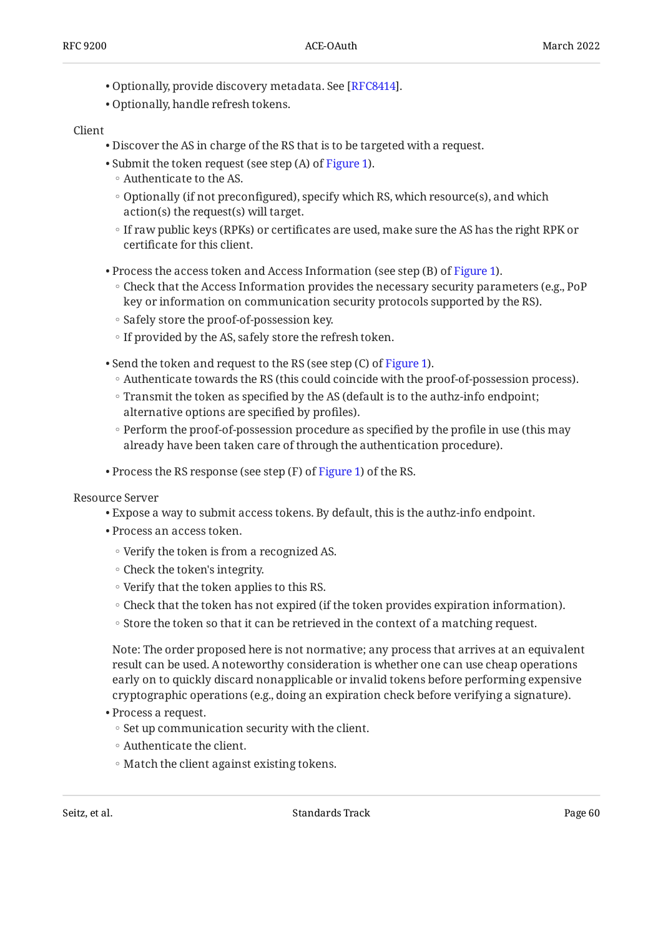- Optionally, provide discovery metadata. See [\[RFC8414](#page-54-2)].
- Optionally, handle refresh tokens. •

#### Client

- Discover the AS in charge of the RS that is to be targeted with a request. •
- Submit the token request (see step (A) of [Figure 1\)](#page-10-0).
	- Authenticate to the AS. ◦
	- Optionally (if not preconfigured), specify which RS, which resource(s), and which action(s) the request(s) will target.
	- If raw public keys (RPKs) or certificates are used, make sure the AS has the right RPK or certificate for this client.
- $\bullet$  Process the access token and Access Information (see step (B) of [Figure 1\)](#page-10-0).
	- Check that the Access Information provides the necessary security parameters (e.g., PoP key or information on communication security protocols supported by the RS).
	- Safely store the proof-of-possession key.
	- If provided by the AS, safely store the refresh token.
- Send the token and request to the RS (see step (C) of [Figure 1\)](#page-10-0).
	- Authenticate towards the RS (this could coincide with the proof-of-possession process).
	- Transmit the token as specified by the AS (default is to the authz-info endpoint; alternative options are specified by profiles).
	- Perform the proof-of-possession procedure as specified by the profile in use (this may already have been taken care of through the authentication procedure).
- $\bullet$  Process the RS response (see step (F) of [Figure 1\)](#page-10-0) of the RS.

Resource Server

- Expose a way to submit access tokens. By default, this is the authz-info endpoint. •
- Process an access token.
	- Verify the token is from a recognized AS.
	- Check the token's integrity.
	- Verify that the token applies to this RS.
	- Check that the token has not expired (if the token provides expiration information). ◦
	- Store the token so that it can be retrieved in the context of a matching request.

Note: The order proposed here is not normative; any process that arrives at an equivalent result can be used. A noteworthy consideration is whether one can use cheap operations early on to quickly discard nonapplicable or invalid tokens before performing expensive cryptographic operations (e.g., doing an expiration check before verifying a signature).

- Process a request.
	- Set up communication security with the client.
	- Authenticate the client. ◦
	- Match the client against existing tokens.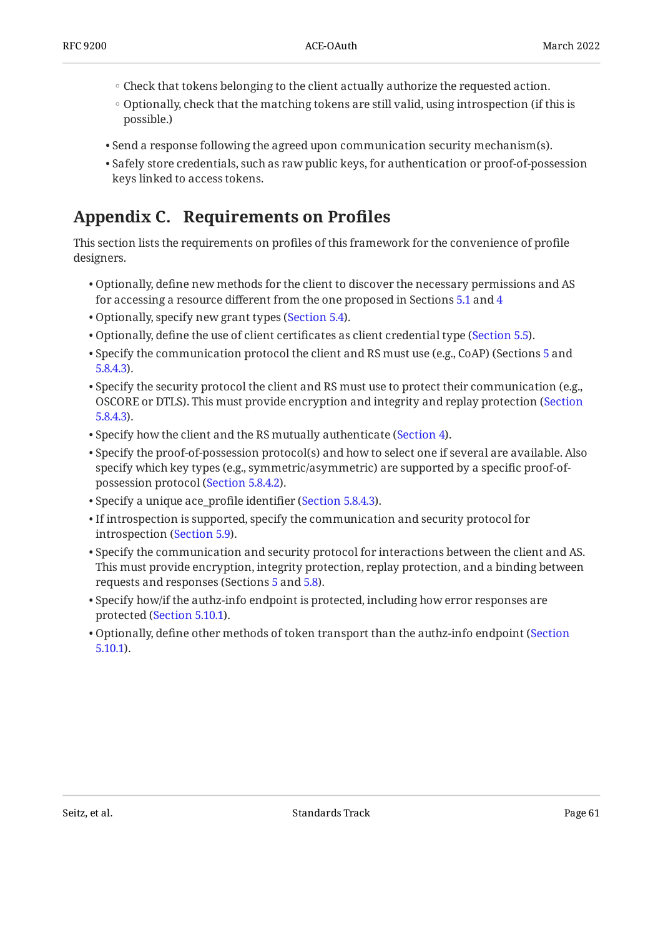- Check that tokens belonging to the client actually authorize the requested action. ◦
- Optionally, check that the matching tokens are still valid, using introspection (if this is possible.)
- $\bullet$  Send a response following the agreed upon communication security mechanism(s).
- $\bullet$  Safely store credentials, such as raw public keys, for authentication or proof-of-possession keys linked to access tokens.

# <span id="page-60-0"></span>**[Appendix C. Requirements on Pro](#page-60-0)files**

This section lists the requirements on profiles of this framework for the convenience of profile designers.

- $\bullet$  Optionally, define new methods for the client to discover the necessary permissions and AS for accessing a resource different from the one proposed in Sections [5.1](#page-14-1) and [4](#page-9-0)
- Optionally, specify new grant types [\(Section 5.4](#page-17-0)).
- $\bullet$  Optionally, define the use of client certificates as client credential type ([Section 5.5](#page-17-1)).
- $\bullet$  Specify the communication protocol the client and RS must use (e.g., CoAP) (Sections [5](#page-12-0) and [5.8.4.3\)](#page-25-0).
- $\bullet$  Specify the security protocol the client and RS must use to protect their communication (e.g., OSCORE or DTLS). This must provide encryption and integrity and replay protection ([Section](#page-25-0) [5.8.4.3\)](#page-25-0).
- Specify how the client and the RS mutually authenticate ([Section 4\)](#page-9-0).
- $\bullet$  Specify the proof-of-possession protocol(s) and how to select one if several are available. Also specify which key types (e.g., symmetric/asymmetric) are supported by a specific proof-ofpossession protocol ([Section 5.8.4.2\)](#page-24-1).
- Specify a unique ace\_profile identifier ([Section 5.8.4.3](#page-25-0)).
- $\bullet$  If introspection is supported, specify the communication and security protocol for introspection [\(Section 5.9](#page-27-0)).
- $\bullet$  Specify the communication and security protocol for interactions between the client and AS. This must provide encryption, integrity protection, replay protection, and a binding between requests and responses (Sections [5](#page-12-0) and [5.8\)](#page-18-0).
- $\bullet$  Specify how/if the authz-info endpoint is protected, including how error responses are protected ([Section 5.10.1\)](#page-31-1).
- $\bullet$  Optionally, define other methods of token transport than the authz-info endpoint ([Section](#page-31-1) [5.10.1\)](#page-31-1).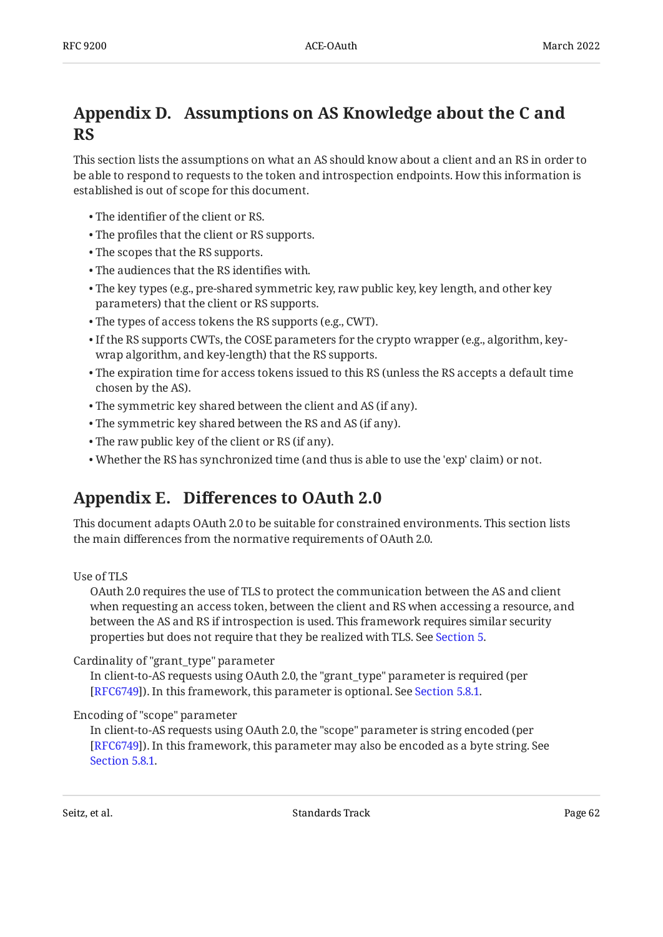# <span id="page-61-0"></span>**[Appendix D. Assumptions on AS Knowledge about the C and](#page-61-0) [RS](#page-61-0)**

This section lists the assumptions on what an AS should know about a client and an RS in order to be able to respond to requests to the token and introspection endpoints. How this information is established is out of scope for this document.

- The identifier of the client or RS. •
- The profiles that the client or RS supports. •
- The scopes that the RS supports. •
- The audiences that the RS identifies with. •
- The key types (e.g., pre-shared symmetric key, raw public key, key length, and other key parameters) that the client or RS supports.
- The types of access tokens the RS supports (e.g., CWT). •
- $\bullet$  If the RS supports CWTs, the COSE parameters for the crypto wrapper (e.g., algorithm, keywrap algorithm, and key-length) that the RS supports.
- $\bullet$  The expiration time for access tokens issued to this RS (unless the RS accepts a default time chosen by the AS).
- The symmetric key shared between the client and AS (if any). •
- The symmetric key shared between the RS and AS (if any). •
- The raw public key of the client or RS (if any). •
- <span id="page-61-1"></span>Whether the RS has synchronized time (and thus is able to use the 'exp' claim) or not. •

# **[Appendix E. D](#page-61-1)iff[erences to OAuth 2.0](#page-61-1)**

This document adapts OAuth 2.0 to be suitable for constrained environments. This section lists the main differences from the normative requirements of OAuth 2.0.

### Use of TLS

OAuth 2.0 requires the use of TLS to protect the communication between the AS and client when requesting an access token, between the client and RS when accessing a resource, and between the AS and RS if introspection is used. This framework requires similar security properties but does not require that they be realized with TLS. See [Section 5](#page-12-0).

### Cardinality of "grant\_type" parameter

In client-to-AS requests using OAuth 2.0, the "grant\_type" parameter is required (per [RFC6749]). In this framework, this parameter is optional. See [Section 5.8.1.](#page-19-0)

### Encoding of "scope" parameter

In client-to-AS requests using OAuth 2.0, the "scope" parameter is string encoded (per ). In this framework, this parameter may also be encoded as a byte string. See [[RFC6749\]](#page-52-0) [Section 5.8.1.](#page-19-0)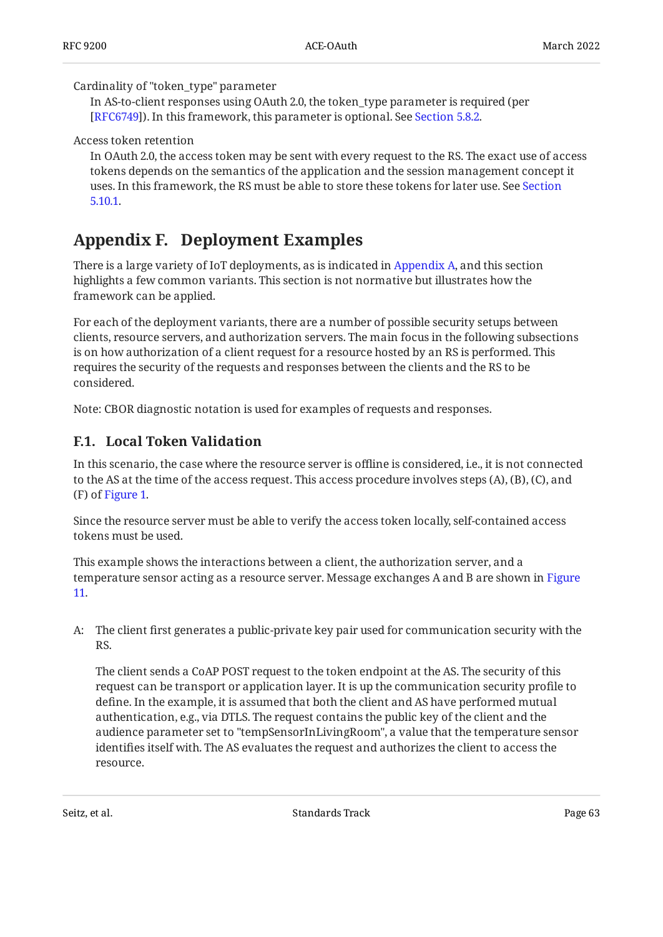#### Cardinality of "token\_type" parameter

In AS-to-client responses using OAuth 2.0, the token\_type parameter is required (per ). In this framework, this parameter is optional. See [Section 5.8.2.](#page-21-0) [[RFC6749\]](#page-52-0)

#### Access token retention

In OAuth 2.0, the access token may be sent with every request to the RS. The exact use of access tokens depends on the semantics of the application and the session management concept it uses. In this framework, the RS must be able to store these tokens for later use. See [Section](#page-31-1) [5.10.1.](#page-31-1)

# <span id="page-62-0"></span>**[Appendix F. Deployment Examples](#page-62-0)**

There is a large variety of IoT deployments, as is indicated in [Appendix A,](#page-55-0) and this section highlights a few common variants. This section is not normative but illustrates how the framework can be applied.

For each of the deployment variants, there are a number of possible security setups between clients, resource servers, and authorization servers. The main focus in the following subsections is on how authorization of a client request for a resource hosted by an RS is performed. This requires the security of the requests and responses between the clients and the RS to be considered.

<span id="page-62-1"></span>Note: CBOR diagnostic notation is used for examples of requests and responses.

### **[F.1. Local Token Validation](#page-62-1)**

In this scenario, the case where the resource server is offline is considered, i.e., it is not connected to the AS at the time of the access request. This access procedure involves steps (A), (B), (C), and (F) of [Figure 1.](#page-10-0)

Since the resource server must be able to verify the access token locally, self-contained access tokens must be used.

This example shows the interactions between a client, the authorization server, and a temperature sensor acting as a resource server. Message exchanges A and B are shown in [Figure](#page-63-0) [11](#page-63-0).

A: The client first generates a public-private key pair used for communication security with the RS.

The client sends a CoAP POST request to the token endpoint at the AS. The security of this request can be transport or application layer. It is up the communication security profile to define. In the example, it is assumed that both the client and AS have performed mutual authentication, e.g., via DTLS. The request contains the public key of the client and the audience parameter set to "tempSensorInLivingRoom", a value that the temperature sensor identifies itself with. The AS evaluates the request and authorizes the client to access the resource.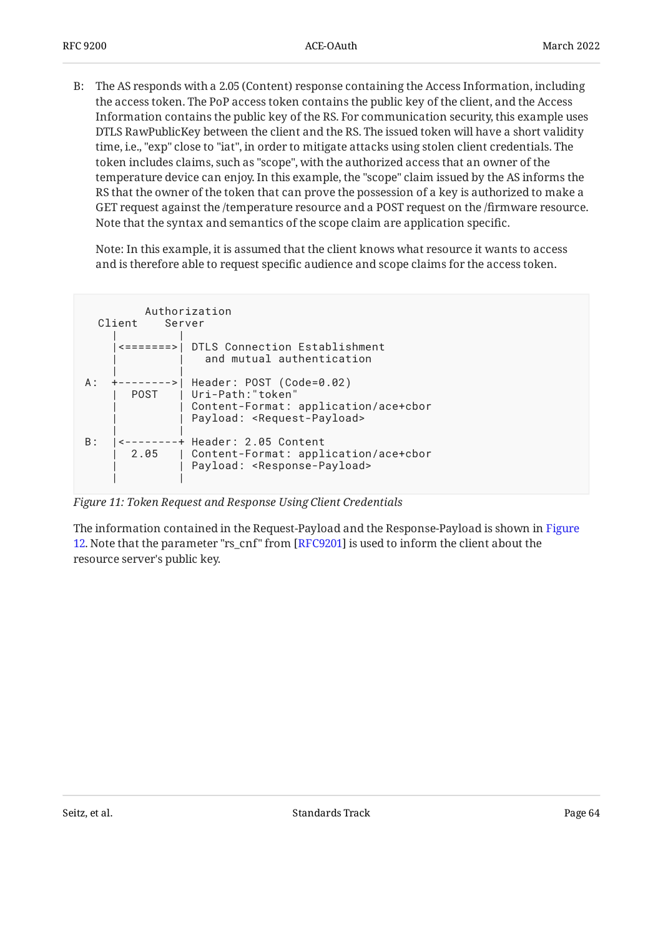B: The AS responds with a 2.05 (Content) response containing the Access Information, including the access token. The PoP access token contains the public key of the client, and the Access Information contains the public key of the RS. For communication security, this example uses DTLS RawPublicKey between the client and the RS. The issued token will have a short validity time, i.e., "exp" close to "iat", in order to mitigate attacks using stolen client credentials. The token includes claims, such as "scope", with the authorized access that an owner of the temperature device can enjoy. In this example, the "scope" claim issued by the AS informs the RS that the owner of the token that can prove the possession of a key is authorized to make a GET request against the /temperature resource and a POST request on the /firmware resource. Note that the syntax and semantics of the scope claim are application specific.

Note: In this example, it is assumed that the client knows what resource it wants to access and is therefore able to request specific audience and scope claims for the access token.

<span id="page-63-0"></span>

| Authorization<br>Client<br>Server |                            |                                                                                                                                               |  |  |  |
|-----------------------------------|----------------------------|-----------------------------------------------------------------------------------------------------------------------------------------------|--|--|--|
|                                   | $\leftarrow$ = = = = = = > | DTLS Connection Establishment<br>and mutual authentication                                                                                    |  |  |  |
| A :                               | POST                       | ---->  Header: POST (Code=0.02)<br>  Uri-Path:"token"<br>Content-Format: application/ace+cbor<br>Payload: <request-payload></request-payload> |  |  |  |
| B:                                | 2.05                       | -+ Header: 2.05 Content<br>  Content-Format: application/ace+cbor<br>Payload: <response-payload></response-payload>                           |  |  |  |

*[Figure 11: Token Request and Response Using Client Credentials](#page-63-0)* 

<span id="page-63-1"></span>The information contained in the Request-Payload and the Response-Payload is shown in [Figure](#page-64-0)  $12$ . Note that the parameter "rs\_cnf" from [RFC9201] is used to inform the client about the  $\,$ resource server's public key.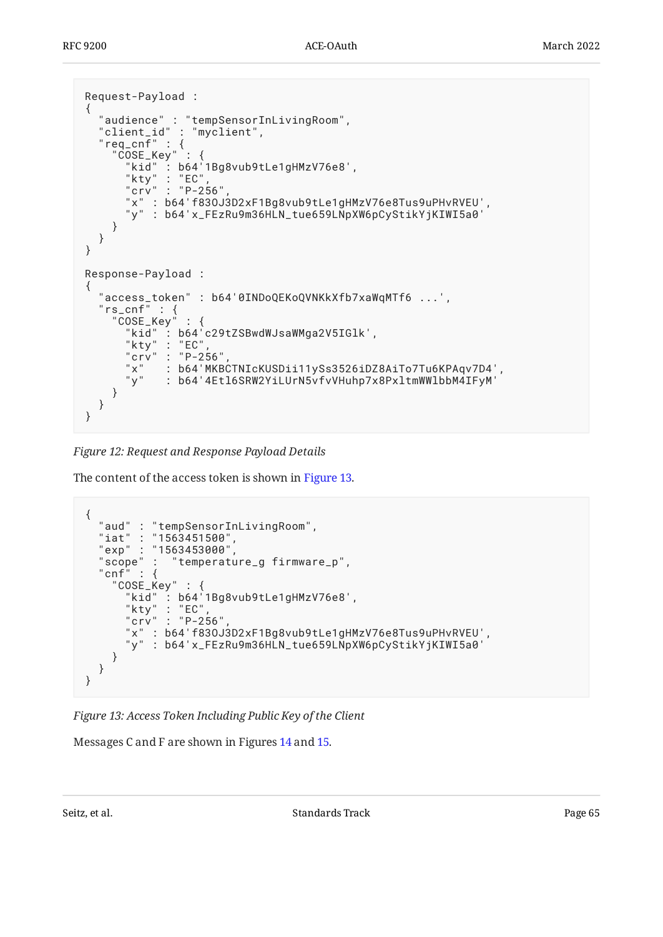```
Request-Payload :
{
 "audience" : "tempSensorInLivingRoom",
 "client_id" : "myclient",
 "req_cnf" : {
 "COSE_Key" : {
 "kid" : b64'1Bg8vub9tLe1gHMzV76e8',
 "kty" : "EC",
 "crv" : "P-256",
      "x" : b64'f83OJ3D2xF1Bg8vub9tLe1gHMzV76e8Tus9uPHvRVEU',
       "y" : b64'x_FEzRu9m36HLN_tue659LNpXW6pCyStikYjKIWI5a0'
     }
   }
}
Response-Payload :
{
   "access_token" : b64'0INDoQEKoQVNKkXfb7xaWqMTf6 ...',
 "rs_cnf" : {
 "COSE_Key" : {
      "kid" : b64'c29tZSBwdWJsaWMga2V5IGlk',<br>"kty" : "EC",
            : "EC""crv" : "P-256"<br>"x" : b64'MKB
 "x" : b64'MKBCTNIcKUSDii11ySs3526iDZ8AiTo7Tu6KPAqv7D4',
 "y" : b64'4Etl6SRW2YiLUrN5vfvVHuhp7x8PxltmWWlbbM4IFyM'
     }
   }
}
```
*[Figure 12:](#page-64-0) [Request and Response Payload Details](#page-63-1)* 

The content of the access token is shown in [Figure 13.](#page-64-1)

```
{
 "aud" : "tempSensorInLivingRoom",
 "iat" : "1563451500",
 "exp" : "1563453000",
 "scope" : "temperature_g firmware_p",
 "cnf" : {
 "COSE_Key" : {
 "kid" : b64'1Bg8vub9tLe1gHMzV76e8',
      "kty" : "EC"
      "crv" : "P-256"
      "x" : b64'f83OJ3D2xF1Bg8vub9tLe1gHMzV76e8Tus9uPHvRVEU',
       "y" : b64'x_FEzRu9m36HLN_tue659LNpXW6pCyStikYjKIWI5a0'
     }
   }
}
```
*[Figure 13: Access Token Including Public Key of the Client](#page-64-1)* 

Messages C and F are shown in Figures [14](#page-65-0) and [15](#page-65-1).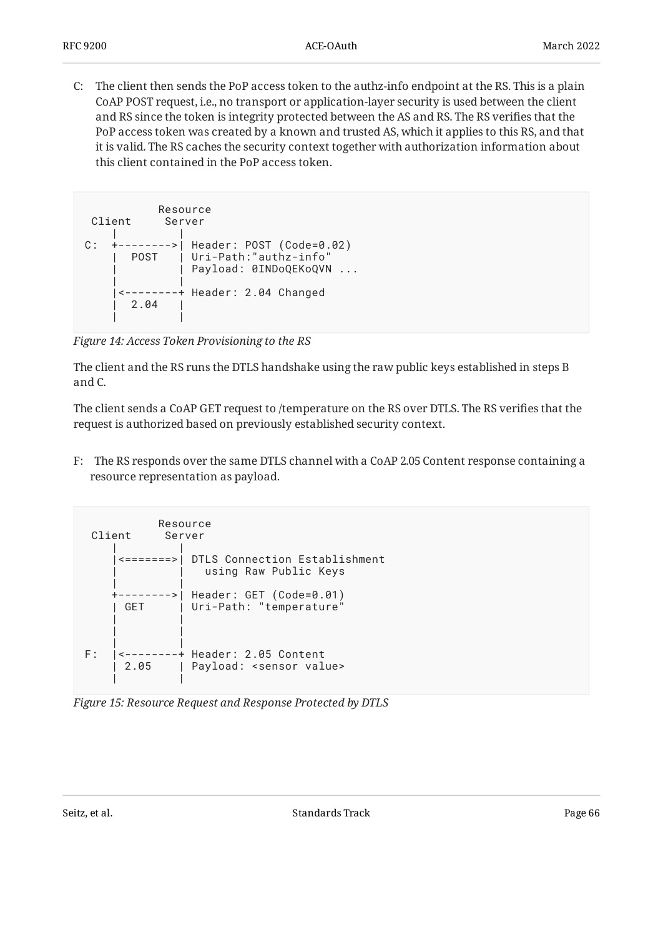C: The client then sends the PoP access token to the authz-info endpoint at the RS. This is a plain CoAP POST request, i.e., no transport or application-layer security is used between the client and RS since the token is integrity protected between the AS and RS. The RS verifies that the PoP access token was created by a known and trusted AS, which it applies to this RS, and that it is valid. The RS caches the security context together with authorization information about this client contained in the PoP access token.

```
Resource<br>Client Server
         Server
 | |
C: +-------->| Header: POST (Code=0.02)
    | POST | Uri-Path:"authz-info"
             Payload: 0INDoQEKoQVN ...
 | |
     |<--------+ Header: 2.04 Changed
      | 2.04 |
 | |
```
*[Figure 14: Access Token Provisioning to the RS](#page-65-0)* 

The client and the RS runs the DTLS handshake using the raw public keys established in steps B and C.

The client sends a CoAP GET request to /temperature on the RS over DTLS. The RS verifies that the request is authorized based on previously established security context.

F: The RS responds over the same DTLS channel with a CoAP 2.05 Content response containing a resource representation as payload.

<span id="page-65-1"></span>

| Resource<br>Client<br>Server |                           |                                                               |  |  |
|------------------------------|---------------------------|---------------------------------------------------------------|--|--|
|                              | <ニニニニニニニ>                 | DTLS Connection Establishment<br>using Raw Public Keys        |  |  |
|                              | - – – – >  <br><b>GFT</b> | Header: GET (Code=0.01)<br>Uri-Path: "temperature"            |  |  |
| F :                          | 2.05                      | + Header: 2.05 Content<br>Payload: <sensor value=""></sensor> |  |  |

*[Figure 15: Resource Request and Response Protected by DTLS](#page-65-1)*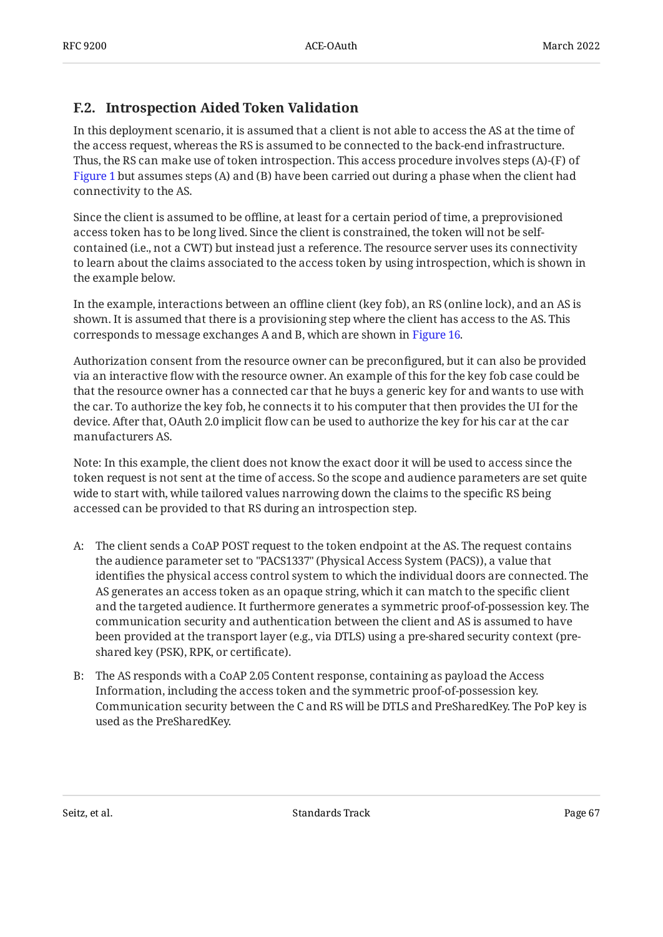## <span id="page-66-0"></span>**[F.2. Introspection Aided Token Validation](#page-66-0)**

In this deployment scenario, it is assumed that a client is not able to access the AS at the time of the access request, whereas the RS is assumed to be connected to the back-end infrastructure. Thus, the RS can make use of token introspection. This access procedure involves steps (A)-(F) of [Figure 1](#page-10-0) but assumes steps (A) and (B) have been carried out during a phase when the client had connectivity to the AS.

Since the client is assumed to be offline, at least for a certain period of time, a preprovisioned access token has to be long lived. Since the client is constrained, the token will not be selfcontained (i.e., not a CWT) but instead just a reference. The resource server uses its connectivity to learn about the claims associated to the access token by using introspection, which is shown in the example below.

In the example, interactions between an offline client (key fob), an RS (online lock), and an AS is shown. It is assumed that there is a provisioning step where the client has access to the AS. This corresponds to message exchanges A and B, which are shown in [Figure 16](#page-67-0).

Authorization consent from the resource owner can be preconfigured, but it can also be provided via an interactive flow with the resource owner. An example of this for the key fob case could be that the resource owner has a connected car that he buys a generic key for and wants to use with the car. To authorize the key fob, he connects it to his computer that then provides the UI for the device. After that, OAuth 2.0 implicit flow can be used to authorize the key for his car at the car manufacturers AS.

Note: In this example, the client does not know the exact door it will be used to access since the token request is not sent at the time of access. So the scope and audience parameters are set quite wide to start with, while tailored values narrowing down the claims to the specific RS being accessed can be provided to that RS during an introspection step.

- A: The client sends a CoAP POST request to the token endpoint at the AS. The request contains the audience parameter set to "PACS1337" (Physical Access System (PACS)), a value that identifies the physical access control system to which the individual doors are connected. The AS generates an access token as an opaque string, which it can match to the specific client and the targeted audience. It furthermore generates a symmetric proof-of-possession key. The communication security and authentication between the client and AS is assumed to have been provided at the transport layer (e.g., via DTLS) using a pre-shared security context (preshared key (PSK), RPK, or certificate).
- B: The AS responds with a CoAP 2.05 Content response, containing as payload the Access Information, including the access token and the symmetric proof-of-possession key. Communication security between the C and RS will be DTLS and PreSharedKey. The PoP key is used as the PreSharedKey.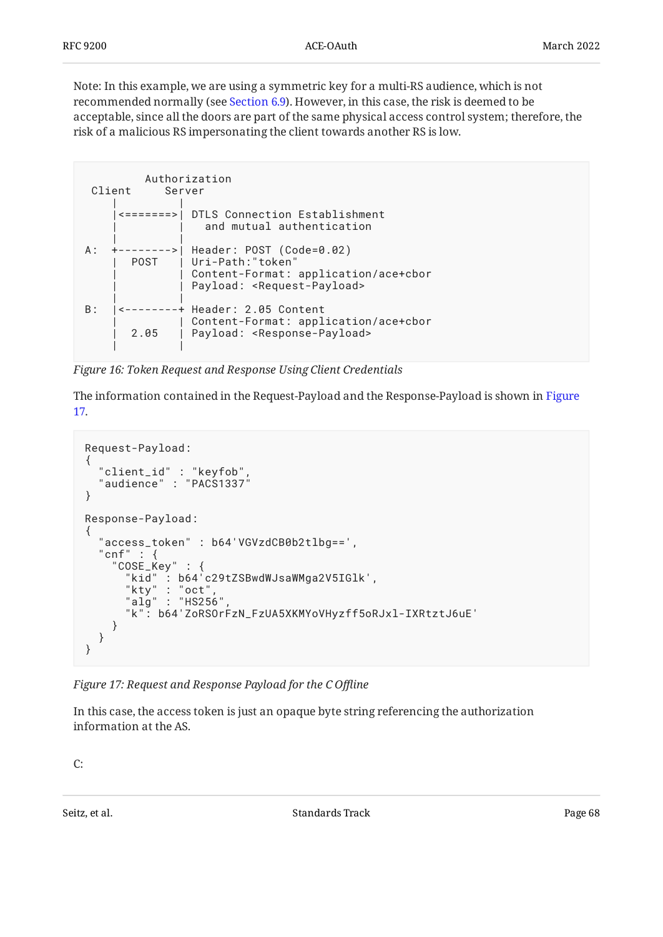Note: In this example, we are using a symmetric key for a multi-RS audience, which is not recommended normally (see [Section 6.9](#page-41-0)). However, in this case, the risk is deemed to be acceptable, since all the doors are part of the same physical access control system; therefore, the risk of a malicious RS impersonating the client towards another RS is low.

```
 Authorization
 Client Server
 | |
     |<=======>| DTLS Connection Establishment
                and mutual authentication
 | |
A: +-------->| Header: POST (Code=0.02)
      POST | Uri-Path:"token'
              Content-Format: application/ace+cbor
              Payload: <Request-Payload>
 | |
B: |<--------+ Header: 2.05 Content
             | | Content-Format: application/ace+cbor
       | 2.05 | Payload: <Response-Payload>
 | |
```
*[Figure 16: Token Request and Response Using Client Credentials](#page-67-0)* 

The information contained in the Request-Payload and the Response-Payload is shown in [Figure](#page-67-1) [17](#page-67-1).

```
Request-Payload:
{
   "client_id" : "keyfob",
  "audience" : "PACS1337"
}
Response-Payload:
{
   "access_token" : b64'VGVzdCB0b2tlbg==',
   "cnf" : {
 "COSE_Key" : {
 "kid" : b64'c29tZSBwdWJsaWMga2V5IGlk',
 "kty" : "oct",
      "align": "HS256" "k": b64'ZoRSOrFzN_FzUA5XKMYoVHyzff5oRJxl-IXRtztJ6uE'
     }
   }
}
```
*[Figure 17: Request and Response Payload for the C O](#page-67-1)ffline* 

In this case, the access token is just an opaque byte string referencing the authorization information at the AS.

C: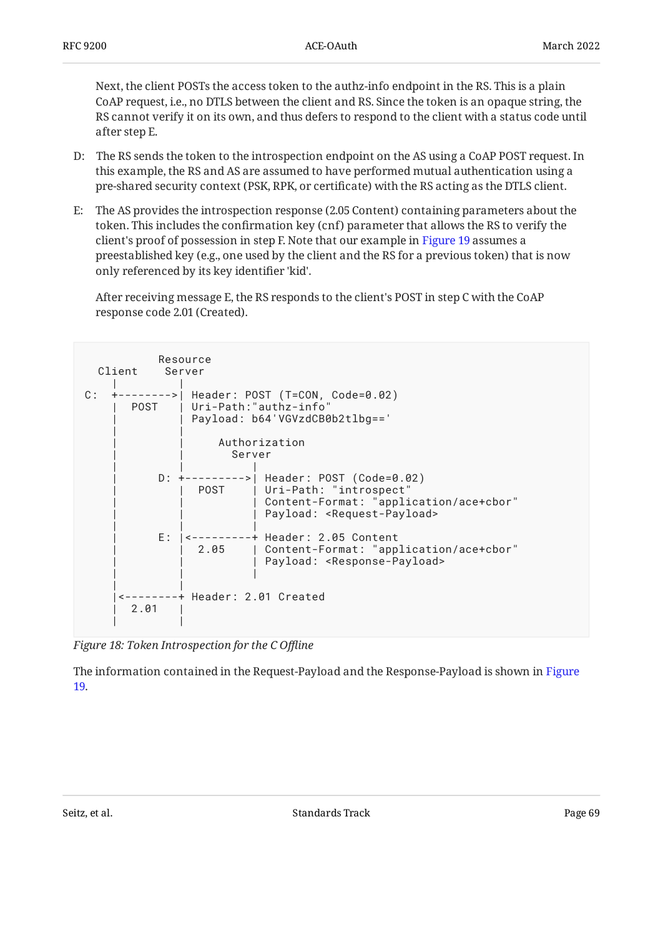Next, the client POSTs the access token to the authz-info endpoint in the RS. This is a plain CoAP request, i.e., no DTLS between the client and RS. Since the token is an opaque string, the RS cannot verify it on its own, and thus defers to respond to the client with a status code until after step E.

- D: The RS sends the token to the introspection endpoint on the AS using a CoAP POST request. In this example, the RS and AS are assumed to have performed mutual authentication using a pre-shared security context (PSK, RPK, or certificate) with the RS acting as the DTLS client.
- E: The AS provides the introspection response (2.05 Content) containing parameters about the token. This includes the confirmation key (cnf) parameter that allows the RS to verify the client's proof of possession in step F. Note that our example in [Figure 19](#page-69-0) assumes a preestablished key (e.g., one used by the client and the RS for a previous token) that is now only referenced by its key identifier 'kid'.

After receiving message E, the RS responds to the client's POST in step C with the CoAP response code 2.01 (Created).

<span id="page-68-0"></span>

| Resource<br>Client<br>Server |      |                                                                                                       |                                                                                                                                                              |  |
|------------------------------|------|-------------------------------------------------------------------------------------------------------|--------------------------------------------------------------------------------------------------------------------------------------------------------------|--|
| C :                          |      | ->  Header: POST (T=CON, Code=0.02)<br>POST   Uri-Path:"authz-info"<br>Payload: b64'VGVzdCB0b2tlbg==' |                                                                                                                                                              |  |
|                              |      | Authorization<br>Server                                                                               |                                                                                                                                                              |  |
|                              |      | POST I                                                                                                | D: +--------->  Header: POST (Code=0.02)<br>Uri-Path: "introspect"<br>Content-Format: "application/ace+cbor"<br>Payload: <request-payload></request-payload> |  |
|                              |      | 2.05                                                                                                  | E:   <---------+ Header: 2.05 Content<br>  Content-Format: "application/ace+cbor"<br>Payload: <response-payload></response-payload>                          |  |
|                              | 2.01 | <--------+ Header: 2.01 Created                                                                       |                                                                                                                                                              |  |

*[Figure 18: Token Introspection for the C O](#page-68-0)ffline* 

<span id="page-68-1"></span>The information contained in the Request-Payload and the Response-Payload is shown in [Figure](#page-69-0) [19](#page-69-0).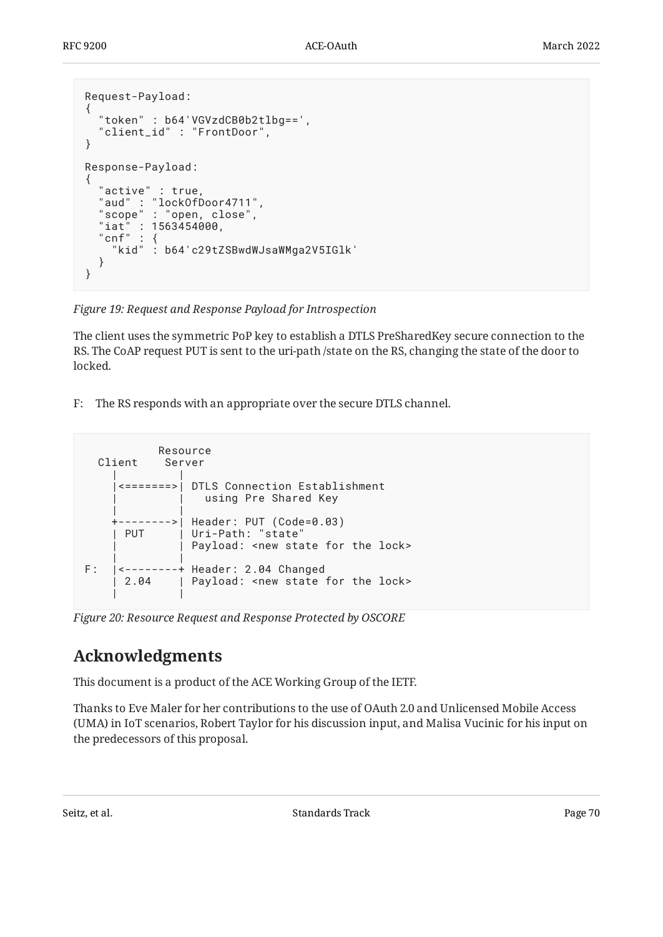```
Request-Payload:
{
  "token" : b64'VGVzdCB0b2tlbg==',
   "client_id" : "FrontDoor",
}
Response-Payload:
{
 "active" : true,
  "aud" : "lockOfDoor4711",
   "scope" : "open, close",
 "iat" : 1563454000,
 "cnf" : {
     "kid" : b64'c29tZSBwdWJsaWMga2V5IGlk'
   }
}
```
*[Figure 19:](#page-69-0) [Request and Response Payload for Introspection](#page-68-1)* 

The client uses the symmetric PoP key to establish a DTLS PreSharedKey secure connection to the RS. The CoAP request PUT is sent to the uri-path /state on the RS, changing the state of the door to locked.

F: The RS responds with an appropriate over the secure DTLS channel.

<span id="page-69-1"></span>

*[Figure 20: Resource Request and Response Protected by OSCORE](#page-69-1)* 

# <span id="page-69-2"></span>**[Acknowledgments](#page-69-2)**

This document is a product of the ACE Working Group of the IETF.

Thanks to Eve Maler for her contributions to the use of OAuth 2.0 and Unlicensed Mobile Access (UMA) in IoT scenarios, Robert Taylor for his discussion input, and Malisa Vucinic for his input on the predecessors of this proposal.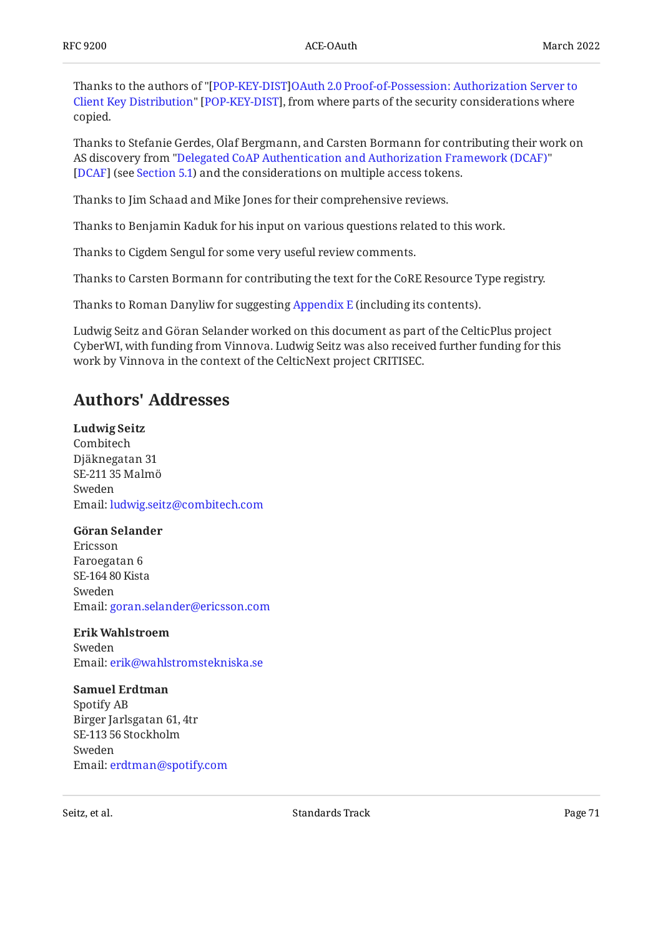Thanks to the authors of "[POP-KEY-DIST][OAuth 2.0 Proof-of-Possession: Authorization Server to](#page-53-5) [Client Key Distribution"](#page-53-5) [POP-KEY-DIST], from where parts of the security considerations where copied.

Thanks to Stefanie Gerdes, Olaf Bergmann, and Carsten Bormann for contributing their work on AS discovery from ["Delegated CoAP Authentication and Authorization Framework \(DCAF\)"](#page-53-6) [DCAF] (see [Section 5.1](#page-14-1)) and the considerations on multiple access tokens.

Thanks to Jim Schaad and Mike Jones for their comprehensive reviews.

Thanks to Benjamin Kaduk for his input on various questions related to this work.

Thanks to Cigdem Sengul for some very useful review comments.

Thanks to Carsten Bormann for contributing the text for the CoRE Resource Type registry.

Thanks to Roman Danyliw for suggesting [Appendix E](#page-61-1) (including its contents).

Ludwig Seitz and Göran Selander worked on this document as part of the CelticPlus project CyberWI, with funding from Vinnova. Ludwig Seitz was also received further funding for this work by Vinnova in the context of the CelticNext project CRITISEC.

# <span id="page-70-0"></span>**[Authors' Addresses](#page-70-0)**

**Ludwig Seitz** Combitech Djäknegatan 31 SE- 211 35 Malmö Sweden Email: [ludwig.seitz@combitech.com](mailto:ludwig.seitz@combitech.com)

### **Göran Selander**

Ericsson Faroegatan 6 SE- 164 80 Kista Sweden Email: [goran.selander@ericsson.com](mailto:goran.selander@ericsson.com)

### **Erik Wahlstroem**

Sweden Email: [erik@wahlstromstekniska.se](mailto:erik@wahlstromstekniska.se)

#### **Samuel Erdtman**

Spotify AB Birger Jarlsgatan 61, 4tr SE-113 56 Stockholm Sweden Email: [erdtman@spotify.com](mailto:erdtman@spotify.com)